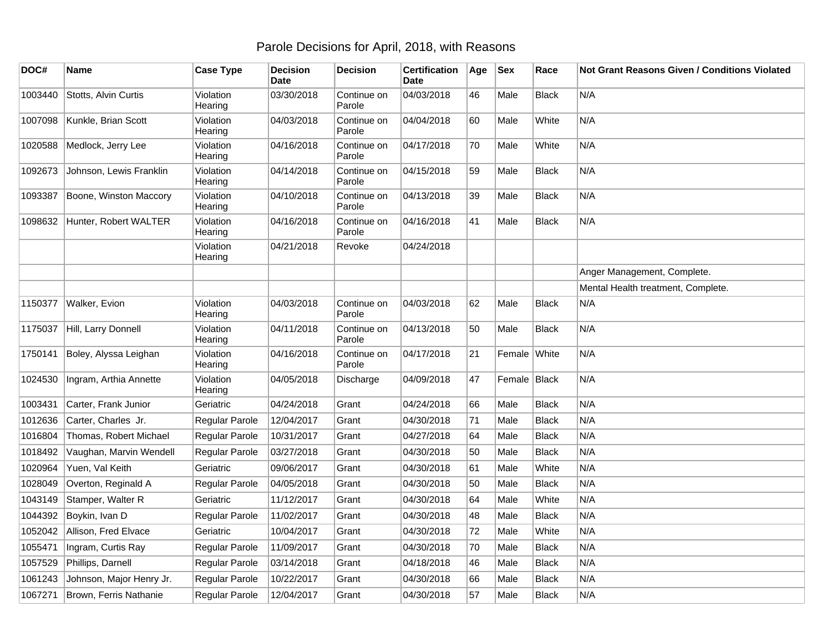## Parole Decisions for April, 2018, with Reasons

| DOC#    | Name                     | <b>Case Type</b>     | <b>Decision</b><br><b>Date</b> | <b>Decision</b>       | <b>Certification</b><br>Date | Age | <b>Sex</b>   | Race         | Not Grant Reasons Given / Conditions Violated |
|---------|--------------------------|----------------------|--------------------------------|-----------------------|------------------------------|-----|--------------|--------------|-----------------------------------------------|
| 1003440 | Stotts, Alvin Curtis     | Violation<br>Hearing | 03/30/2018                     | Continue on<br>Parole | 04/03/2018                   | 46  | Male         | <b>Black</b> | N/A                                           |
| 1007098 | Kunkle, Brian Scott      | Violation<br>Hearing | 04/03/2018                     | Continue on<br>Parole | 04/04/2018                   | 60  | Male         | White        | N/A                                           |
| 1020588 | Medlock, Jerry Lee       | Violation<br>Hearing | 04/16/2018                     | Continue on<br>Parole | 04/17/2018                   | 70  | Male         | White        | N/A                                           |
| 1092673 | Johnson, Lewis Franklin  | Violation<br>Hearing | 04/14/2018                     | Continue on<br>Parole | 04/15/2018                   | 59  | Male         | <b>Black</b> | N/A                                           |
| 1093387 | Boone, Winston Maccory   | Violation<br>Hearing | 04/10/2018                     | Continue on<br>Parole | 04/13/2018                   | 39  | Male         | <b>Black</b> | N/A                                           |
| 1098632 | Hunter, Robert WALTER    | Violation<br>Hearing | 04/16/2018                     | Continue on<br>Parole | 04/16/2018                   | 41  | Male         | <b>Black</b> | N/A                                           |
|         |                          | Violation<br>Hearing | 04/21/2018                     | Revoke                | 04/24/2018                   |     |              |              |                                               |
|         |                          |                      |                                |                       |                              |     |              |              | Anger Management, Complete.                   |
|         |                          |                      |                                |                       |                              |     |              |              | Mental Health treatment, Complete.            |
| 1150377 | <b>Walker, Evion</b>     | Violation<br>Hearing | 04/03/2018                     | Continue on<br>Parole | 04/03/2018                   | 62  | Male         | <b>Black</b> | N/A                                           |
| 1175037 | Hill, Larry Donnell      | Violation<br>Hearing | 04/11/2018                     | Continue on<br>Parole | 04/13/2018                   | 50  | Male         | <b>Black</b> | N/A                                           |
| 1750141 | Boley, Alyssa Leighan    | Violation<br>Hearing | 04/16/2018                     | Continue on<br>Parole | 04/17/2018                   | 21  | Female White |              | N/A                                           |
| 1024530 | Ingram, Arthia Annette   | Violation<br>Hearing | 04/05/2018                     | Discharge             | 04/09/2018                   | 47  | Female Black |              | N/A                                           |
| 1003431 | Carter, Frank Junior     | Geriatric            | 04/24/2018                     | Grant                 | 04/24/2018                   | 66  | Male         | <b>Black</b> | N/A                                           |
| 1012636 | Carter, Charles Jr.      | Regular Parole       | 12/04/2017                     | Grant                 | 04/30/2018                   | 71  | Male         | <b>Black</b> | N/A                                           |
| 1016804 | Thomas, Robert Michael   | Regular Parole       | 10/31/2017                     | Grant                 | 04/27/2018                   | 64  | Male         | <b>Black</b> | N/A                                           |
| 1018492 | Vaughan, Marvin Wendell  | Regular Parole       | 03/27/2018                     | Grant                 | 04/30/2018                   | 50  | Male         | Black        | N/A                                           |
| 1020964 | Yuen, Val Keith          | Geriatric            | 09/06/2017                     | Grant                 | 04/30/2018                   | 61  | Male         | White        | N/A                                           |
| 1028049 | Overton, Reginald A      | Regular Parole       | 04/05/2018                     | Grant                 | 04/30/2018                   | 50  | Male         | <b>Black</b> | N/A                                           |
| 1043149 | Stamper, Walter R        | Geriatric            | 11/12/2017                     | Grant                 | 04/30/2018                   | 64  | Male         | White        | N/A                                           |
| 1044392 | Boykin, Ivan D           | Regular Parole       | 11/02/2017                     | Grant                 | 04/30/2018                   | 48  | Male         | <b>Black</b> | N/A                                           |
| 1052042 | Allison, Fred Elvace     | Geriatric            | 10/04/2017                     | Grant                 | 04/30/2018                   | 72  | Male         | White        | N/A                                           |
| 1055471 | Ingram, Curtis Ray       | Regular Parole       | 11/09/2017                     | Grant                 | 04/30/2018                   | 70  | Male         | <b>Black</b> | N/A                                           |
| 1057529 | Phillips, Darnell        | Regular Parole       | 03/14/2018                     | Grant                 | 04/18/2018                   | 46  | Male         | <b>Black</b> | N/A                                           |
| 1061243 | Johnson, Major Henry Jr. | Regular Parole       | 10/22/2017                     | Grant                 | 04/30/2018                   | 66  | Male         | <b>Black</b> | N/A                                           |
| 1067271 | Brown, Ferris Nathanie   | Regular Parole       | 12/04/2017                     | Grant                 | 04/30/2018                   | 57  | Male         | <b>Black</b> | N/A                                           |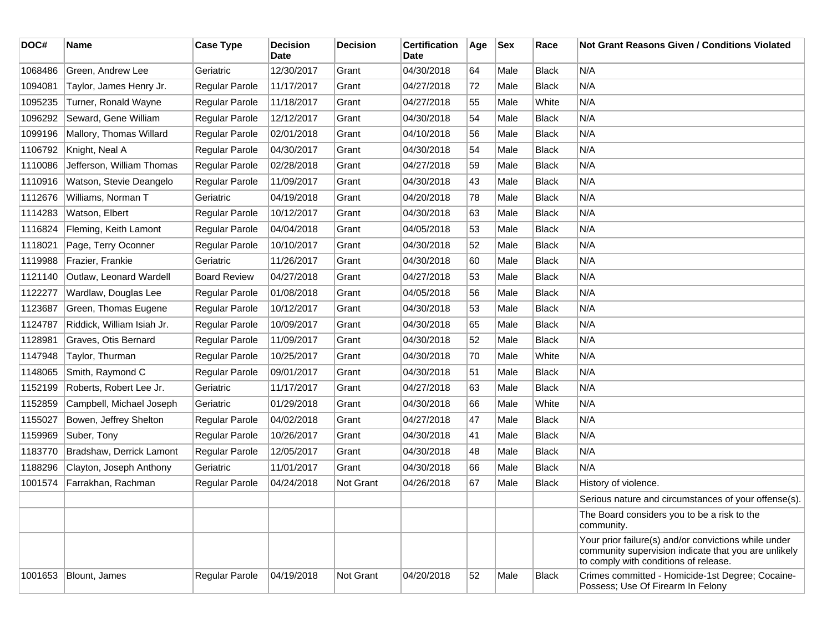| DOC#    | <b>Name</b>                | <b>Case Type</b>      | <b>Decision</b><br>Date | <b>Decision</b> | <b>Certification</b><br>Date | Age | <b>Sex</b> | Race         | <b>Not Grant Reasons Given / Conditions Violated</b>                                                                                                  |
|---------|----------------------------|-----------------------|-------------------------|-----------------|------------------------------|-----|------------|--------------|-------------------------------------------------------------------------------------------------------------------------------------------------------|
| 1068486 | Green, Andrew Lee          | Geriatric             | 12/30/2017              | Grant           | 04/30/2018                   | 64  | Male       | <b>Black</b> | N/A                                                                                                                                                   |
| 1094081 | Taylor, James Henry Jr.    | Regular Parole        | 11/17/2017              | Grant           | 04/27/2018                   | 72  | Male       | <b>Black</b> | N/A                                                                                                                                                   |
| 1095235 | Turner, Ronald Wayne       | <b>Regular Parole</b> | 11/18/2017              | Grant           | 04/27/2018                   | 55  | Male       | White        | N/A                                                                                                                                                   |
| 1096292 | Seward, Gene William       | Regular Parole        | 12/12/2017              | Grant           | 04/30/2018                   | 54  | Male       | <b>Black</b> | N/A                                                                                                                                                   |
| 1099196 | Mallory, Thomas Willard    | Regular Parole        | 02/01/2018              | Grant           | 04/10/2018                   | 56  | Male       | <b>Black</b> | N/A                                                                                                                                                   |
| 1106792 | Knight, Neal A             | Regular Parole        | 04/30/2017              | Grant           | 04/30/2018                   | 54  | Male       | <b>Black</b> | N/A                                                                                                                                                   |
| 1110086 | Jefferson, William Thomas  | Regular Parole        | 02/28/2018              | Grant           | 04/27/2018                   | 59  | Male       | <b>Black</b> | N/A                                                                                                                                                   |
| 1110916 | Watson, Stevie Deangelo    | Regular Parole        | 11/09/2017              | Grant           | 04/30/2018                   | 43  | Male       | <b>Black</b> | N/A                                                                                                                                                   |
| 1112676 | Williams, Norman T         | Geriatric             | 04/19/2018              | Grant           | 04/20/2018                   | 78  | Male       | <b>Black</b> | N/A                                                                                                                                                   |
| 1114283 | Watson, Elbert             | Regular Parole        | 10/12/2017              | Grant           | 04/30/2018                   | 63  | Male       | <b>Black</b> | N/A                                                                                                                                                   |
| 1116824 | Fleming, Keith Lamont      | Regular Parole        | 04/04/2018              | Grant           | 04/05/2018                   | 53  | Male       | <b>Black</b> | N/A                                                                                                                                                   |
| 1118021 | Page, Terry Oconner        | Regular Parole        | 10/10/2017              | Grant           | 04/30/2018                   | 52  | Male       | <b>Black</b> | N/A                                                                                                                                                   |
| 1119988 | Frazier, Frankie           | Geriatric             | 11/26/2017              | Grant           | 04/30/2018                   | 60  | Male       | <b>Black</b> | N/A                                                                                                                                                   |
| 1121140 | Outlaw, Leonard Wardell    | <b>Board Review</b>   | 04/27/2018              | Grant           | 04/27/2018                   | 53  | Male       | <b>Black</b> | N/A                                                                                                                                                   |
| 1122277 | Wardlaw, Douglas Lee       | Regular Parole        | 01/08/2018              | Grant           | 04/05/2018                   | 56  | Male       | <b>Black</b> | N/A                                                                                                                                                   |
| 1123687 | Green, Thomas Eugene       | Regular Parole        | 10/12/2017              | Grant           | 04/30/2018                   | 53  | Male       | <b>Black</b> | N/A                                                                                                                                                   |
| 1124787 | Riddick, William Isiah Jr. | Regular Parole        | 10/09/2017              | Grant           | 04/30/2018                   | 65  | Male       | <b>Black</b> | N/A                                                                                                                                                   |
| 1128981 | Graves, Otis Bernard       | Regular Parole        | 11/09/2017              | Grant           | 04/30/2018                   | 52  | Male       | <b>Black</b> | N/A                                                                                                                                                   |
| 1147948 | Taylor, Thurman            | Regular Parole        | 10/25/2017              | Grant           | 04/30/2018                   | 70  | Male       | White        | N/A                                                                                                                                                   |
| 1148065 | Smith, Raymond C           | Regular Parole        | 09/01/2017              | Grant           | 04/30/2018                   | 51  | Male       | <b>Black</b> | N/A                                                                                                                                                   |
| 1152199 | Roberts, Robert Lee Jr.    | Geriatric             | 11/17/2017              | Grant           | 04/27/2018                   | 63  | Male       | <b>Black</b> | N/A                                                                                                                                                   |
| 1152859 | Campbell, Michael Joseph   | Geriatric             | 01/29/2018              | Grant           | 04/30/2018                   | 66  | Male       | White        | N/A                                                                                                                                                   |
| 1155027 | Bowen, Jeffrey Shelton     | Regular Parole        | 04/02/2018              | Grant           | 04/27/2018                   | 47  | Male       | <b>Black</b> | N/A                                                                                                                                                   |
| 1159969 | Suber, Tony                | Regular Parole        | 10/26/2017              | Grant           | 04/30/2018                   | 41  | Male       | <b>Black</b> | N/A                                                                                                                                                   |
| 1183770 | Bradshaw, Derrick Lamont   | Regular Parole        | 12/05/2017              | Grant           | 04/30/2018                   | 48  | Male       | <b>Black</b> | N/A                                                                                                                                                   |
| 1188296 | Clayton, Joseph Anthony    | Geriatric             | 11/01/2017              | Grant           | 04/30/2018                   | 66  | Male       | <b>Black</b> | N/A                                                                                                                                                   |
| 1001574 | Farrakhan, Rachman         | Regular Parole        | 04/24/2018              | Not Grant       | 04/26/2018                   | 67  | Male       | <b>Black</b> | History of violence.                                                                                                                                  |
|         |                            |                       |                         |                 |                              |     |            |              | Serious nature and circumstances of your offense(s).                                                                                                  |
|         |                            |                       |                         |                 |                              |     |            |              | The Board considers you to be a risk to the<br>community.                                                                                             |
|         |                            |                       |                         |                 |                              |     |            |              | Your prior failure(s) and/or convictions while under<br>community supervision indicate that you are unlikely<br>to comply with conditions of release. |
| 1001653 | Blount, James              | Regular Parole        | 04/19/2018              | Not Grant       | 04/20/2018                   | 52  | Male       | <b>Black</b> | Crimes committed - Homicide-1st Degree; Cocaine-<br>Possess; Use Of Firearm In Felony                                                                 |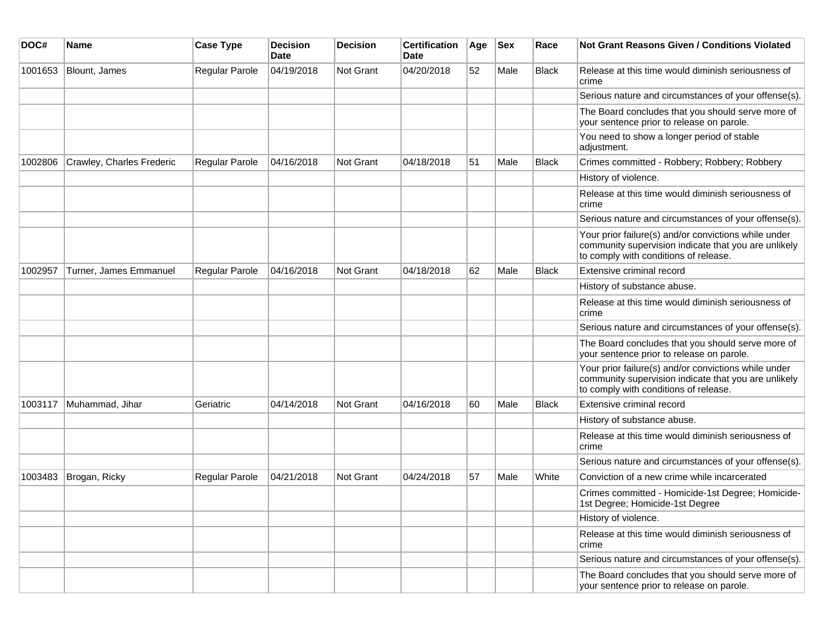| DOC#    | <b>Name</b>               | <b>Case Type</b> | <b>Decision</b><br>Date | <b>Decision</b>  | <b>Certification</b><br>Date | Age | <b>Sex</b> | Race         | <b>Not Grant Reasons Given / Conditions Violated</b>                                                                                                  |
|---------|---------------------------|------------------|-------------------------|------------------|------------------------------|-----|------------|--------------|-------------------------------------------------------------------------------------------------------------------------------------------------------|
| 1001653 | Blount, James             | Regular Parole   | 04/19/2018              | Not Grant        | 04/20/2018                   | 52  | Male       | <b>Black</b> | Release at this time would diminish seriousness of<br>crime                                                                                           |
|         |                           |                  |                         |                  |                              |     |            |              | Serious nature and circumstances of your offense(s).                                                                                                  |
|         |                           |                  |                         |                  |                              |     |            |              | The Board concludes that you should serve more of<br>your sentence prior to release on parole.                                                        |
|         |                           |                  |                         |                  |                              |     |            |              | You need to show a longer period of stable<br>adjustment.                                                                                             |
| 1002806 | Crawley, Charles Frederic | Regular Parole   | 04/16/2018              | Not Grant        | 04/18/2018                   | 51  | Male       | Black        | Crimes committed - Robbery; Robbery; Robbery                                                                                                          |
|         |                           |                  |                         |                  |                              |     |            |              | History of violence.                                                                                                                                  |
|         |                           |                  |                         |                  |                              |     |            |              | Release at this time would diminish seriousness of<br>crime                                                                                           |
|         |                           |                  |                         |                  |                              |     |            |              | Serious nature and circumstances of your offense(s).                                                                                                  |
|         |                           |                  |                         |                  |                              |     |            |              | Your prior failure(s) and/or convictions while under<br>community supervision indicate that you are unlikely<br>to comply with conditions of release. |
| 1002957 | Turner, James Emmanuel    | Regular Parole   | 04/16/2018              | Not Grant        | 04/18/2018                   | 62  | Male       | Black        | Extensive criminal record                                                                                                                             |
|         |                           |                  |                         |                  |                              |     |            |              | History of substance abuse.                                                                                                                           |
|         |                           |                  |                         |                  |                              |     |            |              | Release at this time would diminish seriousness of<br>crime                                                                                           |
|         |                           |                  |                         |                  |                              |     |            |              | Serious nature and circumstances of your offense(s).                                                                                                  |
|         |                           |                  |                         |                  |                              |     |            |              | The Board concludes that you should serve more of<br>your sentence prior to release on parole.                                                        |
|         |                           |                  |                         |                  |                              |     |            |              | Your prior failure(s) and/or convictions while under<br>community supervision indicate that you are unlikely<br>to comply with conditions of release. |
| 1003117 | Muhammad, Jihar           | Geriatric        | 04/14/2018              | <b>Not Grant</b> | 04/16/2018                   | 60  | Male       | <b>Black</b> | Extensive criminal record                                                                                                                             |
|         |                           |                  |                         |                  |                              |     |            |              | History of substance abuse.                                                                                                                           |
|         |                           |                  |                         |                  |                              |     |            |              | Release at this time would diminish seriousness of<br>crime                                                                                           |
|         |                           |                  |                         |                  |                              |     |            |              | Serious nature and circumstances of your offense(s).                                                                                                  |
| 1003483 | Brogan, Ricky             | Regular Parole   | 04/21/2018              | Not Grant        | 04/24/2018                   | 57  | Male       | White        | Conviction of a new crime while incarcerated                                                                                                          |
|         |                           |                  |                         |                  |                              |     |            |              | Crimes committed - Homicide-1st Degree; Homicide-<br>1st Degree; Homicide-1st Degree                                                                  |
|         |                           |                  |                         |                  |                              |     |            |              | History of violence.                                                                                                                                  |
|         |                           |                  |                         |                  |                              |     |            |              | Release at this time would diminish seriousness of<br>crime                                                                                           |
|         |                           |                  |                         |                  |                              |     |            |              | Serious nature and circumstances of your offense(s).                                                                                                  |
|         |                           |                  |                         |                  |                              |     |            |              | The Board concludes that you should serve more of<br>your sentence prior to release on parole.                                                        |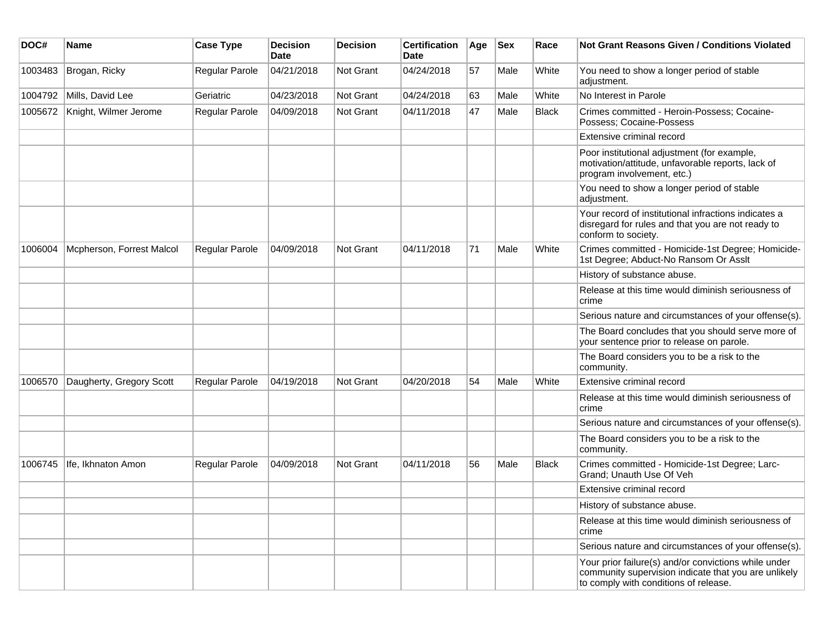| DOC#    | <b>Name</b>               | <b>Case Type</b>      | <b>Decision</b><br><b>Date</b> | <b>Decision</b> | <b>Certification</b><br>Date | Age | <b>Sex</b> | Race         | Not Grant Reasons Given / Conditions Violated                                                                                                         |
|---------|---------------------------|-----------------------|--------------------------------|-----------------|------------------------------|-----|------------|--------------|-------------------------------------------------------------------------------------------------------------------------------------------------------|
| 1003483 | Brogan, Ricky             | Regular Parole        | 04/21/2018                     | Not Grant       | 04/24/2018                   | 57  | Male       | White        | You need to show a longer period of stable<br>adjustment.                                                                                             |
| 1004792 | Mills, David Lee          | Geriatric             | 04/23/2018                     | Not Grant       | 04/24/2018                   | 63  | Male       | White        | No Interest in Parole                                                                                                                                 |
| 1005672 | Knight, Wilmer Jerome     | Regular Parole        | 04/09/2018                     | Not Grant       | 04/11/2018                   | 47  | Male       | <b>Black</b> | Crimes committed - Heroin-Possess; Cocaine-<br>Possess; Cocaine-Possess                                                                               |
|         |                           |                       |                                |                 |                              |     |            |              | Extensive criminal record                                                                                                                             |
|         |                           |                       |                                |                 |                              |     |            |              | Poor institutional adjustment (for example,<br>motivation/attitude, unfavorable reports, lack of<br>program involvement, etc.)                        |
|         |                           |                       |                                |                 |                              |     |            |              | You need to show a longer period of stable<br>adjustment.                                                                                             |
|         |                           |                       |                                |                 |                              |     |            |              | Your record of institutional infractions indicates a<br>disregard for rules and that you are not ready to<br>conform to society.                      |
| 1006004 | Mcpherson, Forrest Malcol | Regular Parole        | 04/09/2018                     | Not Grant       | 04/11/2018                   | 71  | Male       | White        | Crimes committed - Homicide-1st Degree; Homicide-<br>1st Degree; Abduct-No Ransom Or Asslt                                                            |
|         |                           |                       |                                |                 |                              |     |            |              | History of substance abuse.                                                                                                                           |
|         |                           |                       |                                |                 |                              |     |            |              | Release at this time would diminish seriousness of<br>crime                                                                                           |
|         |                           |                       |                                |                 |                              |     |            |              | Serious nature and circumstances of your offense(s).                                                                                                  |
|         |                           |                       |                                |                 |                              |     |            |              | The Board concludes that you should serve more of<br>your sentence prior to release on parole.                                                        |
|         |                           |                       |                                |                 |                              |     |            |              | The Board considers you to be a risk to the<br>community.                                                                                             |
| 1006570 | Daugherty, Gregory Scott  | Regular Parole        | 04/19/2018                     | Not Grant       | 04/20/2018                   | 54  | Male       | White        | Extensive criminal record                                                                                                                             |
|         |                           |                       |                                |                 |                              |     |            |              | Release at this time would diminish seriousness of<br>crime                                                                                           |
|         |                           |                       |                                |                 |                              |     |            |              | Serious nature and circumstances of your offense(s).                                                                                                  |
|         |                           |                       |                                |                 |                              |     |            |              | The Board considers you to be a risk to the<br>community.                                                                                             |
| 1006745 | Ife, Ikhnaton Amon        | <b>Regular Parole</b> | 04/09/2018                     | Not Grant       | 04/11/2018                   | 56  | Male       | Black        | Crimes committed - Homicide-1st Degree; Larc-<br>Grand; Unauth Use Of Veh                                                                             |
|         |                           |                       |                                |                 |                              |     |            |              | Extensive criminal record                                                                                                                             |
|         |                           |                       |                                |                 |                              |     |            |              | History of substance abuse.                                                                                                                           |
|         |                           |                       |                                |                 |                              |     |            |              | Release at this time would diminish seriousness of<br>crime                                                                                           |
|         |                           |                       |                                |                 |                              |     |            |              | Serious nature and circumstances of your offense(s).                                                                                                  |
|         |                           |                       |                                |                 |                              |     |            |              | Your prior failure(s) and/or convictions while under<br>community supervision indicate that you are unlikely<br>to comply with conditions of release. |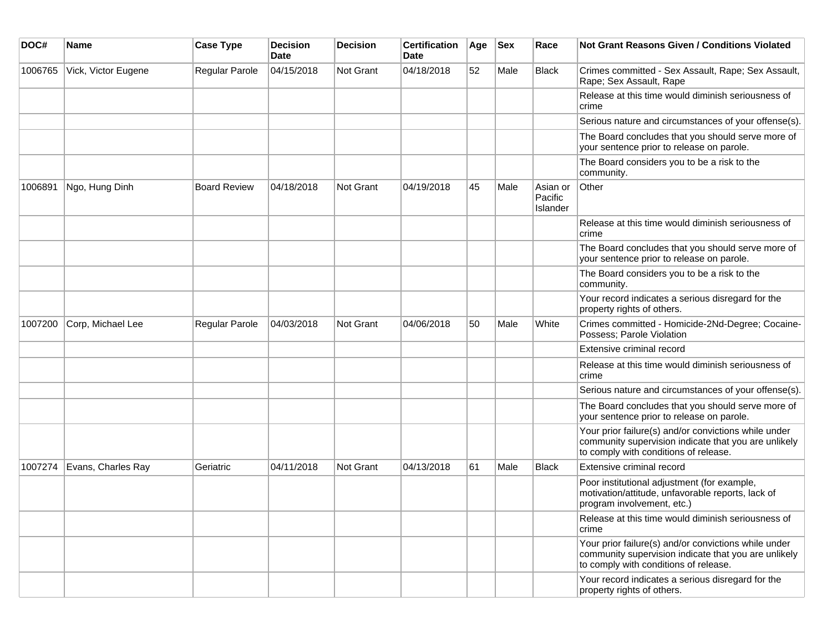| DOC#    | Name                | <b>Case Type</b>    | <b>Decision</b><br>Date | <b>Decision</b> | <b>Certification</b><br>Date | Age | <b>Sex</b> | Race                            | <b>Not Grant Reasons Given / Conditions Violated</b>                                                                                                  |
|---------|---------------------|---------------------|-------------------------|-----------------|------------------------------|-----|------------|---------------------------------|-------------------------------------------------------------------------------------------------------------------------------------------------------|
| 1006765 | Vick, Victor Eugene | Regular Parole      | 04/15/2018              | Not Grant       | 04/18/2018                   | 52  | Male       | Black                           | Crimes committed - Sex Assault, Rape; Sex Assault,<br>Rape; Sex Assault, Rape                                                                         |
|         |                     |                     |                         |                 |                              |     |            |                                 | Release at this time would diminish seriousness of<br>crime                                                                                           |
|         |                     |                     |                         |                 |                              |     |            |                                 | Serious nature and circumstances of your offense(s).                                                                                                  |
|         |                     |                     |                         |                 |                              |     |            |                                 | The Board concludes that you should serve more of<br>your sentence prior to release on parole.                                                        |
|         |                     |                     |                         |                 |                              |     |            |                                 | The Board considers you to be a risk to the<br>community.                                                                                             |
| 1006891 | Ngo, Hung Dinh      | <b>Board Review</b> | 04/18/2018              | Not Grant       | 04/19/2018                   | 45  | Male       | Asian or<br>Pacific<br>Islander | Other                                                                                                                                                 |
|         |                     |                     |                         |                 |                              |     |            |                                 | Release at this time would diminish seriousness of<br>crime                                                                                           |
|         |                     |                     |                         |                 |                              |     |            |                                 | The Board concludes that you should serve more of<br>your sentence prior to release on parole.                                                        |
|         |                     |                     |                         |                 |                              |     |            |                                 | The Board considers you to be a risk to the<br>community.                                                                                             |
|         |                     |                     |                         |                 |                              |     |            |                                 | Your record indicates a serious disregard for the<br>property rights of others.                                                                       |
| 1007200 | Corp, Michael Lee   | Regular Parole      | 04/03/2018              | Not Grant       | 04/06/2018                   | 50  | Male       | White                           | Crimes committed - Homicide-2Nd-Degree; Cocaine-<br>Possess; Parole Violation                                                                         |
|         |                     |                     |                         |                 |                              |     |            |                                 | Extensive criminal record                                                                                                                             |
|         |                     |                     |                         |                 |                              |     |            |                                 | Release at this time would diminish seriousness of<br>crime                                                                                           |
|         |                     |                     |                         |                 |                              |     |            |                                 | Serious nature and circumstances of your offense(s).                                                                                                  |
|         |                     |                     |                         |                 |                              |     |            |                                 | The Board concludes that you should serve more of<br>your sentence prior to release on parole.                                                        |
|         |                     |                     |                         |                 |                              |     |            |                                 | Your prior failure(s) and/or convictions while under<br>community supervision indicate that you are unlikely<br>to comply with conditions of release. |
| 1007274 | Evans, Charles Ray  | Geriatric           | 04/11/2018              | Not Grant       | 04/13/2018                   | 61  | Male       | Black                           | Extensive criminal record                                                                                                                             |
|         |                     |                     |                         |                 |                              |     |            |                                 | Poor institutional adjustment (for example,<br>motivation/attitude, unfavorable reports, lack of<br>program involvement, etc.)                        |
|         |                     |                     |                         |                 |                              |     |            |                                 | Release at this time would diminish seriousness of<br>crime                                                                                           |
|         |                     |                     |                         |                 |                              |     |            |                                 | Your prior failure(s) and/or convictions while under<br>community supervision indicate that you are unlikely<br>to comply with conditions of release. |
|         |                     |                     |                         |                 |                              |     |            |                                 | Your record indicates a serious disregard for the<br>property rights of others.                                                                       |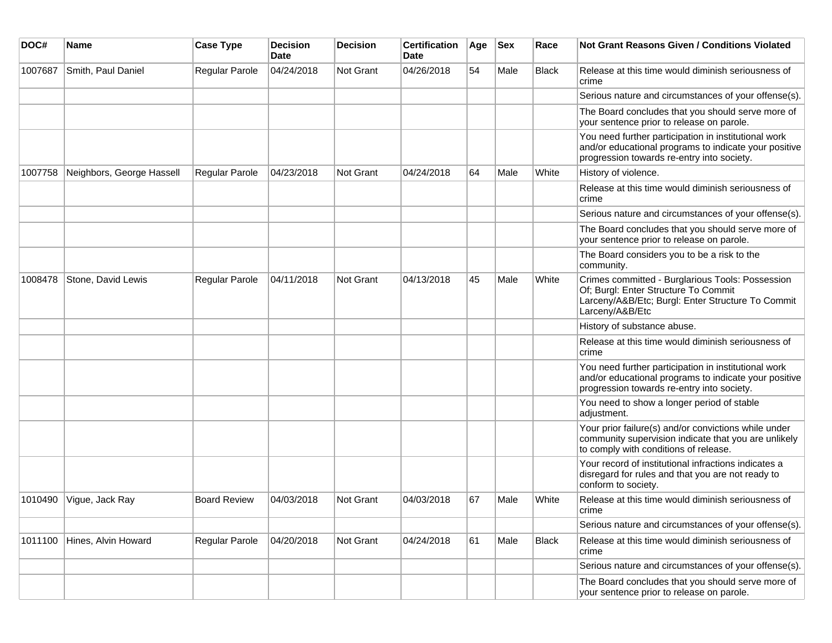| DOC#    | <b>Name</b>               | <b>Case Type</b>      | <b>Decision</b><br>Date | <b>Decision</b>  | <b>Certification</b><br>Date | Age | $ $ Sex | Race         | Not Grant Reasons Given / Conditions Violated                                                                                                                    |
|---------|---------------------------|-----------------------|-------------------------|------------------|------------------------------|-----|---------|--------------|------------------------------------------------------------------------------------------------------------------------------------------------------------------|
| 1007687 | Smith, Paul Daniel        | <b>Regular Parole</b> | 04/24/2018              | Not Grant        | 04/26/2018                   | 54  | Male    | <b>Black</b> | Release at this time would diminish seriousness of<br>crime                                                                                                      |
|         |                           |                       |                         |                  |                              |     |         |              | Serious nature and circumstances of your offense(s).                                                                                                             |
|         |                           |                       |                         |                  |                              |     |         |              | The Board concludes that you should serve more of<br>your sentence prior to release on parole.                                                                   |
|         |                           |                       |                         |                  |                              |     |         |              | You need further participation in institutional work<br>and/or educational programs to indicate your positive<br>progression towards re-entry into society.      |
| 1007758 | Neighbors, George Hassell | Regular Parole        | 04/23/2018              | Not Grant        | 04/24/2018                   | 64  | Male    | White        | History of violence.                                                                                                                                             |
|         |                           |                       |                         |                  |                              |     |         |              | Release at this time would diminish seriousness of<br>crime                                                                                                      |
|         |                           |                       |                         |                  |                              |     |         |              | Serious nature and circumstances of your offense(s).                                                                                                             |
|         |                           |                       |                         |                  |                              |     |         |              | The Board concludes that you should serve more of<br>your sentence prior to release on parole.                                                                   |
|         |                           |                       |                         |                  |                              |     |         |              | The Board considers you to be a risk to the<br>community.                                                                                                        |
| 1008478 | Stone, David Lewis        | Regular Parole        | 04/11/2018              | Not Grant        | 04/13/2018                   | 45  | Male    | White        | Crimes committed - Burglarious Tools: Possession<br>Of; Burgl: Enter Structure To Commit<br>Larceny/A&B/Etc; Burgl: Enter Structure To Commit<br>Larceny/A&B/Etc |
|         |                           |                       |                         |                  |                              |     |         |              | History of substance abuse.                                                                                                                                      |
|         |                           |                       |                         |                  |                              |     |         |              | Release at this time would diminish seriousness of<br>crime                                                                                                      |
|         |                           |                       |                         |                  |                              |     |         |              | You need further participation in institutional work<br>and/or educational programs to indicate your positive<br>progression towards re-entry into society.      |
|         |                           |                       |                         |                  |                              |     |         |              | You need to show a longer period of stable<br>adjustment.                                                                                                        |
|         |                           |                       |                         |                  |                              |     |         |              | Your prior failure(s) and/or convictions while under<br>community supervision indicate that you are unlikely<br>to comply with conditions of release.            |
|         |                           |                       |                         |                  |                              |     |         |              | Your record of institutional infractions indicates a<br>disregard for rules and that you are not ready to<br>conform to society.                                 |
| 1010490 | Vigue, Jack Ray           | <b>Board Review</b>   | 04/03/2018              | Not Grant        | 04/03/2018                   | 67  | Male    | White        | Release at this time would diminish seriousness of<br>crime                                                                                                      |
|         |                           |                       |                         |                  |                              |     |         |              | Serious nature and circumstances of your offense(s).                                                                                                             |
| 1011100 | Hines, Alvin Howard       | Regular Parole        | 04/20/2018              | <b>Not Grant</b> | 04/24/2018                   | 61  | Male    | Black        | Release at this time would diminish seriousness of<br>crime                                                                                                      |
|         |                           |                       |                         |                  |                              |     |         |              | Serious nature and circumstances of your offense(s).                                                                                                             |
|         |                           |                       |                         |                  |                              |     |         |              | The Board concludes that you should serve more of<br>your sentence prior to release on parole.                                                                   |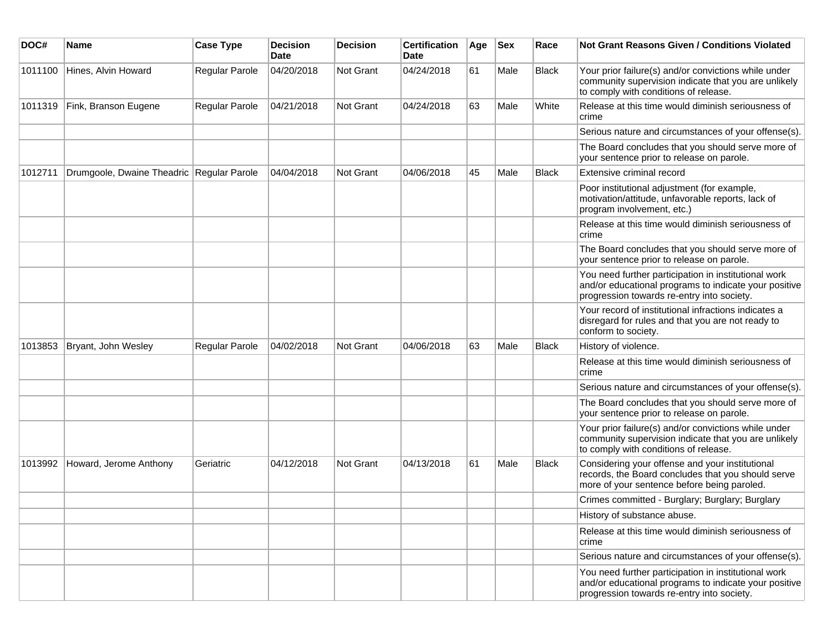| DOC#    | Name                                      | <b>Case Type</b> | <b>Decision</b><br>Date | <b>Decision</b> | <b>Certification</b><br>Date | Age | <b>Sex</b> | Race         | Not Grant Reasons Given / Conditions Violated                                                                                                               |
|---------|-------------------------------------------|------------------|-------------------------|-----------------|------------------------------|-----|------------|--------------|-------------------------------------------------------------------------------------------------------------------------------------------------------------|
| 1011100 | Hines, Alvin Howard                       | Regular Parole   | 04/20/2018              | Not Grant       | 04/24/2018                   | 61  | Male       | <b>Black</b> | Your prior failure(s) and/or convictions while under<br>community supervision indicate that you are unlikely<br>to comply with conditions of release.       |
| 1011319 | Fink, Branson Eugene                      | Regular Parole   | 04/21/2018              | Not Grant       | 04/24/2018                   | 63  | Male       | White        | Release at this time would diminish seriousness of<br>crime                                                                                                 |
|         |                                           |                  |                         |                 |                              |     |            |              | Serious nature and circumstances of your offense(s).                                                                                                        |
|         |                                           |                  |                         |                 |                              |     |            |              | The Board concludes that you should serve more of<br>your sentence prior to release on parole.                                                              |
| 1012711 | Drumgoole, Dwaine Theadric Regular Parole |                  | 04/04/2018              | Not Grant       | 04/06/2018                   | 45  | Male       | <b>Black</b> | Extensive criminal record                                                                                                                                   |
|         |                                           |                  |                         |                 |                              |     |            |              | Poor institutional adjustment (for example,<br>motivation/attitude, unfavorable reports, lack of<br>program involvement, etc.)                              |
|         |                                           |                  |                         |                 |                              |     |            |              | Release at this time would diminish seriousness of<br>crime                                                                                                 |
|         |                                           |                  |                         |                 |                              |     |            |              | The Board concludes that you should serve more of<br>your sentence prior to release on parole.                                                              |
|         |                                           |                  |                         |                 |                              |     |            |              | You need further participation in institutional work<br>and/or educational programs to indicate your positive<br>progression towards re-entry into society. |
|         |                                           |                  |                         |                 |                              |     |            |              | Your record of institutional infractions indicates a<br>disregard for rules and that you are not ready to<br>conform to society.                            |
| 1013853 | Bryant, John Wesley                       | Regular Parole   | 04/02/2018              | Not Grant       | 04/06/2018                   | 63  | Male       | <b>Black</b> | History of violence.                                                                                                                                        |
|         |                                           |                  |                         |                 |                              |     |            |              | Release at this time would diminish seriousness of<br>crime                                                                                                 |
|         |                                           |                  |                         |                 |                              |     |            |              | Serious nature and circumstances of your offense(s).                                                                                                        |
|         |                                           |                  |                         |                 |                              |     |            |              | The Board concludes that you should serve more of<br>your sentence prior to release on parole.                                                              |
|         |                                           |                  |                         |                 |                              |     |            |              | Your prior failure(s) and/or convictions while under<br>community supervision indicate that you are unlikely<br>to comply with conditions of release.       |
| 1013992 | Howard, Jerome Anthony                    | Geriatric        | 04/12/2018              | Not Grant       | 04/13/2018                   | 61  | Male       | <b>Black</b> | Considering your offense and your institutional<br>records, the Board concludes that you should serve<br>more of your sentence before being paroled.        |
|         |                                           |                  |                         |                 |                              |     |            |              | Crimes committed - Burglary; Burglary; Burglary                                                                                                             |
|         |                                           |                  |                         |                 |                              |     |            |              | History of substance abuse.                                                                                                                                 |
|         |                                           |                  |                         |                 |                              |     |            |              | Release at this time would diminish seriousness of<br>crime                                                                                                 |
|         |                                           |                  |                         |                 |                              |     |            |              | Serious nature and circumstances of your offense(s).                                                                                                        |
|         |                                           |                  |                         |                 |                              |     |            |              | You need further participation in institutional work<br>and/or educational programs to indicate your positive<br>progression towards re-entry into society. |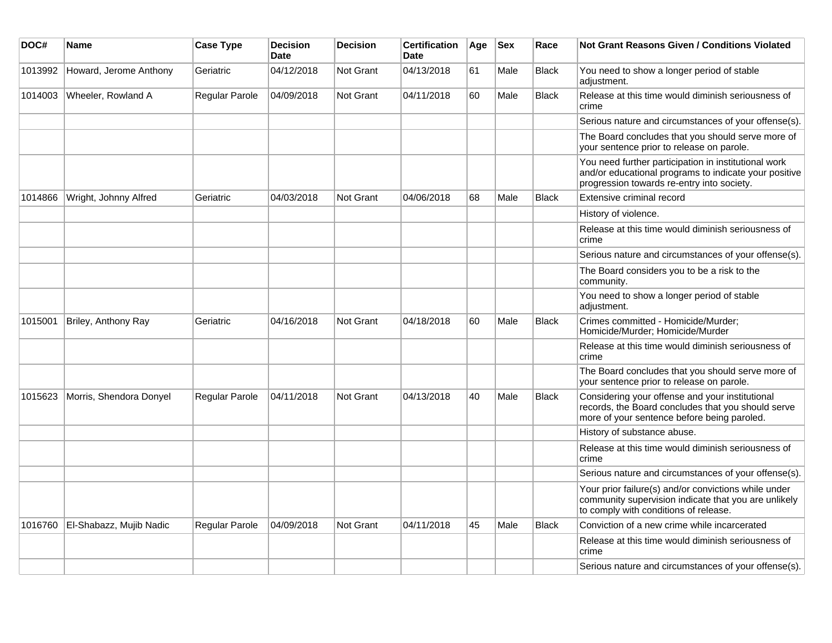| DOC#    | <b>Name</b>             | <b>Case Type</b> | <b>Decision</b><br>Date | <b>Decision</b>  | <b>Certification</b><br>Date | Age | <b>Sex</b> | Race         | <b>Not Grant Reasons Given / Conditions Violated</b>                                                                                                        |
|---------|-------------------------|------------------|-------------------------|------------------|------------------------------|-----|------------|--------------|-------------------------------------------------------------------------------------------------------------------------------------------------------------|
| 1013992 | Howard, Jerome Anthony  | Geriatric        | 04/12/2018              | Not Grant        | 04/13/2018                   | 61  | Male       | <b>Black</b> | You need to show a longer period of stable<br>adjustment.                                                                                                   |
| 1014003 | Wheeler, Rowland A      | Regular Parole   | 04/09/2018              | Not Grant        | 04/11/2018                   | 60  | Male       | <b>Black</b> | Release at this time would diminish seriousness of<br>crime                                                                                                 |
|         |                         |                  |                         |                  |                              |     |            |              | Serious nature and circumstances of your offense(s).                                                                                                        |
|         |                         |                  |                         |                  |                              |     |            |              | The Board concludes that you should serve more of<br>your sentence prior to release on parole.                                                              |
|         |                         |                  |                         |                  |                              |     |            |              | You need further participation in institutional work<br>and/or educational programs to indicate your positive<br>progression towards re-entry into society. |
| 1014866 | Wright, Johnny Alfred   | Geriatric        | 04/03/2018              | <b>Not Grant</b> | 04/06/2018                   | 68  | Male       | <b>Black</b> | Extensive criminal record                                                                                                                                   |
|         |                         |                  |                         |                  |                              |     |            |              | History of violence.                                                                                                                                        |
|         |                         |                  |                         |                  |                              |     |            |              | Release at this time would diminish seriousness of<br>crime                                                                                                 |
|         |                         |                  |                         |                  |                              |     |            |              | Serious nature and circumstances of your offense(s).                                                                                                        |
|         |                         |                  |                         |                  |                              |     |            |              | The Board considers you to be a risk to the<br>community.                                                                                                   |
|         |                         |                  |                         |                  |                              |     |            |              | You need to show a longer period of stable<br>adjustment.                                                                                                   |
| 1015001 | Briley, Anthony Ray     | Geriatric        | 04/16/2018              | <b>Not Grant</b> | 04/18/2018                   | 60  | Male       | <b>Black</b> | Crimes committed - Homicide/Murder;<br>Homicide/Murder; Homicide/Murder                                                                                     |
|         |                         |                  |                         |                  |                              |     |            |              | Release at this time would diminish seriousness of<br>crime                                                                                                 |
|         |                         |                  |                         |                  |                              |     |            |              | The Board concludes that you should serve more of<br>your sentence prior to release on parole.                                                              |
| 1015623 | Morris, Shendora Donyel | Regular Parole   | 04/11/2018              | <b>Not Grant</b> | 04/13/2018                   | 40  | Male       | <b>Black</b> | Considering your offense and your institutional<br>records, the Board concludes that you should serve<br>more of your sentence before being paroled.        |
|         |                         |                  |                         |                  |                              |     |            |              | History of substance abuse.                                                                                                                                 |
|         |                         |                  |                         |                  |                              |     |            |              | Release at this time would diminish seriousness of<br>crime                                                                                                 |
|         |                         |                  |                         |                  |                              |     |            |              | Serious nature and circumstances of your offense(s).                                                                                                        |
|         |                         |                  |                         |                  |                              |     |            |              | Your prior failure(s) and/or convictions while under<br>community supervision indicate that you are unlikely<br>to comply with conditions of release.       |
| 1016760 | El-Shabazz, Mujib Nadic | Regular Parole   | 04/09/2018              | <b>Not Grant</b> | 04/11/2018                   | 45  | Male       | <b>Black</b> | Conviction of a new crime while incarcerated                                                                                                                |
|         |                         |                  |                         |                  |                              |     |            |              | Release at this time would diminish seriousness of<br>crime                                                                                                 |
|         |                         |                  |                         |                  |                              |     |            |              | Serious nature and circumstances of your offense(s).                                                                                                        |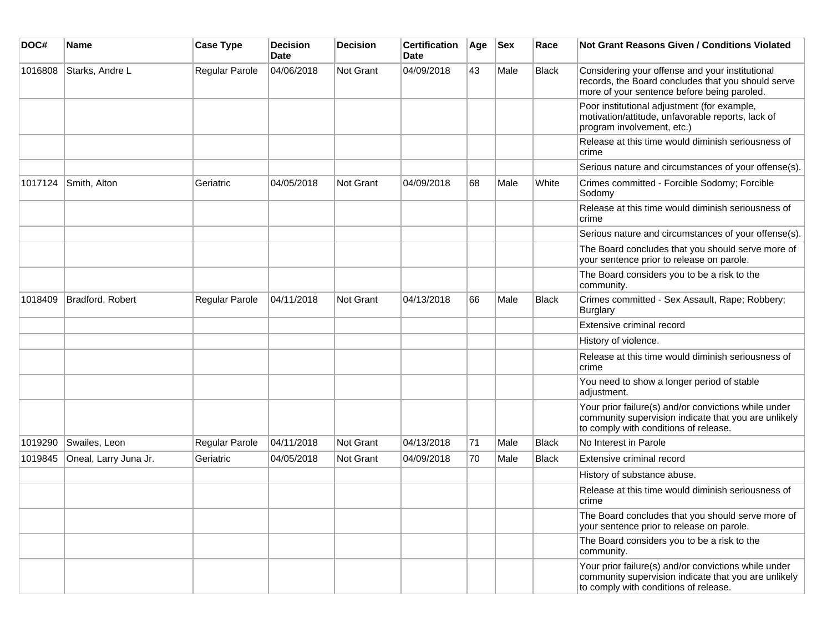| DOC#    | Name                  | <b>Case Type</b> | <b>Decision</b><br>Date | <b>Decision</b>  | <b>Certification</b><br><b>Date</b> | Age | <b>Sex</b> | Race         | Not Grant Reasons Given / Conditions Violated                                                                                                         |
|---------|-----------------------|------------------|-------------------------|------------------|-------------------------------------|-----|------------|--------------|-------------------------------------------------------------------------------------------------------------------------------------------------------|
| 1016808 | Starks, Andre L       | Regular Parole   | 04/06/2018              | Not Grant        | 04/09/2018                          | 43  | Male       | <b>Black</b> | Considering your offense and your institutional<br>records, the Board concludes that you should serve<br>more of your sentence before being paroled.  |
|         |                       |                  |                         |                  |                                     |     |            |              | Poor institutional adjustment (for example,<br>motivation/attitude, unfavorable reports, lack of<br>program involvement, etc.)                        |
|         |                       |                  |                         |                  |                                     |     |            |              | Release at this time would diminish seriousness of<br>crime                                                                                           |
|         |                       |                  |                         |                  |                                     |     |            |              | Serious nature and circumstances of your offense(s).                                                                                                  |
| 1017124 | Smith, Alton          | Geriatric        | 04/05/2018              | Not Grant        | 04/09/2018                          | 68  | Male       | White        | Crimes committed - Forcible Sodomy; Forcible<br>Sodomy                                                                                                |
|         |                       |                  |                         |                  |                                     |     |            |              | Release at this time would diminish seriousness of<br>crime                                                                                           |
|         |                       |                  |                         |                  |                                     |     |            |              | Serious nature and circumstances of your offense(s).                                                                                                  |
|         |                       |                  |                         |                  |                                     |     |            |              | The Board concludes that you should serve more of<br>your sentence prior to release on parole.                                                        |
|         |                       |                  |                         |                  |                                     |     |            |              | The Board considers you to be a risk to the<br>community.                                                                                             |
| 1018409 | Bradford, Robert      | Regular Parole   | 04/11/2018              | Not Grant        | 04/13/2018                          | 66  | Male       | Black        | Crimes committed - Sex Assault, Rape; Robbery;<br>Burglary                                                                                            |
|         |                       |                  |                         |                  |                                     |     |            |              | Extensive criminal record                                                                                                                             |
|         |                       |                  |                         |                  |                                     |     |            |              | History of violence.                                                                                                                                  |
|         |                       |                  |                         |                  |                                     |     |            |              | Release at this time would diminish seriousness of<br>crime                                                                                           |
|         |                       |                  |                         |                  |                                     |     |            |              | You need to show a longer period of stable<br>adjustment.                                                                                             |
|         |                       |                  |                         |                  |                                     |     |            |              | Your prior failure(s) and/or convictions while under<br>community supervision indicate that you are unlikely<br>to comply with conditions of release. |
| 1019290 | Swailes, Leon         | Regular Parole   | 04/11/2018              | Not Grant        | 04/13/2018                          | 71  | Male       | <b>Black</b> | No Interest in Parole                                                                                                                                 |
| 1019845 | Oneal, Larry Juna Jr. | Geriatric        | 04/05/2018              | <b>Not Grant</b> | 04/09/2018                          | 70  | Male       | Black        | Extensive criminal record                                                                                                                             |
|         |                       |                  |                         |                  |                                     |     |            |              | History of substance abuse.                                                                                                                           |
|         |                       |                  |                         |                  |                                     |     |            |              | Release at this time would diminish seriousness of<br>crime                                                                                           |
|         |                       |                  |                         |                  |                                     |     |            |              | The Board concludes that you should serve more of<br>your sentence prior to release on parole.                                                        |
|         |                       |                  |                         |                  |                                     |     |            |              | The Board considers you to be a risk to the<br>community.                                                                                             |
|         |                       |                  |                         |                  |                                     |     |            |              | Your prior failure(s) and/or convictions while under<br>community supervision indicate that you are unlikely<br>to comply with conditions of release. |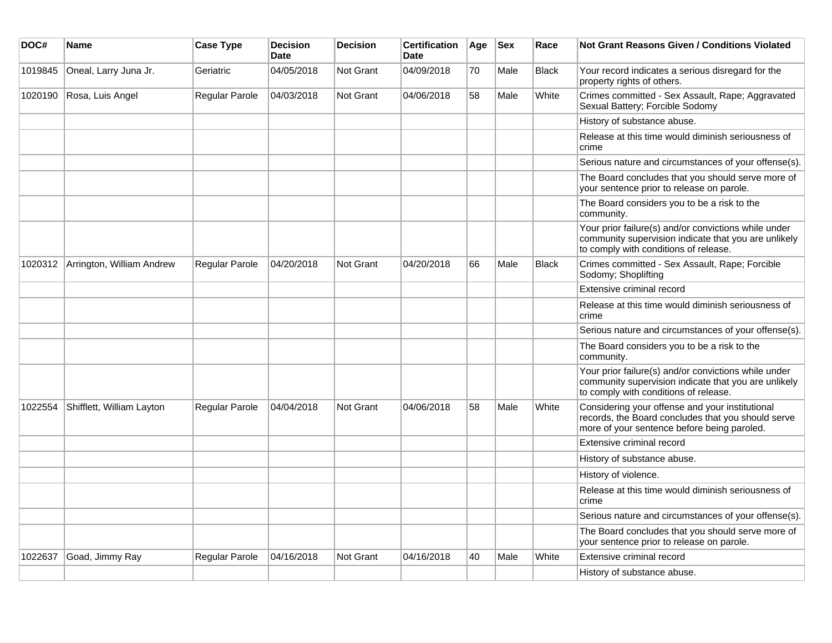| DOC#    | <b>Name</b>               | <b>Case Type</b> | <b>Decision</b><br><b>Date</b> | <b>Decision</b>  | <b>Certification</b><br>Date | Age | <b>Sex</b> | Race         | <b>Not Grant Reasons Given / Conditions Violated</b>                                                                                                  |
|---------|---------------------------|------------------|--------------------------------|------------------|------------------------------|-----|------------|--------------|-------------------------------------------------------------------------------------------------------------------------------------------------------|
| 1019845 | Oneal, Larry Juna Jr.     | Geriatric        | 04/05/2018                     | Not Grant        | 04/09/2018                   | 70  | Male       | <b>Black</b> | Your record indicates a serious disregard for the<br>property rights of others.                                                                       |
| 1020190 | Rosa, Luis Angel          | Regular Parole   | 04/03/2018                     | <b>Not Grant</b> | 04/06/2018                   | 58  | Male       | White        | Crimes committed - Sex Assault, Rape; Aggravated<br>Sexual Battery; Forcible Sodomy                                                                   |
|         |                           |                  |                                |                  |                              |     |            |              | History of substance abuse.                                                                                                                           |
|         |                           |                  |                                |                  |                              |     |            |              | Release at this time would diminish seriousness of<br>crime                                                                                           |
|         |                           |                  |                                |                  |                              |     |            |              | Serious nature and circumstances of your offense(s).                                                                                                  |
|         |                           |                  |                                |                  |                              |     |            |              | The Board concludes that you should serve more of<br>your sentence prior to release on parole.                                                        |
|         |                           |                  |                                |                  |                              |     |            |              | The Board considers you to be a risk to the<br>community.                                                                                             |
|         |                           |                  |                                |                  |                              |     |            |              | Your prior failure(s) and/or convictions while under<br>community supervision indicate that you are unlikely<br>to comply with conditions of release. |
| 1020312 | Arrington, William Andrew | Regular Parole   | 04/20/2018                     | Not Grant        | 04/20/2018                   | 66  | Male       | <b>Black</b> | Crimes committed - Sex Assault, Rape; Forcible<br>Sodomy; Shoplifting                                                                                 |
|         |                           |                  |                                |                  |                              |     |            |              | Extensive criminal record                                                                                                                             |
|         |                           |                  |                                |                  |                              |     |            |              | Release at this time would diminish seriousness of<br>crime                                                                                           |
|         |                           |                  |                                |                  |                              |     |            |              | Serious nature and circumstances of your offense(s).                                                                                                  |
|         |                           |                  |                                |                  |                              |     |            |              | The Board considers you to be a risk to the<br>community.                                                                                             |
|         |                           |                  |                                |                  |                              |     |            |              | Your prior failure(s) and/or convictions while under<br>community supervision indicate that you are unlikely<br>to comply with conditions of release. |
| 1022554 | Shifflett, William Layton | Regular Parole   | 04/04/2018                     | Not Grant        | 04/06/2018                   | 58  | Male       | White        | Considering your offense and your institutional<br>records, the Board concludes that you should serve<br>more of your sentence before being paroled.  |
|         |                           |                  |                                |                  |                              |     |            |              | Extensive criminal record                                                                                                                             |
|         |                           |                  |                                |                  |                              |     |            |              | History of substance abuse.                                                                                                                           |
|         |                           |                  |                                |                  |                              |     |            |              | History of violence.                                                                                                                                  |
|         |                           |                  |                                |                  |                              |     |            |              | Release at this time would diminish seriousness of<br>crime                                                                                           |
|         |                           |                  |                                |                  |                              |     |            |              | Serious nature and circumstances of your offense(s).                                                                                                  |
|         |                           |                  |                                |                  |                              |     |            |              | The Board concludes that you should serve more of<br>your sentence prior to release on parole.                                                        |
| 1022637 | Goad, Jimmy Ray           | Regular Parole   | 04/16/2018                     | Not Grant        | 04/16/2018                   | 40  | Male       | White        | Extensive criminal record                                                                                                                             |
|         |                           |                  |                                |                  |                              |     |            |              | History of substance abuse.                                                                                                                           |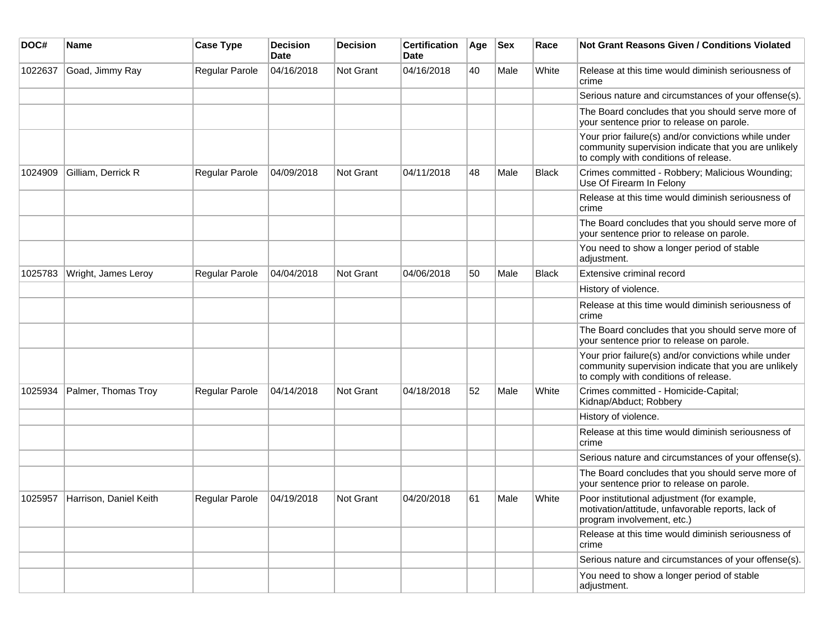| DOC#    | Name                   | <b>Case Type</b>      | <b>Decision</b><br>Date | <b>Decision</b>  | <b>Certification</b><br>Date | Age | <b>Sex</b> | Race         | <b>Not Grant Reasons Given / Conditions Violated</b>                                                                                                  |
|---------|------------------------|-----------------------|-------------------------|------------------|------------------------------|-----|------------|--------------|-------------------------------------------------------------------------------------------------------------------------------------------------------|
| 1022637 | Goad, Jimmy Ray        | <b>Regular Parole</b> | 04/16/2018              | Not Grant        | 04/16/2018                   | 40  | Male       | White        | Release at this time would diminish seriousness of<br>crime                                                                                           |
|         |                        |                       |                         |                  |                              |     |            |              | Serious nature and circumstances of your offense(s).                                                                                                  |
|         |                        |                       |                         |                  |                              |     |            |              | The Board concludes that you should serve more of<br>your sentence prior to release on parole.                                                        |
|         |                        |                       |                         |                  |                              |     |            |              | Your prior failure(s) and/or convictions while under<br>community supervision indicate that you are unlikely<br>to comply with conditions of release. |
| 1024909 | Gilliam, Derrick R     | Regular Parole        | 04/09/2018              | <b>Not Grant</b> | 04/11/2018                   | 48  | Male       | <b>Black</b> | Crimes committed - Robbery; Malicious Wounding;<br>Use Of Firearm In Felony                                                                           |
|         |                        |                       |                         |                  |                              |     |            |              | Release at this time would diminish seriousness of<br>crime                                                                                           |
|         |                        |                       |                         |                  |                              |     |            |              | The Board concludes that you should serve more of<br>your sentence prior to release on parole.                                                        |
|         |                        |                       |                         |                  |                              |     |            |              | You need to show a longer period of stable<br>adjustment.                                                                                             |
| 1025783 | Wright, James Leroy    | Regular Parole        | 04/04/2018              | <b>Not Grant</b> | 04/06/2018                   | 50  | Male       | <b>Black</b> | Extensive criminal record                                                                                                                             |
|         |                        |                       |                         |                  |                              |     |            |              | History of violence.                                                                                                                                  |
|         |                        |                       |                         |                  |                              |     |            |              | Release at this time would diminish seriousness of<br>crime                                                                                           |
|         |                        |                       |                         |                  |                              |     |            |              | The Board concludes that you should serve more of<br>your sentence prior to release on parole.                                                        |
|         |                        |                       |                         |                  |                              |     |            |              | Your prior failure(s) and/or convictions while under<br>community supervision indicate that you are unlikely<br>to comply with conditions of release. |
| 1025934 | Palmer, Thomas Troy    | <b>Regular Parole</b> | 04/14/2018              | <b>Not Grant</b> | 04/18/2018                   | 52  | Male       | White        | Crimes committed - Homicide-Capital;<br>Kidnap/Abduct; Robbery                                                                                        |
|         |                        |                       |                         |                  |                              |     |            |              | History of violence.                                                                                                                                  |
|         |                        |                       |                         |                  |                              |     |            |              | Release at this time would diminish seriousness of<br>crime                                                                                           |
|         |                        |                       |                         |                  |                              |     |            |              | Serious nature and circumstances of your offense(s).                                                                                                  |
|         |                        |                       |                         |                  |                              |     |            |              | The Board concludes that you should serve more of<br>your sentence prior to release on parole.                                                        |
| 1025957 | Harrison, Daniel Keith | <b>Regular Parole</b> | 04/19/2018              | Not Grant        | 04/20/2018                   | 61  | Male       | White        | Poor institutional adjustment (for example,<br>motivation/attitude, unfavorable reports, lack of<br>program involvement, etc.)                        |
|         |                        |                       |                         |                  |                              |     |            |              | Release at this time would diminish seriousness of<br>crime                                                                                           |
|         |                        |                       |                         |                  |                              |     |            |              | Serious nature and circumstances of your offense(s).                                                                                                  |
|         |                        |                       |                         |                  |                              |     |            |              | You need to show a longer period of stable<br>adjustment.                                                                                             |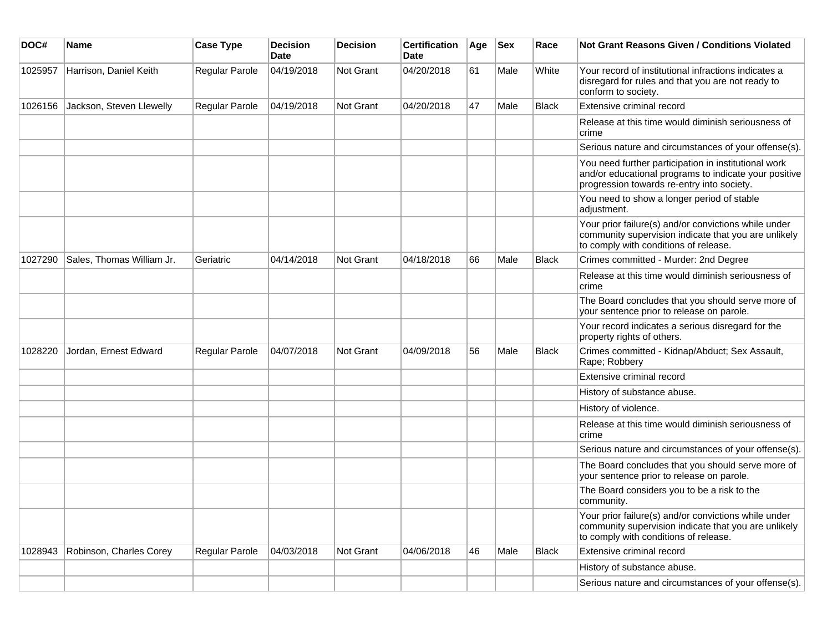| DOC#    | <b>Name</b>               | <b>Case Type</b> | <b>Decision</b><br><b>Date</b> | <b>Decision</b>  | <b>Certification</b><br>Date | Age | <b>Sex</b> | Race         | Not Grant Reasons Given / Conditions Violated                                                                                                               |
|---------|---------------------------|------------------|--------------------------------|------------------|------------------------------|-----|------------|--------------|-------------------------------------------------------------------------------------------------------------------------------------------------------------|
| 1025957 | Harrison, Daniel Keith    | Regular Parole   | 04/19/2018                     | Not Grant        | 04/20/2018                   | 61  | Male       | White        | Your record of institutional infractions indicates a<br>disregard for rules and that you are not ready to<br>conform to society.                            |
| 1026156 | Jackson, Steven Llewelly  | Regular Parole   | 04/19/2018                     | Not Grant        | 04/20/2018                   | 47  | Male       | Black        | Extensive criminal record                                                                                                                                   |
|         |                           |                  |                                |                  |                              |     |            |              | Release at this time would diminish seriousness of<br>crime                                                                                                 |
|         |                           |                  |                                |                  |                              |     |            |              | Serious nature and circumstances of your offense(s).                                                                                                        |
|         |                           |                  |                                |                  |                              |     |            |              | You need further participation in institutional work<br>and/or educational programs to indicate your positive<br>progression towards re-entry into society. |
|         |                           |                  |                                |                  |                              |     |            |              | You need to show a longer period of stable<br>adjustment.                                                                                                   |
|         |                           |                  |                                |                  |                              |     |            |              | Your prior failure(s) and/or convictions while under<br>community supervision indicate that you are unlikely<br>to comply with conditions of release.       |
| 1027290 | Sales, Thomas William Jr. | Geriatric        | 04/14/2018                     | <b>Not Grant</b> | 04/18/2018                   | 66  | Male       | <b>Black</b> | Crimes committed - Murder: 2nd Degree                                                                                                                       |
|         |                           |                  |                                |                  |                              |     |            |              | Release at this time would diminish seriousness of<br>crime                                                                                                 |
|         |                           |                  |                                |                  |                              |     |            |              | The Board concludes that you should serve more of<br>your sentence prior to release on parole.                                                              |
|         |                           |                  |                                |                  |                              |     |            |              | Your record indicates a serious disregard for the<br>property rights of others.                                                                             |
| 1028220 | Jordan, Ernest Edward     | Regular Parole   | 04/07/2018                     | Not Grant        | 04/09/2018                   | 56  | Male       | <b>Black</b> | Crimes committed - Kidnap/Abduct; Sex Assault,<br>Rape; Robbery                                                                                             |
|         |                           |                  |                                |                  |                              |     |            |              | Extensive criminal record                                                                                                                                   |
|         |                           |                  |                                |                  |                              |     |            |              | History of substance abuse.                                                                                                                                 |
|         |                           |                  |                                |                  |                              |     |            |              | History of violence.                                                                                                                                        |
|         |                           |                  |                                |                  |                              |     |            |              | Release at this time would diminish seriousness of<br>crime                                                                                                 |
|         |                           |                  |                                |                  |                              |     |            |              | Serious nature and circumstances of your offense(s).                                                                                                        |
|         |                           |                  |                                |                  |                              |     |            |              | The Board concludes that you should serve more of<br>your sentence prior to release on parole.                                                              |
|         |                           |                  |                                |                  |                              |     |            |              | The Board considers you to be a risk to the<br>community.                                                                                                   |
|         |                           |                  |                                |                  |                              |     |            |              | Your prior failure(s) and/or convictions while under<br>community supervision indicate that you are unlikely<br>to comply with conditions of release.       |
| 1028943 | Robinson, Charles Corey   | Regular Parole   | 04/03/2018                     | Not Grant        | 04/06/2018                   | 46  | Male       | <b>Black</b> | Extensive criminal record                                                                                                                                   |
|         |                           |                  |                                |                  |                              |     |            |              | History of substance abuse.                                                                                                                                 |
|         |                           |                  |                                |                  |                              |     |            |              | Serious nature and circumstances of your offense(s).                                                                                                        |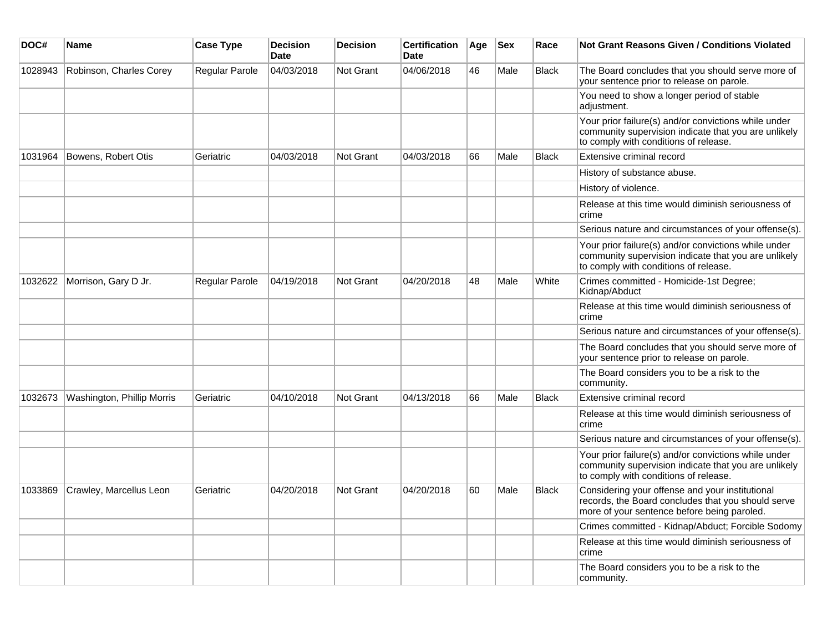| DOC#    | <b>Name</b>                | <b>Case Type</b> | <b>Decision</b><br><b>Date</b> | <b>Decision</b>  | <b>Certification</b><br><b>Date</b> | Age | <b>Sex</b> | Race         | <b>Not Grant Reasons Given / Conditions Violated</b>                                                                                                  |
|---------|----------------------------|------------------|--------------------------------|------------------|-------------------------------------|-----|------------|--------------|-------------------------------------------------------------------------------------------------------------------------------------------------------|
| 1028943 | Robinson, Charles Corey    | Regular Parole   | 04/03/2018                     | Not Grant        | 04/06/2018                          | 46  | Male       | <b>Black</b> | The Board concludes that you should serve more of<br>your sentence prior to release on parole.                                                        |
|         |                            |                  |                                |                  |                                     |     |            |              | You need to show a longer period of stable<br>adjustment.                                                                                             |
|         |                            |                  |                                |                  |                                     |     |            |              | Your prior failure(s) and/or convictions while under<br>community supervision indicate that you are unlikely<br>to comply with conditions of release. |
| 1031964 | Bowens, Robert Otis        | Geriatric        | 04/03/2018                     | Not Grant        | 04/03/2018                          | 66  | Male       | <b>Black</b> | Extensive criminal record                                                                                                                             |
|         |                            |                  |                                |                  |                                     |     |            |              | History of substance abuse.                                                                                                                           |
|         |                            |                  |                                |                  |                                     |     |            |              | History of violence.                                                                                                                                  |
|         |                            |                  |                                |                  |                                     |     |            |              | Release at this time would diminish seriousness of<br>crime                                                                                           |
|         |                            |                  |                                |                  |                                     |     |            |              | Serious nature and circumstances of your offense(s).                                                                                                  |
|         |                            |                  |                                |                  |                                     |     |            |              | Your prior failure(s) and/or convictions while under<br>community supervision indicate that you are unlikely<br>to comply with conditions of release. |
| 1032622 | Morrison, Gary D Jr.       | Regular Parole   | 04/19/2018                     | <b>Not Grant</b> | 04/20/2018                          | 48  | Male       | White        | Crimes committed - Homicide-1st Degree;<br>Kidnap/Abduct                                                                                              |
|         |                            |                  |                                |                  |                                     |     |            |              | Release at this time would diminish seriousness of<br>crime                                                                                           |
|         |                            |                  |                                |                  |                                     |     |            |              | Serious nature and circumstances of your offense(s).                                                                                                  |
|         |                            |                  |                                |                  |                                     |     |            |              | The Board concludes that you should serve more of<br>your sentence prior to release on parole.                                                        |
|         |                            |                  |                                |                  |                                     |     |            |              | The Board considers you to be a risk to the<br>community.                                                                                             |
| 1032673 | Washington, Phillip Morris | Geriatric        | 04/10/2018                     | <b>Not Grant</b> | 04/13/2018                          | 66  | Male       | <b>Black</b> | Extensive criminal record                                                                                                                             |
|         |                            |                  |                                |                  |                                     |     |            |              | Release at this time would diminish seriousness of<br>crime                                                                                           |
|         |                            |                  |                                |                  |                                     |     |            |              | Serious nature and circumstances of your offense(s).                                                                                                  |
|         |                            |                  |                                |                  |                                     |     |            |              | Your prior failure(s) and/or convictions while under<br>community supervision indicate that you are unlikely<br>to comply with conditions of release. |
| 1033869 | Crawley, Marcellus Leon    | Geriatric        | 04/20/2018                     | <b>Not Grant</b> | 04/20/2018                          | 60  | Male       | <b>Black</b> | Considering your offense and your institutional<br>records, the Board concludes that you should serve<br>more of your sentence before being paroled.  |
|         |                            |                  |                                |                  |                                     |     |            |              | Crimes committed - Kidnap/Abduct; Forcible Sodomy                                                                                                     |
|         |                            |                  |                                |                  |                                     |     |            |              | Release at this time would diminish seriousness of<br>crime                                                                                           |
|         |                            |                  |                                |                  |                                     |     |            |              | The Board considers you to be a risk to the<br>community.                                                                                             |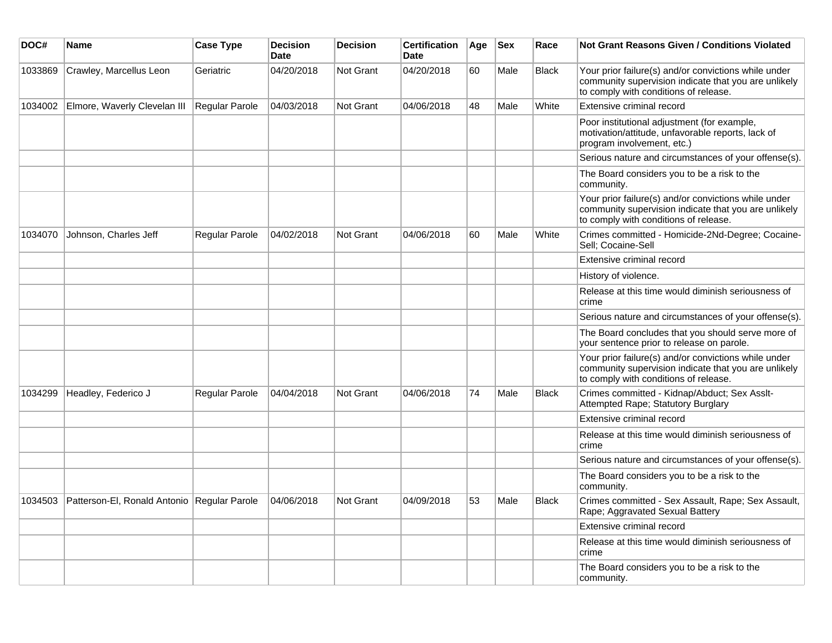| DOC#    | Name                                        | <b>Case Type</b>      | <b>Decision</b><br><b>Date</b> | <b>Decision</b> | <b>Certification</b><br><b>Date</b> | Age | <b>Sex</b> | Race         | <b>Not Grant Reasons Given / Conditions Violated</b>                                                                                                  |
|---------|---------------------------------------------|-----------------------|--------------------------------|-----------------|-------------------------------------|-----|------------|--------------|-------------------------------------------------------------------------------------------------------------------------------------------------------|
| 1033869 | Crawley, Marcellus Leon                     | Geriatric             | 04/20/2018                     | Not Grant       | 04/20/2018                          | 60  | Male       | <b>Black</b> | Your prior failure(s) and/or convictions while under<br>community supervision indicate that you are unlikely<br>to comply with conditions of release. |
|         | 1034002 Elmore, Waverly Clevelan III        | <b>Regular Parole</b> | 04/03/2018                     | Not Grant       | 04/06/2018                          | 48  | Male       | White        | Extensive criminal record                                                                                                                             |
|         |                                             |                       |                                |                 |                                     |     |            |              | Poor institutional adjustment (for example,<br>motivation/attitude, unfavorable reports, lack of<br>program involvement, etc.)                        |
|         |                                             |                       |                                |                 |                                     |     |            |              | Serious nature and circumstances of your offense(s).                                                                                                  |
|         |                                             |                       |                                |                 |                                     |     |            |              | The Board considers you to be a risk to the<br>community.                                                                                             |
|         |                                             |                       |                                |                 |                                     |     |            |              | Your prior failure(s) and/or convictions while under<br>community supervision indicate that you are unlikely<br>to comply with conditions of release. |
| 1034070 | Johnson, Charles Jeff                       | Regular Parole        | 04/02/2018                     | Not Grant       | 04/06/2018                          | 60  | Male       | White        | Crimes committed - Homicide-2Nd-Degree; Cocaine-<br>Sell; Cocaine-Sell                                                                                |
|         |                                             |                       |                                |                 |                                     |     |            |              | Extensive criminal record                                                                                                                             |
|         |                                             |                       |                                |                 |                                     |     |            |              | History of violence.                                                                                                                                  |
|         |                                             |                       |                                |                 |                                     |     |            |              | Release at this time would diminish seriousness of<br>crime                                                                                           |
|         |                                             |                       |                                |                 |                                     |     |            |              | Serious nature and circumstances of your offense(s).                                                                                                  |
|         |                                             |                       |                                |                 |                                     |     |            |              | The Board concludes that you should serve more of<br>your sentence prior to release on parole.                                                        |
|         |                                             |                       |                                |                 |                                     |     |            |              | Your prior failure(s) and/or convictions while under<br>community supervision indicate that you are unlikely<br>to comply with conditions of release. |
| 1034299 | Headley, Federico J                         | Regular Parole        | 04/04/2018                     | Not Grant       | 04/06/2018                          | 74  | Male       | <b>Black</b> | Crimes committed - Kidnap/Abduct; Sex Asslt-<br>Attempted Rape; Statutory Burglary                                                                    |
|         |                                             |                       |                                |                 |                                     |     |            |              | Extensive criminal record                                                                                                                             |
|         |                                             |                       |                                |                 |                                     |     |            |              | Release at this time would diminish seriousness of<br>crime                                                                                           |
|         |                                             |                       |                                |                 |                                     |     |            |              | Serious nature and circumstances of your offense(s).                                                                                                  |
|         |                                             |                       |                                |                 |                                     |     |            |              | The Board considers you to be a risk to the<br>community.                                                                                             |
| 1034503 | Patterson-El, Ronald Antonio Regular Parole |                       | 04/06/2018                     | Not Grant       | 04/09/2018                          | 53  | Male       | <b>Black</b> | Crimes committed - Sex Assault, Rape; Sex Assault,<br>Rape; Aggravated Sexual Battery                                                                 |
|         |                                             |                       |                                |                 |                                     |     |            |              | Extensive criminal record                                                                                                                             |
|         |                                             |                       |                                |                 |                                     |     |            |              | Release at this time would diminish seriousness of<br>crime                                                                                           |
|         |                                             |                       |                                |                 |                                     |     |            |              | The Board considers you to be a risk to the<br>community.                                                                                             |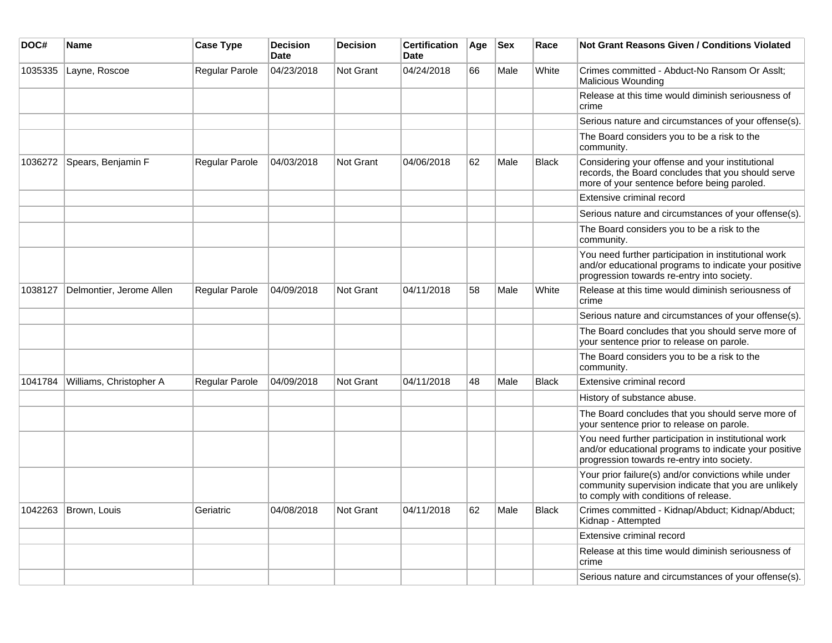| DOC#    | <b>Name</b>              | <b>Case Type</b> | <b>Decision</b><br><b>Date</b> | <b>Decision</b>  | <b>Certification</b><br><b>Date</b> | Age | <b>Sex</b> | Race         | <b>Not Grant Reasons Given / Conditions Violated</b>                                                                                                        |
|---------|--------------------------|------------------|--------------------------------|------------------|-------------------------------------|-----|------------|--------------|-------------------------------------------------------------------------------------------------------------------------------------------------------------|
| 1035335 | Layne, Roscoe            | Regular Parole   | 04/23/2018                     | Not Grant        | 04/24/2018                          | 66  | Male       | White        | Crimes committed - Abduct-No Ransom Or Asslt;<br>Malicious Wounding                                                                                         |
|         |                          |                  |                                |                  |                                     |     |            |              | Release at this time would diminish seriousness of<br>crime                                                                                                 |
|         |                          |                  |                                |                  |                                     |     |            |              | Serious nature and circumstances of your offense(s).                                                                                                        |
|         |                          |                  |                                |                  |                                     |     |            |              | The Board considers you to be a risk to the<br>community.                                                                                                   |
| 1036272 | Spears, Benjamin F       | Regular Parole   | 04/03/2018                     | <b>Not Grant</b> | 04/06/2018                          | 62  | Male       | <b>Black</b> | Considering your offense and your institutional<br>records, the Board concludes that you should serve<br>more of your sentence before being paroled.        |
|         |                          |                  |                                |                  |                                     |     |            |              | Extensive criminal record                                                                                                                                   |
|         |                          |                  |                                |                  |                                     |     |            |              | Serious nature and circumstances of your offense(s).                                                                                                        |
|         |                          |                  |                                |                  |                                     |     |            |              | The Board considers you to be a risk to the<br>community.                                                                                                   |
|         |                          |                  |                                |                  |                                     |     |            |              | You need further participation in institutional work<br>and/or educational programs to indicate your positive<br>progression towards re-entry into society. |
| 1038127 | Delmontier, Jerome Allen | Regular Parole   | 04/09/2018                     | <b>Not Grant</b> | 04/11/2018                          | 58  | Male       | White        | Release at this time would diminish seriousness of<br>crime                                                                                                 |
|         |                          |                  |                                |                  |                                     |     |            |              | Serious nature and circumstances of your offense(s).                                                                                                        |
|         |                          |                  |                                |                  |                                     |     |            |              | The Board concludes that you should serve more of<br>your sentence prior to release on parole.                                                              |
|         |                          |                  |                                |                  |                                     |     |            |              | The Board considers you to be a risk to the<br>community.                                                                                                   |
| 1041784 | Williams, Christopher A  | Regular Parole   | 04/09/2018                     | <b>Not Grant</b> | 04/11/2018                          | 48  | Male       | <b>Black</b> | Extensive criminal record                                                                                                                                   |
|         |                          |                  |                                |                  |                                     |     |            |              | History of substance abuse.                                                                                                                                 |
|         |                          |                  |                                |                  |                                     |     |            |              | The Board concludes that you should serve more of<br>your sentence prior to release on parole.                                                              |
|         |                          |                  |                                |                  |                                     |     |            |              | You need further participation in institutional work<br>and/or educational programs to indicate your positive<br>progression towards re-entry into society. |
|         |                          |                  |                                |                  |                                     |     |            |              | Your prior failure(s) and/or convictions while under<br>community supervision indicate that you are unlikely<br>to comply with conditions of release.       |
| 1042263 | Brown, Louis             | Geriatric        | 04/08/2018                     | Not Grant        | 04/11/2018                          | 62  | Male       | <b>Black</b> | Crimes committed - Kidnap/Abduct; Kidnap/Abduct;<br>Kidnap - Attempted                                                                                      |
|         |                          |                  |                                |                  |                                     |     |            |              | Extensive criminal record                                                                                                                                   |
|         |                          |                  |                                |                  |                                     |     |            |              | Release at this time would diminish seriousness of<br>crime                                                                                                 |
|         |                          |                  |                                |                  |                                     |     |            |              | Serious nature and circumstances of your offense(s).                                                                                                        |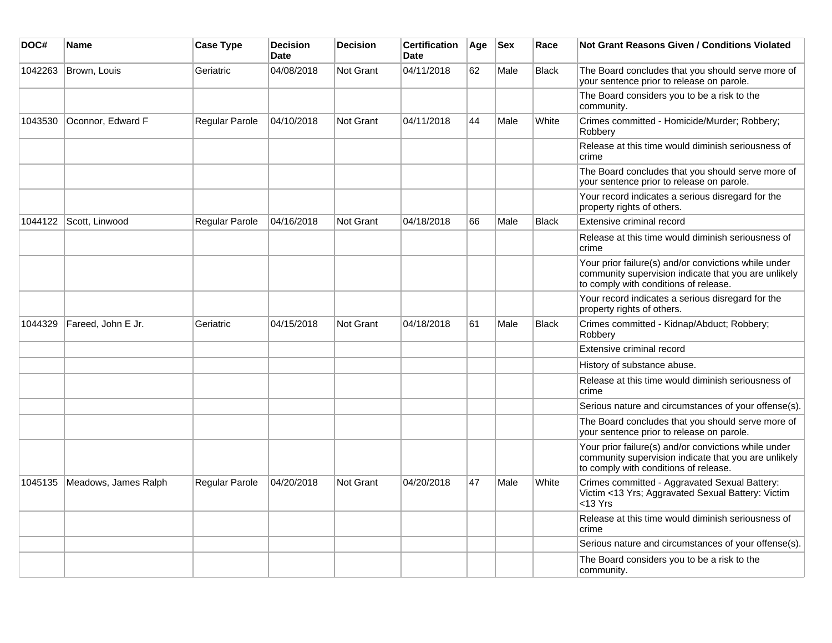| DOC#    | <b>Name</b>          | <b>Case Type</b> | <b>Decision</b><br><b>Date</b> | <b>Decision</b>  | <b>Certification</b><br><b>Date</b> | Age | <b>Sex</b> | Race         | Not Grant Reasons Given / Conditions Violated                                                                                                         |
|---------|----------------------|------------------|--------------------------------|------------------|-------------------------------------|-----|------------|--------------|-------------------------------------------------------------------------------------------------------------------------------------------------------|
| 1042263 | Brown, Louis         | Geriatric        | 04/08/2018                     | <b>Not Grant</b> | 04/11/2018                          | 62  | Male       | <b>Black</b> | The Board concludes that you should serve more of<br>your sentence prior to release on parole.                                                        |
|         |                      |                  |                                |                  |                                     |     |            |              | The Board considers you to be a risk to the<br>community.                                                                                             |
| 1043530 | Oconnor, Edward F    | Regular Parole   | 04/10/2018                     | Not Grant        | 04/11/2018                          | 44  | Male       | White        | Crimes committed - Homicide/Murder; Robbery;<br>Robbery                                                                                               |
|         |                      |                  |                                |                  |                                     |     |            |              | Release at this time would diminish seriousness of<br>crime                                                                                           |
|         |                      |                  |                                |                  |                                     |     |            |              | The Board concludes that you should serve more of<br>your sentence prior to release on parole.                                                        |
|         |                      |                  |                                |                  |                                     |     |            |              | Your record indicates a serious disregard for the<br>property rights of others.                                                                       |
| 1044122 | Scott, Linwood       | Regular Parole   | 04/16/2018                     | <b>Not Grant</b> | 04/18/2018                          | 66  | Male       | <b>Black</b> | Extensive criminal record                                                                                                                             |
|         |                      |                  |                                |                  |                                     |     |            |              | Release at this time would diminish seriousness of<br>crime                                                                                           |
|         |                      |                  |                                |                  |                                     |     |            |              | Your prior failure(s) and/or convictions while under<br>community supervision indicate that you are unlikely<br>to comply with conditions of release. |
|         |                      |                  |                                |                  |                                     |     |            |              | Your record indicates a serious disregard for the<br>property rights of others.                                                                       |
| 1044329 | Fareed, John E Jr.   | Geriatric        | 04/15/2018                     | <b>Not Grant</b> | 04/18/2018                          | 61  | Male       | <b>Black</b> | Crimes committed - Kidnap/Abduct; Robbery;<br>Robbery                                                                                                 |
|         |                      |                  |                                |                  |                                     |     |            |              | Extensive criminal record                                                                                                                             |
|         |                      |                  |                                |                  |                                     |     |            |              | History of substance abuse.                                                                                                                           |
|         |                      |                  |                                |                  |                                     |     |            |              | Release at this time would diminish seriousness of<br>crime                                                                                           |
|         |                      |                  |                                |                  |                                     |     |            |              | Serious nature and circumstances of your offense(s).                                                                                                  |
|         |                      |                  |                                |                  |                                     |     |            |              | The Board concludes that you should serve more of<br>your sentence prior to release on parole.                                                        |
|         |                      |                  |                                |                  |                                     |     |            |              | Your prior failure(s) and/or convictions while under<br>community supervision indicate that you are unlikely<br>to comply with conditions of release. |
| 1045135 | Meadows, James Ralph | Regular Parole   | 04/20/2018                     | Not Grant        | 04/20/2018                          | 47  | Male       | White        | Crimes committed - Aggravated Sexual Battery:<br>Victim <13 Yrs; Aggravated Sexual Battery: Victim<br>$<$ 13 Yrs                                      |
|         |                      |                  |                                |                  |                                     |     |            |              | Release at this time would diminish seriousness of<br>crime                                                                                           |
|         |                      |                  |                                |                  |                                     |     |            |              | Serious nature and circumstances of your offense(s).                                                                                                  |
|         |                      |                  |                                |                  |                                     |     |            |              | The Board considers you to be a risk to the<br>community.                                                                                             |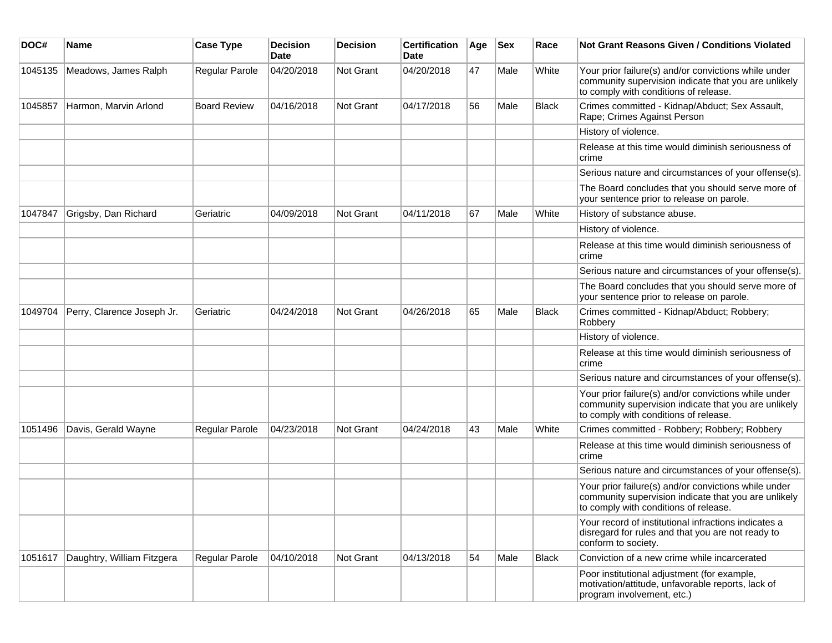| DOC#    | Name                       | <b>Case Type</b>      | <b>Decision</b><br>Date | <b>Decision</b> | <b>Certification</b><br>Date | Age | <b>Sex</b> | Race         | <b>Not Grant Reasons Given / Conditions Violated</b>                                                                                                  |
|---------|----------------------------|-----------------------|-------------------------|-----------------|------------------------------|-----|------------|--------------|-------------------------------------------------------------------------------------------------------------------------------------------------------|
| 1045135 | Meadows, James Ralph       | Regular Parole        | 04/20/2018              | Not Grant       | 04/20/2018                   | 47  | Male       | White        | Your prior failure(s) and/or convictions while under<br>community supervision indicate that you are unlikely<br>to comply with conditions of release. |
| 1045857 | Harmon, Marvin Arlond      | <b>Board Review</b>   | 04/16/2018              | Not Grant       | 04/17/2018                   | 56  | Male       | <b>Black</b> | Crimes committed - Kidnap/Abduct; Sex Assault,<br>Rape; Crimes Against Person                                                                         |
|         |                            |                       |                         |                 |                              |     |            |              | History of violence.                                                                                                                                  |
|         |                            |                       |                         |                 |                              |     |            |              | Release at this time would diminish seriousness of<br>crime                                                                                           |
|         |                            |                       |                         |                 |                              |     |            |              | Serious nature and circumstances of your offense(s).                                                                                                  |
|         |                            |                       |                         |                 |                              |     |            |              | The Board concludes that you should serve more of<br>your sentence prior to release on parole.                                                        |
| 1047847 | Grigsby, Dan Richard       | Geriatric             | 04/09/2018              | Not Grant       | 04/11/2018                   | 67  | Male       | White        | History of substance abuse.                                                                                                                           |
|         |                            |                       |                         |                 |                              |     |            |              | History of violence.                                                                                                                                  |
|         |                            |                       |                         |                 |                              |     |            |              | Release at this time would diminish seriousness of<br>crime                                                                                           |
|         |                            |                       |                         |                 |                              |     |            |              | Serious nature and circumstances of your offense(s).                                                                                                  |
|         |                            |                       |                         |                 |                              |     |            |              | The Board concludes that you should serve more of<br>your sentence prior to release on parole.                                                        |
| 1049704 | Perry, Clarence Joseph Jr. | Geriatric             | 04/24/2018              | Not Grant       | 04/26/2018                   | 65  | Male       | <b>Black</b> | Crimes committed - Kidnap/Abduct; Robbery;<br>Robbery                                                                                                 |
|         |                            |                       |                         |                 |                              |     |            |              | History of violence.                                                                                                                                  |
|         |                            |                       |                         |                 |                              |     |            |              | Release at this time would diminish seriousness of<br>crime                                                                                           |
|         |                            |                       |                         |                 |                              |     |            |              | Serious nature and circumstances of your offense(s).                                                                                                  |
|         |                            |                       |                         |                 |                              |     |            |              | Your prior failure(s) and/or convictions while under<br>community supervision indicate that you are unlikely<br>to comply with conditions of release. |
| 1051496 | Davis, Gerald Wayne        | <b>Regular Parole</b> | 04/23/2018              | Not Grant       | 04/24/2018                   | 43  | Male       | White        | Crimes committed - Robbery; Robbery; Robbery                                                                                                          |
|         |                            |                       |                         |                 |                              |     |            |              | Release at this time would diminish seriousness of<br>crime                                                                                           |
|         |                            |                       |                         |                 |                              |     |            |              | Serious nature and circumstances of your offense(s).                                                                                                  |
|         |                            |                       |                         |                 |                              |     |            |              | Your prior failure(s) and/or convictions while under<br>community supervision indicate that you are unlikely<br>to comply with conditions of release. |
|         |                            |                       |                         |                 |                              |     |            |              | Your record of institutional infractions indicates a<br>disregard for rules and that you are not ready to<br>conform to society.                      |
| 1051617 | Daughtry, William Fitzgera | Regular Parole        | 04/10/2018              | Not Grant       | 04/13/2018                   | 54  | Male       | Black        | Conviction of a new crime while incarcerated                                                                                                          |
|         |                            |                       |                         |                 |                              |     |            |              | Poor institutional adjustment (for example,<br>motivation/attitude, unfavorable reports, lack of<br>program involvement, etc.)                        |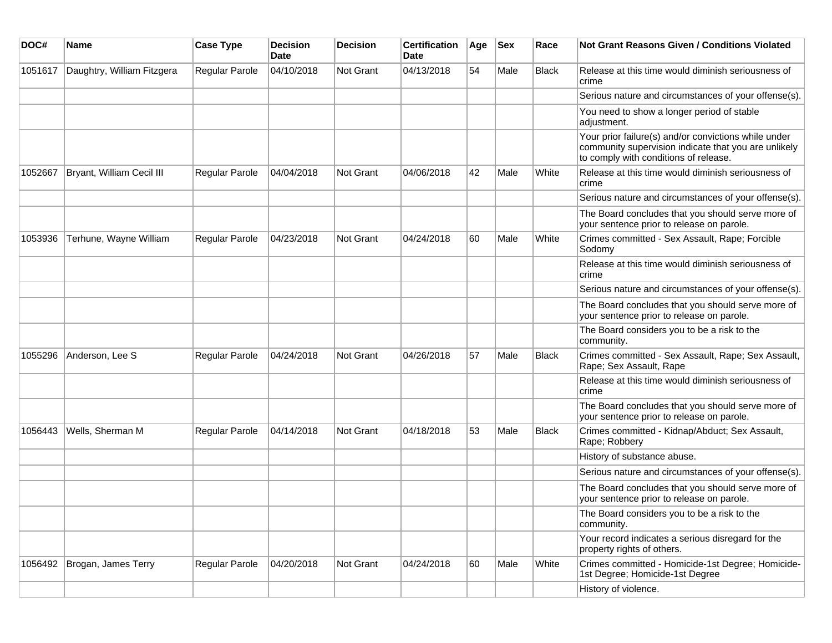| DOC#    | Name                       | <b>Case Type</b>      | <b>Decision</b><br>Date | <b>Decision</b> | <b>Certification</b><br>Date | Age | <b>Sex</b> | Race         | Not Grant Reasons Given / Conditions Violated                                                                                                         |
|---------|----------------------------|-----------------------|-------------------------|-----------------|------------------------------|-----|------------|--------------|-------------------------------------------------------------------------------------------------------------------------------------------------------|
| 1051617 | Daughtry, William Fitzgera | Regular Parole        | 04/10/2018              | Not Grant       | 04/13/2018                   | 54  | Male       | Black        | Release at this time would diminish seriousness of<br>crime                                                                                           |
|         |                            |                       |                         |                 |                              |     |            |              | Serious nature and circumstances of your offense(s).                                                                                                  |
|         |                            |                       |                         |                 |                              |     |            |              | You need to show a longer period of stable<br>adjustment.                                                                                             |
|         |                            |                       |                         |                 |                              |     |            |              | Your prior failure(s) and/or convictions while under<br>community supervision indicate that you are unlikely<br>to comply with conditions of release. |
| 1052667 | Bryant, William Cecil III  | Regular Parole        | 04/04/2018              | Not Grant       | 04/06/2018                   | 42  | Male       | White        | Release at this time would diminish seriousness of<br>crime                                                                                           |
|         |                            |                       |                         |                 |                              |     |            |              | Serious nature and circumstances of your offense(s).                                                                                                  |
|         |                            |                       |                         |                 |                              |     |            |              | The Board concludes that you should serve more of<br>your sentence prior to release on parole.                                                        |
| 1053936 | Terhune, Wayne William     | <b>Regular Parole</b> | 04/23/2018              | Not Grant       | 04/24/2018                   | 60  | Male       | White        | Crimes committed - Sex Assault, Rape; Forcible<br>Sodomy                                                                                              |
|         |                            |                       |                         |                 |                              |     |            |              | Release at this time would diminish seriousness of<br>crime                                                                                           |
|         |                            |                       |                         |                 |                              |     |            |              | Serious nature and circumstances of your offense(s).                                                                                                  |
|         |                            |                       |                         |                 |                              |     |            |              | The Board concludes that you should serve more of<br>your sentence prior to release on parole.                                                        |
|         |                            |                       |                         |                 |                              |     |            |              | The Board considers you to be a risk to the<br>community.                                                                                             |
| 1055296 | Anderson, Lee S            | Regular Parole        | 04/24/2018              | Not Grant       | 04/26/2018                   | 57  | Male       | <b>Black</b> | Crimes committed - Sex Assault, Rape; Sex Assault,<br>Rape; Sex Assault, Rape                                                                         |
|         |                            |                       |                         |                 |                              |     |            |              | Release at this time would diminish seriousness of<br>crime                                                                                           |
|         |                            |                       |                         |                 |                              |     |            |              | The Board concludes that you should serve more of<br>your sentence prior to release on parole.                                                        |
| 1056443 | Wells, Sherman M           | Regular Parole        | 04/14/2018              | Not Grant       | 04/18/2018                   | 53  | Male       | <b>Black</b> | Crimes committed - Kidnap/Abduct; Sex Assault,<br>Rape; Robbery                                                                                       |
|         |                            |                       |                         |                 |                              |     |            |              | History of substance abuse.                                                                                                                           |
|         |                            |                       |                         |                 |                              |     |            |              | Serious nature and circumstances of your offense(s).                                                                                                  |
|         |                            |                       |                         |                 |                              |     |            |              | The Board concludes that you should serve more of<br>your sentence prior to release on parole.                                                        |
|         |                            |                       |                         |                 |                              |     |            |              | The Board considers you to be a risk to the<br>community.                                                                                             |
|         |                            |                       |                         |                 |                              |     |            |              | Your record indicates a serious disregard for the<br>property rights of others.                                                                       |
| 1056492 | Brogan, James Terry        | Regular Parole        | 04/20/2018              | Not Grant       | 04/24/2018                   | 60  | Male       | White        | Crimes committed - Homicide-1st Degree; Homicide-<br>1st Degree; Homicide-1st Degree                                                                  |
|         |                            |                       |                         |                 |                              |     |            |              | History of violence.                                                                                                                                  |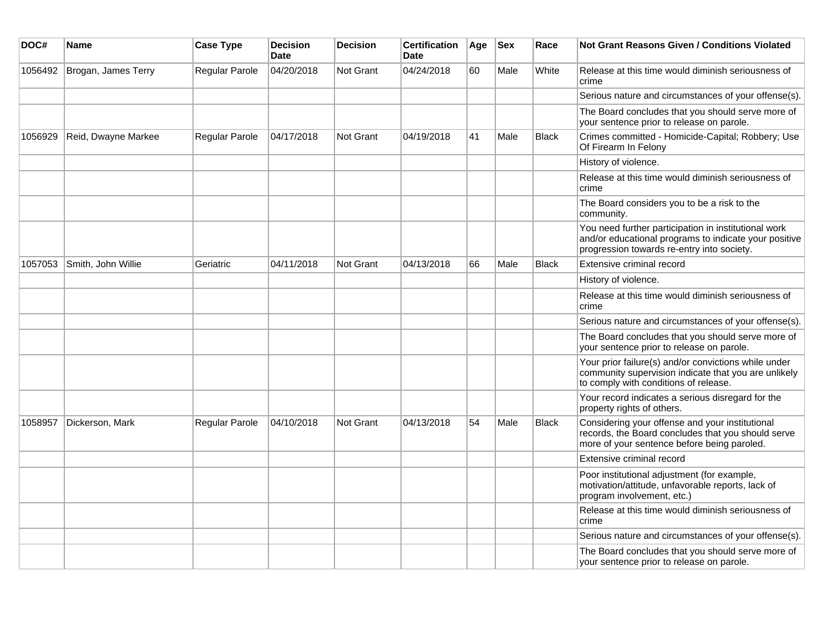| DOC#    | Name                | <b>Case Type</b>      | <b>Decision</b><br><b>Date</b> | <b>Decision</b>  | <b>Certification</b><br><b>Date</b> | Age | <b>Sex</b> | Race         | <b>Not Grant Reasons Given / Conditions Violated</b>                                                                                                        |
|---------|---------------------|-----------------------|--------------------------------|------------------|-------------------------------------|-----|------------|--------------|-------------------------------------------------------------------------------------------------------------------------------------------------------------|
| 1056492 | Brogan, James Terry | <b>Regular Parole</b> | 04/20/2018                     | <b>Not Grant</b> | 04/24/2018                          | 60  | Male       | White        | Release at this time would diminish seriousness of<br>crime                                                                                                 |
|         |                     |                       |                                |                  |                                     |     |            |              | Serious nature and circumstances of your offense(s).                                                                                                        |
|         |                     |                       |                                |                  |                                     |     |            |              | The Board concludes that you should serve more of<br>your sentence prior to release on parole.                                                              |
| 1056929 | Reid, Dwayne Markee | Regular Parole        | 04/17/2018                     | Not Grant        | 04/19/2018                          | 41  | Male       | Black        | Crimes committed - Homicide-Capital; Robbery; Use<br>Of Firearm In Felony                                                                                   |
|         |                     |                       |                                |                  |                                     |     |            |              | History of violence.                                                                                                                                        |
|         |                     |                       |                                |                  |                                     |     |            |              | Release at this time would diminish seriousness of<br>crime                                                                                                 |
|         |                     |                       |                                |                  |                                     |     |            |              | The Board considers you to be a risk to the<br>community.                                                                                                   |
|         |                     |                       |                                |                  |                                     |     |            |              | You need further participation in institutional work<br>and/or educational programs to indicate your positive<br>progression towards re-entry into society. |
| 1057053 | Smith, John Willie  | Geriatric             | 04/11/2018                     | Not Grant        | 04/13/2018                          | 66  | Male       | <b>Black</b> | Extensive criminal record                                                                                                                                   |
|         |                     |                       |                                |                  |                                     |     |            |              | History of violence.                                                                                                                                        |
|         |                     |                       |                                |                  |                                     |     |            |              | Release at this time would diminish seriousness of<br>crime                                                                                                 |
|         |                     |                       |                                |                  |                                     |     |            |              | Serious nature and circumstances of your offense(s).                                                                                                        |
|         |                     |                       |                                |                  |                                     |     |            |              | The Board concludes that you should serve more of<br>your sentence prior to release on parole.                                                              |
|         |                     |                       |                                |                  |                                     |     |            |              | Your prior failure(s) and/or convictions while under<br>community supervision indicate that you are unlikely<br>to comply with conditions of release.       |
|         |                     |                       |                                |                  |                                     |     |            |              | Your record indicates a serious disregard for the<br>property rights of others.                                                                             |
| 1058957 | Dickerson, Mark     | <b>Regular Parole</b> | 04/10/2018                     | <b>Not Grant</b> | 04/13/2018                          | 54  | Male       | Black        | Considering your offense and your institutional<br>records, the Board concludes that you should serve<br>more of your sentence before being paroled.        |
|         |                     |                       |                                |                  |                                     |     |            |              | Extensive criminal record                                                                                                                                   |
|         |                     |                       |                                |                  |                                     |     |            |              | Poor institutional adjustment (for example,<br>motivation/attitude, unfavorable reports, lack of<br>program involvement, etc.)                              |
|         |                     |                       |                                |                  |                                     |     |            |              | Release at this time would diminish seriousness of<br>crime                                                                                                 |
|         |                     |                       |                                |                  |                                     |     |            |              | Serious nature and circumstances of your offense(s).                                                                                                        |
|         |                     |                       |                                |                  |                                     |     |            |              | The Board concludes that you should serve more of<br>your sentence prior to release on parole.                                                              |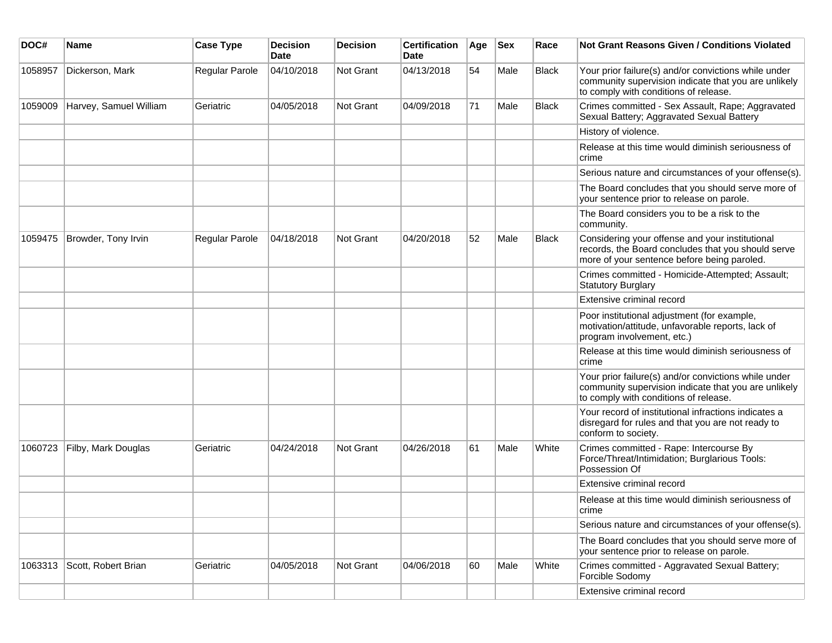| DOC#    | <b>Name</b>            | <b>Case Type</b> | Decision<br><b>Date</b> | <b>Decision</b>  | <b>Certification</b><br>Date | Age | <b>Sex</b> | Race         | <b>Not Grant Reasons Given / Conditions Violated</b>                                                                                                  |
|---------|------------------------|------------------|-------------------------|------------------|------------------------------|-----|------------|--------------|-------------------------------------------------------------------------------------------------------------------------------------------------------|
| 1058957 | Dickerson, Mark        | Regular Parole   | 04/10/2018              | Not Grant        | 04/13/2018                   | 54  | Male       | <b>Black</b> | Your prior failure(s) and/or convictions while under<br>community supervision indicate that you are unlikely<br>to comply with conditions of release. |
| 1059009 | Harvey, Samuel William | Geriatric        | 04/05/2018              | Not Grant        | 04/09/2018                   | 71  | Male       | <b>Black</b> | Crimes committed - Sex Assault, Rape; Aggravated<br>Sexual Battery; Aggravated Sexual Battery                                                         |
|         |                        |                  |                         |                  |                              |     |            |              | History of violence.                                                                                                                                  |
|         |                        |                  |                         |                  |                              |     |            |              | Release at this time would diminish seriousness of<br>crime                                                                                           |
|         |                        |                  |                         |                  |                              |     |            |              | Serious nature and circumstances of your offense(s).                                                                                                  |
|         |                        |                  |                         |                  |                              |     |            |              | The Board concludes that you should serve more of<br>your sentence prior to release on parole.                                                        |
|         |                        |                  |                         |                  |                              |     |            |              | The Board considers you to be a risk to the<br>community.                                                                                             |
| 1059475 | Browder, Tony Irvin    | Regular Parole   | 04/18/2018              | <b>Not Grant</b> | 04/20/2018                   | 52  | Male       | <b>Black</b> | Considering your offense and your institutional<br>records, the Board concludes that you should serve<br>more of your sentence before being paroled.  |
|         |                        |                  |                         |                  |                              |     |            |              | Crimes committed - Homicide-Attempted; Assault;<br><b>Statutory Burglary</b>                                                                          |
|         |                        |                  |                         |                  |                              |     |            |              | Extensive criminal record                                                                                                                             |
|         |                        |                  |                         |                  |                              |     |            |              | Poor institutional adjustment (for example,<br>motivation/attitude, unfavorable reports, lack of<br>program involvement, etc.)                        |
|         |                        |                  |                         |                  |                              |     |            |              | Release at this time would diminish seriousness of<br>crime                                                                                           |
|         |                        |                  |                         |                  |                              |     |            |              | Your prior failure(s) and/or convictions while under<br>community supervision indicate that you are unlikely<br>to comply with conditions of release. |
|         |                        |                  |                         |                  |                              |     |            |              | Your record of institutional infractions indicates a<br>disregard for rules and that you are not ready to<br>conform to society.                      |
| 1060723 | Filby, Mark Douglas    | Geriatric        | 04/24/2018              | <b>Not Grant</b> | 04/26/2018                   | 61  | Male       | White        | Crimes committed - Rape: Intercourse By<br>Force/Threat/Intimidation; Burglarious Tools:<br>Possession Of                                             |
|         |                        |                  |                         |                  |                              |     |            |              | Extensive criminal record                                                                                                                             |
|         |                        |                  |                         |                  |                              |     |            |              | Release at this time would diminish seriousness of<br>crime                                                                                           |
|         |                        |                  |                         |                  |                              |     |            |              | Serious nature and circumstances of your offense(s).                                                                                                  |
|         |                        |                  |                         |                  |                              |     |            |              | The Board concludes that you should serve more of<br>your sentence prior to release on parole.                                                        |
| 1063313 | Scott, Robert Brian    | Geriatric        | 04/05/2018              | Not Grant        | 04/06/2018                   | 60  | Male       | White        | Crimes committed - Aggravated Sexual Battery;<br>Forcible Sodomy                                                                                      |
|         |                        |                  |                         |                  |                              |     |            |              | Extensive criminal record                                                                                                                             |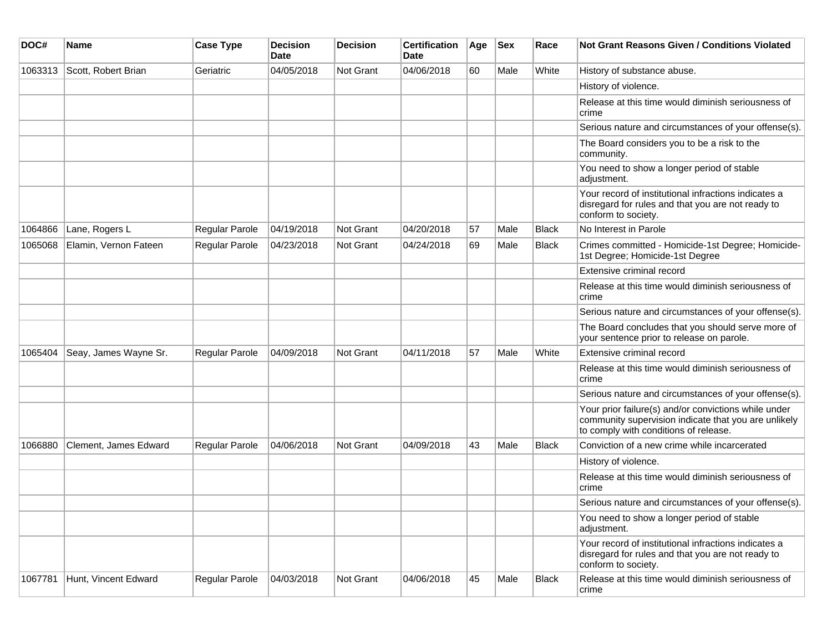| DOC#    | <b>Name</b>           | <b>Case Type</b> | <b>Decision</b><br><b>Date</b> | <b>Decision</b>  | <b>Certification</b><br>Date | Age | <b>Sex</b> | Race         | <b>Not Grant Reasons Given / Conditions Violated</b>                                                                                                  |
|---------|-----------------------|------------------|--------------------------------|------------------|------------------------------|-----|------------|--------------|-------------------------------------------------------------------------------------------------------------------------------------------------------|
| 1063313 | Scott, Robert Brian   | Geriatric        | 04/05/2018                     | Not Grant        | 04/06/2018                   | 60  | Male       | White        | History of substance abuse.                                                                                                                           |
|         |                       |                  |                                |                  |                              |     |            |              | History of violence.                                                                                                                                  |
|         |                       |                  |                                |                  |                              |     |            |              | Release at this time would diminish seriousness of<br>crime                                                                                           |
|         |                       |                  |                                |                  |                              |     |            |              | Serious nature and circumstances of your offense(s).                                                                                                  |
|         |                       |                  |                                |                  |                              |     |            |              | The Board considers you to be a risk to the<br>community.                                                                                             |
|         |                       |                  |                                |                  |                              |     |            |              | You need to show a longer period of stable<br>adjustment.                                                                                             |
|         |                       |                  |                                |                  |                              |     |            |              | Your record of institutional infractions indicates a<br>disregard for rules and that you are not ready to<br>conform to society.                      |
| 1064866 | Lane, Rogers L        | Regular Parole   | 04/19/2018                     | Not Grant        | 04/20/2018                   | 57  | Male       | <b>Black</b> | No Interest in Parole                                                                                                                                 |
| 1065068 | Elamin, Vernon Fateen | Regular Parole   | 04/23/2018                     | <b>Not Grant</b> | 04/24/2018                   | 69  | Male       | <b>Black</b> | Crimes committed - Homicide-1st Degree; Homicide-<br>1st Degree; Homicide-1st Degree                                                                  |
|         |                       |                  |                                |                  |                              |     |            |              | Extensive criminal record                                                                                                                             |
|         |                       |                  |                                |                  |                              |     |            |              | Release at this time would diminish seriousness of<br>crime                                                                                           |
|         |                       |                  |                                |                  |                              |     |            |              | Serious nature and circumstances of your offense(s).                                                                                                  |
|         |                       |                  |                                |                  |                              |     |            |              | The Board concludes that you should serve more of<br>your sentence prior to release on parole.                                                        |
| 1065404 | Seay, James Wayne Sr. | Regular Parole   | 04/09/2018                     | Not Grant        | 04/11/2018                   | 57  | Male       | White        | Extensive criminal record                                                                                                                             |
|         |                       |                  |                                |                  |                              |     |            |              | Release at this time would diminish seriousness of<br>crime                                                                                           |
|         |                       |                  |                                |                  |                              |     |            |              | Serious nature and circumstances of your offense(s).                                                                                                  |
|         |                       |                  |                                |                  |                              |     |            |              | Your prior failure(s) and/or convictions while under<br>community supervision indicate that you are unlikely<br>to comply with conditions of release. |
| 1066880 | Clement, James Edward | Regular Parole   | 04/06/2018                     | Not Grant        | 04/09/2018                   | 43  | Male       | <b>Black</b> | Conviction of a new crime while incarcerated                                                                                                          |
|         |                       |                  |                                |                  |                              |     |            |              | History of violence.                                                                                                                                  |
|         |                       |                  |                                |                  |                              |     |            |              | Release at this time would diminish seriousness of<br>crime                                                                                           |
|         |                       |                  |                                |                  |                              |     |            |              | Serious nature and circumstances of your offense(s).                                                                                                  |
|         |                       |                  |                                |                  |                              |     |            |              | You need to show a longer period of stable<br>adjustment.                                                                                             |
|         |                       |                  |                                |                  |                              |     |            |              | Your record of institutional infractions indicates a<br>disregard for rules and that you are not ready to<br>conform to society.                      |
| 1067781 | Hunt, Vincent Edward  | Regular Parole   | 04/03/2018                     | Not Grant        | 04/06/2018                   | 45  | Male       | Black        | Release at this time would diminish seriousness of<br>crime                                                                                           |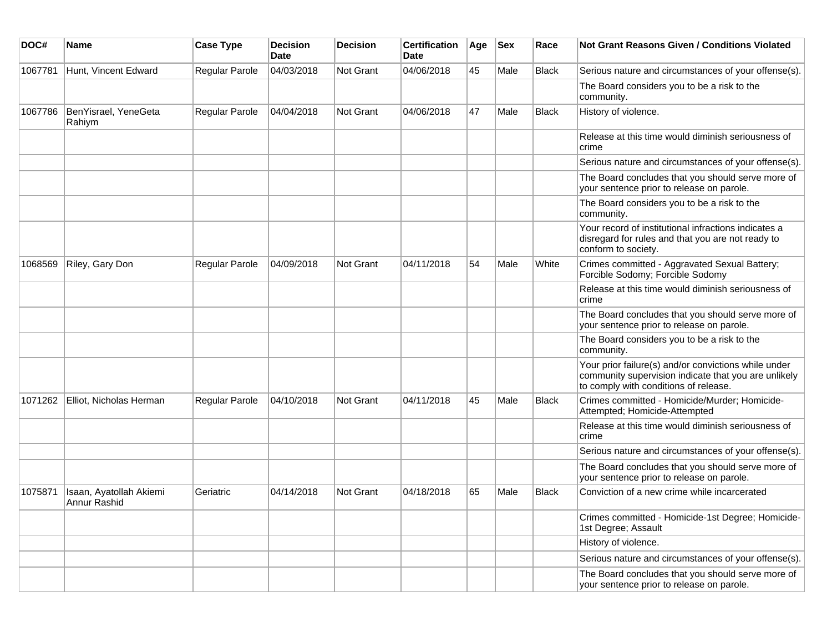| DOC#    | <b>Name</b>                             | <b>Case Type</b> | <b>Decision</b><br><b>Date</b> | <b>Decision</b>  | <b>Certification</b><br>Date | Age | <b>Sex</b> | Race         | <b>Not Grant Reasons Given / Conditions Violated</b>                                                                                                  |
|---------|-----------------------------------------|------------------|--------------------------------|------------------|------------------------------|-----|------------|--------------|-------------------------------------------------------------------------------------------------------------------------------------------------------|
| 1067781 | Hunt, Vincent Edward                    | Regular Parole   | 04/03/2018                     | <b>Not Grant</b> | 04/06/2018                   | 45  | Male       | <b>Black</b> | Serious nature and circumstances of your offense(s).                                                                                                  |
|         |                                         |                  |                                |                  |                              |     |            |              | The Board considers you to be a risk to the<br>community.                                                                                             |
| 1067786 | BenYisrael, YeneGeta<br>Rahiym          | Regular Parole   | 04/04/2018                     | <b>Not Grant</b> | 04/06/2018                   | 47  | Male       | <b>Black</b> | History of violence.                                                                                                                                  |
|         |                                         |                  |                                |                  |                              |     |            |              | Release at this time would diminish seriousness of<br>crime                                                                                           |
|         |                                         |                  |                                |                  |                              |     |            |              | Serious nature and circumstances of your offense(s).                                                                                                  |
|         |                                         |                  |                                |                  |                              |     |            |              | The Board concludes that you should serve more of<br>your sentence prior to release on parole.                                                        |
|         |                                         |                  |                                |                  |                              |     |            |              | The Board considers you to be a risk to the<br>community.                                                                                             |
|         |                                         |                  |                                |                  |                              |     |            |              | Your record of institutional infractions indicates a<br>disregard for rules and that you are not ready to<br>conform to society.                      |
| 1068569 | Riley, Gary Don                         | Regular Parole   | 04/09/2018                     | <b>Not Grant</b> | 04/11/2018                   | 54  | Male       | White        | Crimes committed - Aggravated Sexual Battery;<br>Forcible Sodomy; Forcible Sodomy                                                                     |
|         |                                         |                  |                                |                  |                              |     |            |              | Release at this time would diminish seriousness of<br>crime                                                                                           |
|         |                                         |                  |                                |                  |                              |     |            |              | The Board concludes that you should serve more of<br>your sentence prior to release on parole.                                                        |
|         |                                         |                  |                                |                  |                              |     |            |              | The Board considers you to be a risk to the<br>community.                                                                                             |
|         |                                         |                  |                                |                  |                              |     |            |              | Your prior failure(s) and/or convictions while under<br>community supervision indicate that you are unlikely<br>to comply with conditions of release. |
| 1071262 | Elliot, Nicholas Herman                 | Regular Parole   | 04/10/2018                     | <b>Not Grant</b> | 04/11/2018                   | 45  | Male       | Black        | Crimes committed - Homicide/Murder; Homicide-<br>Attempted; Homicide-Attempted                                                                        |
|         |                                         |                  |                                |                  |                              |     |            |              | Release at this time would diminish seriousness of<br>crime                                                                                           |
|         |                                         |                  |                                |                  |                              |     |            |              | Serious nature and circumstances of your offense(s).                                                                                                  |
|         |                                         |                  |                                |                  |                              |     |            |              | The Board concludes that you should serve more of<br>your sentence prior to release on parole.                                                        |
| 1075871 | Isaan, Ayatollah Akiemi<br>Annur Rashid | Geriatric        | 04/14/2018                     | <b>Not Grant</b> | 04/18/2018                   | 65  | Male       | Black        | Conviction of a new crime while incarcerated                                                                                                          |
|         |                                         |                  |                                |                  |                              |     |            |              | Crimes committed - Homicide-1st Degree; Homicide-<br>1st Degree; Assault                                                                              |
|         |                                         |                  |                                |                  |                              |     |            |              | History of violence.                                                                                                                                  |
|         |                                         |                  |                                |                  |                              |     |            |              | Serious nature and circumstances of your offense(s).                                                                                                  |
|         |                                         |                  |                                |                  |                              |     |            |              | The Board concludes that you should serve more of<br>your sentence prior to release on parole.                                                        |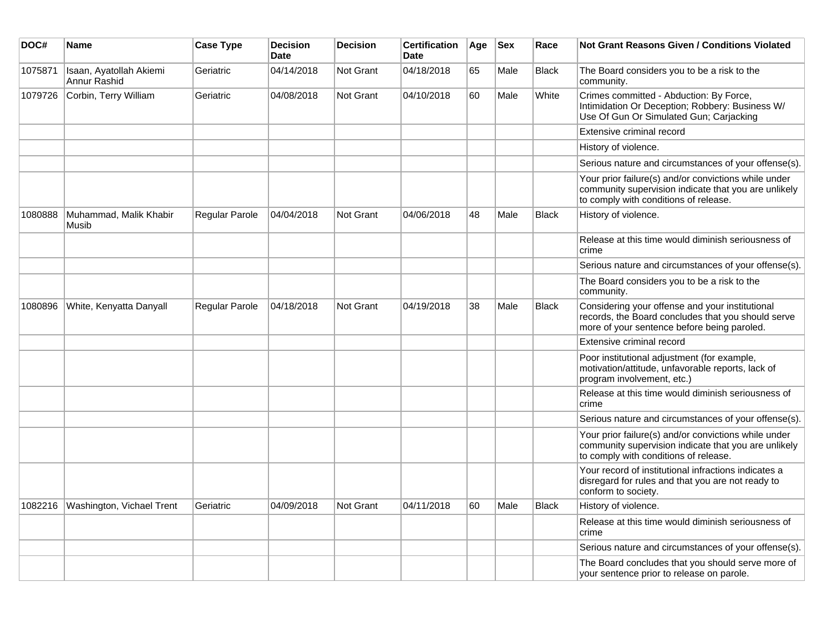| DOC#    | <b>Name</b>                             | <b>Case Type</b>      | <b>Decision</b><br><b>Date</b> | <b>Decision</b>  | <b>Certification</b><br><b>Date</b> | Age | <b>Sex</b> | Race         | Not Grant Reasons Given / Conditions Violated                                                                                                         |
|---------|-----------------------------------------|-----------------------|--------------------------------|------------------|-------------------------------------|-----|------------|--------------|-------------------------------------------------------------------------------------------------------------------------------------------------------|
| 1075871 | Isaan, Ayatollah Akiemi<br>Annur Rashid | Geriatric             | 04/14/2018                     | Not Grant        | 04/18/2018                          | 65  | Male       | <b>Black</b> | The Board considers you to be a risk to the<br>community.                                                                                             |
| 1079726 | Corbin, Terry William                   | Geriatric             | 04/08/2018                     | <b>Not Grant</b> | 04/10/2018                          | 60  | Male       | White        | Crimes committed - Abduction: By Force,<br>Intimidation Or Deception; Robbery: Business W/<br>Use Of Gun Or Simulated Gun; Carjacking                 |
|         |                                         |                       |                                |                  |                                     |     |            |              | Extensive criminal record                                                                                                                             |
|         |                                         |                       |                                |                  |                                     |     |            |              | History of violence.                                                                                                                                  |
|         |                                         |                       |                                |                  |                                     |     |            |              | Serious nature and circumstances of your offense(s).                                                                                                  |
|         |                                         |                       |                                |                  |                                     |     |            |              | Your prior failure(s) and/or convictions while under<br>community supervision indicate that you are unlikely<br>to comply with conditions of release. |
| 1080888 | Muhammad, Malik Khabir<br>Musib         | <b>Regular Parole</b> | 04/04/2018                     | Not Grant        | 04/06/2018                          | 48  | Male       | <b>Black</b> | History of violence.                                                                                                                                  |
|         |                                         |                       |                                |                  |                                     |     |            |              | Release at this time would diminish seriousness of<br>crime                                                                                           |
|         |                                         |                       |                                |                  |                                     |     |            |              | Serious nature and circumstances of your offense(s).                                                                                                  |
|         |                                         |                       |                                |                  |                                     |     |            |              | The Board considers you to be a risk to the<br>community.                                                                                             |
| 1080896 | White, Kenyatta Danyall                 | Regular Parole        | 04/18/2018                     | Not Grant        | 04/19/2018                          | 38  | Male       | <b>Black</b> | Considering your offense and your institutional<br>records, the Board concludes that you should serve<br>more of your sentence before being paroled.  |
|         |                                         |                       |                                |                  |                                     |     |            |              | Extensive criminal record                                                                                                                             |
|         |                                         |                       |                                |                  |                                     |     |            |              | Poor institutional adjustment (for example,<br>motivation/attitude, unfavorable reports, lack of<br>program involvement, etc.)                        |
|         |                                         |                       |                                |                  |                                     |     |            |              | Release at this time would diminish seriousness of<br>crime                                                                                           |
|         |                                         |                       |                                |                  |                                     |     |            |              | Serious nature and circumstances of your offense(s).                                                                                                  |
|         |                                         |                       |                                |                  |                                     |     |            |              | Your prior failure(s) and/or convictions while under<br>community supervision indicate that you are unlikely<br>to comply with conditions of release. |
|         |                                         |                       |                                |                  |                                     |     |            |              | Your record of institutional infractions indicates a<br>disregard for rules and that you are not ready to<br>conform to society.                      |
| 1082216 | Washington, Vichael Trent               | Geriatric             | 04/09/2018                     | <b>Not Grant</b> | 04/11/2018                          | 60  | Male       | <b>Black</b> | History of violence.                                                                                                                                  |
|         |                                         |                       |                                |                  |                                     |     |            |              | Release at this time would diminish seriousness of<br>crime                                                                                           |
|         |                                         |                       |                                |                  |                                     |     |            |              | Serious nature and circumstances of your offense(s).                                                                                                  |
|         |                                         |                       |                                |                  |                                     |     |            |              | The Board concludes that you should serve more of<br>your sentence prior to release on parole.                                                        |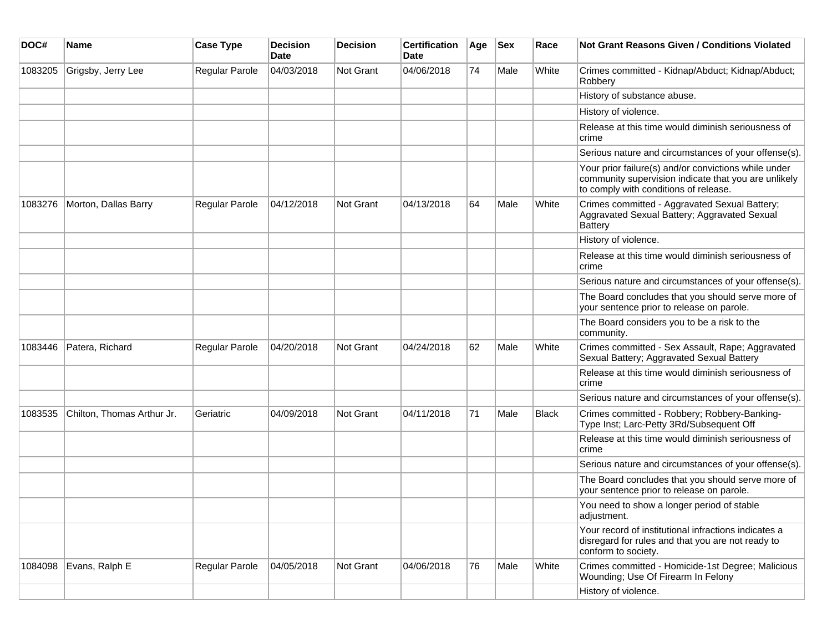| DOC#    | <b>Name</b>                | <b>Case Type</b> | <b>Decision</b><br><b>Date</b> | <b>Decision</b>  | <b>Certification</b><br>Date | Age | <b>Sex</b> | Race         | <b>Not Grant Reasons Given / Conditions Violated</b>                                                                                                  |
|---------|----------------------------|------------------|--------------------------------|------------------|------------------------------|-----|------------|--------------|-------------------------------------------------------------------------------------------------------------------------------------------------------|
| 1083205 | Grigsby, Jerry Lee         | Regular Parole   | 04/03/2018                     | <b>Not Grant</b> | 04/06/2018                   | 74  | Male       | White        | Crimes committed - Kidnap/Abduct; Kidnap/Abduct;<br>Robbery                                                                                           |
|         |                            |                  |                                |                  |                              |     |            |              | History of substance abuse.                                                                                                                           |
|         |                            |                  |                                |                  |                              |     |            |              | History of violence.                                                                                                                                  |
|         |                            |                  |                                |                  |                              |     |            |              | Release at this time would diminish seriousness of<br>crime                                                                                           |
|         |                            |                  |                                |                  |                              |     |            |              | Serious nature and circumstances of your offense(s).                                                                                                  |
|         |                            |                  |                                |                  |                              |     |            |              | Your prior failure(s) and/or convictions while under<br>community supervision indicate that you are unlikely<br>to comply with conditions of release. |
| 1083276 | Morton, Dallas Barry       | Regular Parole   | 04/12/2018                     | <b>Not Grant</b> | 04/13/2018                   | 64  | Male       | White        | Crimes committed - Aggravated Sexual Battery;<br>Aggravated Sexual Battery; Aggravated Sexual<br><b>Battery</b>                                       |
|         |                            |                  |                                |                  |                              |     |            |              | History of violence.                                                                                                                                  |
|         |                            |                  |                                |                  |                              |     |            |              | Release at this time would diminish seriousness of<br>crime                                                                                           |
|         |                            |                  |                                |                  |                              |     |            |              | Serious nature and circumstances of your offense(s).                                                                                                  |
|         |                            |                  |                                |                  |                              |     |            |              | The Board concludes that you should serve more of<br>your sentence prior to release on parole.                                                        |
|         |                            |                  |                                |                  |                              |     |            |              | The Board considers you to be a risk to the<br>community.                                                                                             |
| 1083446 | Patera, Richard            | Regular Parole   | 04/20/2018                     | <b>Not Grant</b> | 04/24/2018                   | 62  | Male       | White        | Crimes committed - Sex Assault, Rape; Aggravated<br>Sexual Battery; Aggravated Sexual Battery                                                         |
|         |                            |                  |                                |                  |                              |     |            |              | Release at this time would diminish seriousness of<br>crime                                                                                           |
|         |                            |                  |                                |                  |                              |     |            |              | Serious nature and circumstances of your offense(s).                                                                                                  |
| 1083535 | Chilton, Thomas Arthur Jr. | Geriatric        | 04/09/2018                     | <b>Not Grant</b> | 04/11/2018                   | 71  | Male       | <b>Black</b> | Crimes committed - Robbery; Robbery-Banking-<br>Type Inst; Larc-Petty 3Rd/Subsequent Off                                                              |
|         |                            |                  |                                |                  |                              |     |            |              | Release at this time would diminish seriousness of<br>crime                                                                                           |
|         |                            |                  |                                |                  |                              |     |            |              | Serious nature and circumstances of your offense(s).                                                                                                  |
|         |                            |                  |                                |                  |                              |     |            |              | The Board concludes that you should serve more of<br>your sentence prior to release on parole.                                                        |
|         |                            |                  |                                |                  |                              |     |            |              | You need to show a longer period of stable<br>adjustment.                                                                                             |
|         |                            |                  |                                |                  |                              |     |            |              | Your record of institutional infractions indicates a<br>disregard for rules and that you are not ready to<br>conform to society.                      |
| 1084098 | Evans, Ralph E             | Regular Parole   | 04/05/2018                     | Not Grant        | 04/06/2018                   | 76  | Male       | White        | Crimes committed - Homicide-1st Degree; Malicious<br>Wounding; Use Of Firearm In Felony                                                               |
|         |                            |                  |                                |                  |                              |     |            |              | History of violence.                                                                                                                                  |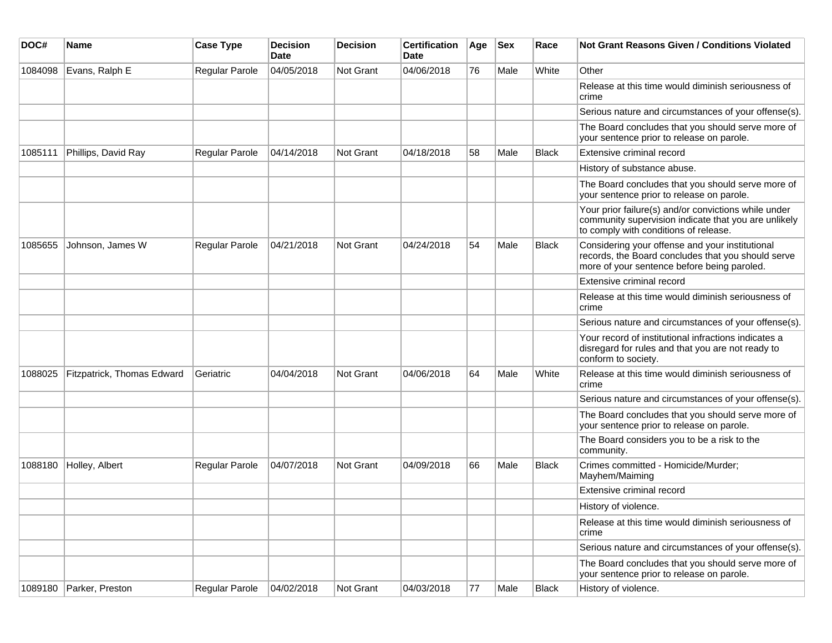| DOC#    | Name                       | <b>Case Type</b> | <b>Decision</b><br>Date | <b>Decision</b>  | <b>Certification</b><br>Date | Age | <b>Sex</b> | Race         | <b>Not Grant Reasons Given / Conditions Violated</b>                                                                                                  |
|---------|----------------------------|------------------|-------------------------|------------------|------------------------------|-----|------------|--------------|-------------------------------------------------------------------------------------------------------------------------------------------------------|
| 1084098 | Evans, Ralph E             | Regular Parole   | 04/05/2018              | <b>Not Grant</b> | 04/06/2018                   | 76  | Male       | White        | Other                                                                                                                                                 |
|         |                            |                  |                         |                  |                              |     |            |              | Release at this time would diminish seriousness of<br>crime                                                                                           |
|         |                            |                  |                         |                  |                              |     |            |              | Serious nature and circumstances of your offense(s).                                                                                                  |
|         |                            |                  |                         |                  |                              |     |            |              | The Board concludes that you should serve more of<br>your sentence prior to release on parole.                                                        |
| 1085111 | Phillips, David Ray        | Regular Parole   | 04/14/2018              | <b>Not Grant</b> | 04/18/2018                   | 58  | Male       | Black        | Extensive criminal record                                                                                                                             |
|         |                            |                  |                         |                  |                              |     |            |              | History of substance abuse.                                                                                                                           |
|         |                            |                  |                         |                  |                              |     |            |              | The Board concludes that you should serve more of<br>your sentence prior to release on parole.                                                        |
|         |                            |                  |                         |                  |                              |     |            |              | Your prior failure(s) and/or convictions while under<br>community supervision indicate that you are unlikely<br>to comply with conditions of release. |
| 1085655 | Johnson, James W           | Regular Parole   | 04/21/2018              | Not Grant        | 04/24/2018                   | 54  | Male       | <b>Black</b> | Considering your offense and your institutional<br>records, the Board concludes that you should serve<br>more of your sentence before being paroled.  |
|         |                            |                  |                         |                  |                              |     |            |              | Extensive criminal record                                                                                                                             |
|         |                            |                  |                         |                  |                              |     |            |              | Release at this time would diminish seriousness of<br>crime                                                                                           |
|         |                            |                  |                         |                  |                              |     |            |              | Serious nature and circumstances of your offense(s).                                                                                                  |
|         |                            |                  |                         |                  |                              |     |            |              | Your record of institutional infractions indicates a<br>disregard for rules and that you are not ready to<br>conform to society.                      |
| 1088025 | Fitzpatrick, Thomas Edward | Geriatric        | 04/04/2018              | <b>Not Grant</b> | 04/06/2018                   | 64  | Male       | White        | Release at this time would diminish seriousness of<br>crime                                                                                           |
|         |                            |                  |                         |                  |                              |     |            |              | Serious nature and circumstances of your offense(s).                                                                                                  |
|         |                            |                  |                         |                  |                              |     |            |              | The Board concludes that you should serve more of<br>your sentence prior to release on parole.                                                        |
|         |                            |                  |                         |                  |                              |     |            |              | The Board considers you to be a risk to the<br>community.                                                                                             |
| 1088180 | Holley, Albert             | Regular Parole   | 04/07/2018              | <b>Not Grant</b> | 04/09/2018                   | 66  | Male       | <b>Black</b> | Crimes committed - Homicide/Murder;<br>Mayhem/Maiming                                                                                                 |
|         |                            |                  |                         |                  |                              |     |            |              | Extensive criminal record                                                                                                                             |
|         |                            |                  |                         |                  |                              |     |            |              | History of violence.                                                                                                                                  |
|         |                            |                  |                         |                  |                              |     |            |              | Release at this time would diminish seriousness of<br>crime                                                                                           |
|         |                            |                  |                         |                  |                              |     |            |              | Serious nature and circumstances of your offense(s).                                                                                                  |
|         |                            |                  |                         |                  |                              |     |            |              | The Board concludes that you should serve more of<br>your sentence prior to release on parole.                                                        |
| 1089180 | Parker, Preston            | Regular Parole   | 04/02/2018              | Not Grant        | 04/03/2018                   | 77  | Male       | <b>Black</b> | History of violence.                                                                                                                                  |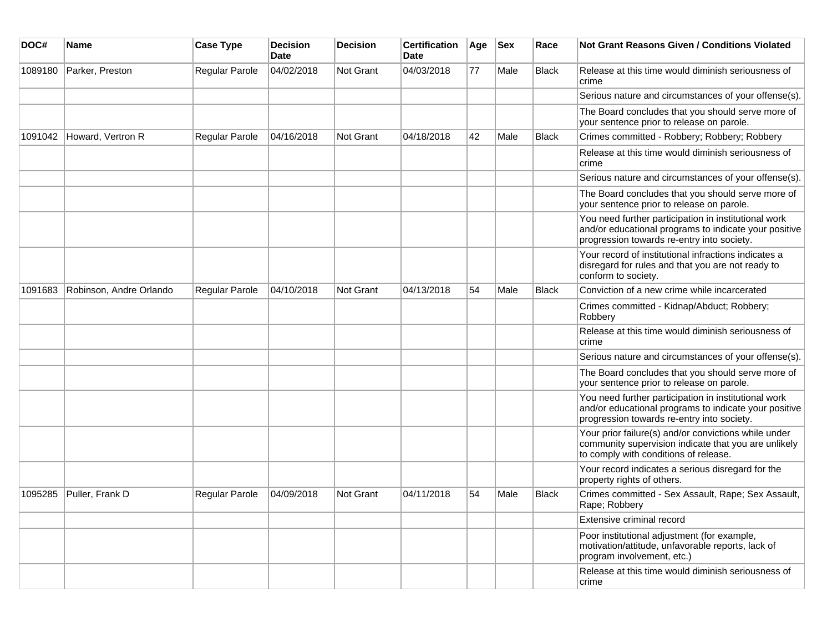| DOC#    | Name                    | <b>Case Type</b>      | <b>Decision</b><br><b>Date</b> | <b>Decision</b> | <b>Certification</b><br>Date | Age | <b>Sex</b> | Race         | Not Grant Reasons Given / Conditions Violated                                                                                                               |
|---------|-------------------------|-----------------------|--------------------------------|-----------------|------------------------------|-----|------------|--------------|-------------------------------------------------------------------------------------------------------------------------------------------------------------|
| 1089180 | Parker, Preston         | Regular Parole        | 04/02/2018                     | Not Grant       | 04/03/2018                   | 77  | Male       | <b>Black</b> | Release at this time would diminish seriousness of<br>crime                                                                                                 |
|         |                         |                       |                                |                 |                              |     |            |              | Serious nature and circumstances of your offense(s).                                                                                                        |
|         |                         |                       |                                |                 |                              |     |            |              | The Board concludes that you should serve more of<br>your sentence prior to release on parole.                                                              |
| 1091042 | Howard, Vertron R       | Regular Parole        | 04/16/2018                     | Not Grant       | 04/18/2018                   | 42  | Male       | <b>Black</b> | Crimes committed - Robbery; Robbery; Robbery                                                                                                                |
|         |                         |                       |                                |                 |                              |     |            |              | Release at this time would diminish seriousness of<br>crime                                                                                                 |
|         |                         |                       |                                |                 |                              |     |            |              | Serious nature and circumstances of your offense(s).                                                                                                        |
|         |                         |                       |                                |                 |                              |     |            |              | The Board concludes that you should serve more of<br>your sentence prior to release on parole.                                                              |
|         |                         |                       |                                |                 |                              |     |            |              | You need further participation in institutional work<br>and/or educational programs to indicate your positive<br>progression towards re-entry into society. |
|         |                         |                       |                                |                 |                              |     |            |              | Your record of institutional infractions indicates a<br>disregard for rules and that you are not ready to<br>conform to society.                            |
| 1091683 | Robinson, Andre Orlando | Regular Parole        | 04/10/2018                     | Not Grant       | 04/13/2018                   | 54  | Male       | <b>Black</b> | Conviction of a new crime while incarcerated                                                                                                                |
|         |                         |                       |                                |                 |                              |     |            |              | Crimes committed - Kidnap/Abduct; Robbery;<br>Robbery                                                                                                       |
|         |                         |                       |                                |                 |                              |     |            |              | Release at this time would diminish seriousness of<br>crime                                                                                                 |
|         |                         |                       |                                |                 |                              |     |            |              | Serious nature and circumstances of your offense(s).                                                                                                        |
|         |                         |                       |                                |                 |                              |     |            |              | The Board concludes that you should serve more of<br>your sentence prior to release on parole.                                                              |
|         |                         |                       |                                |                 |                              |     |            |              | You need further participation in institutional work<br>and/or educational programs to indicate your positive<br>progression towards re-entry into society. |
|         |                         |                       |                                |                 |                              |     |            |              | Your prior failure(s) and/or convictions while under<br>community supervision indicate that you are unlikely<br>to comply with conditions of release.       |
|         |                         |                       |                                |                 |                              |     |            |              | Your record indicates a serious disregard for the<br>property rights of others.                                                                             |
| 1095285 | Puller, Frank D         | <b>Regular Parole</b> | 04/09/2018                     | Not Grant       | 04/11/2018                   | 54  | Male       | <b>Black</b> | Crimes committed - Sex Assault, Rape; Sex Assault,<br>Rape; Robbery                                                                                         |
|         |                         |                       |                                |                 |                              |     |            |              | Extensive criminal record                                                                                                                                   |
|         |                         |                       |                                |                 |                              |     |            |              | Poor institutional adjustment (for example,<br>motivation/attitude, unfavorable reports, lack of<br>program involvement, etc.)                              |
|         |                         |                       |                                |                 |                              |     |            |              | Release at this time would diminish seriousness of<br>crime                                                                                                 |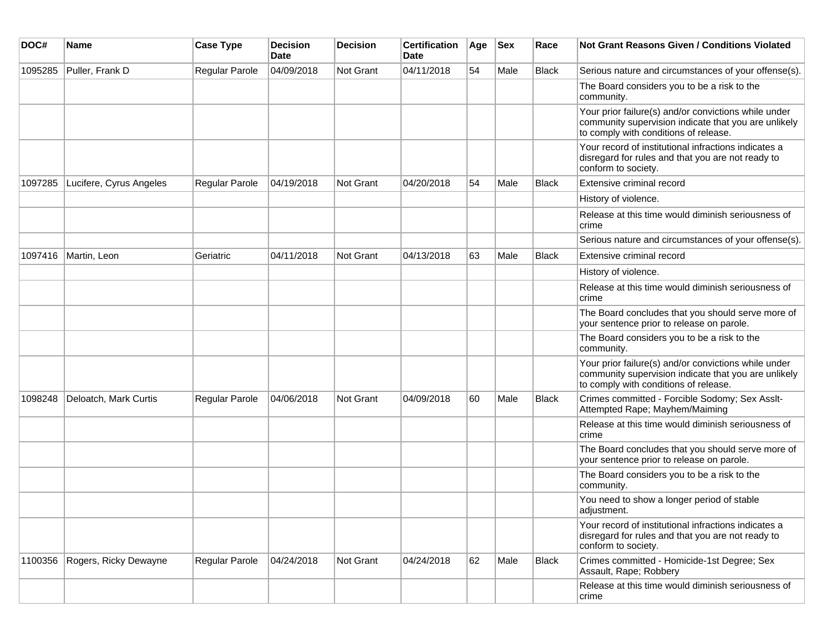| DOC#    | Name                    | <b>Case Type</b> | <b>Decision</b><br>Date | <b>Decision</b> | <b>Certification</b><br>Date | Age | <b>Sex</b> | Race         | Not Grant Reasons Given / Conditions Violated                                                                                                         |
|---------|-------------------------|------------------|-------------------------|-----------------|------------------------------|-----|------------|--------------|-------------------------------------------------------------------------------------------------------------------------------------------------------|
| 1095285 | Puller, Frank D         | Regular Parole   | 04/09/2018              | Not Grant       | 04/11/2018                   | 54  | Male       | <b>Black</b> | Serious nature and circumstances of your offense(s).                                                                                                  |
|         |                         |                  |                         |                 |                              |     |            |              | The Board considers you to be a risk to the<br>community.                                                                                             |
|         |                         |                  |                         |                 |                              |     |            |              | Your prior failure(s) and/or convictions while under<br>community supervision indicate that you are unlikely<br>to comply with conditions of release. |
|         |                         |                  |                         |                 |                              |     |            |              | Your record of institutional infractions indicates a<br>disregard for rules and that you are not ready to<br>conform to society.                      |
| 1097285 | Lucifere, Cyrus Angeles | Regular Parole   | 04/19/2018              | Not Grant       | 04/20/2018                   | 54  | Male       | Black        | Extensive criminal record                                                                                                                             |
|         |                         |                  |                         |                 |                              |     |            |              | History of violence.                                                                                                                                  |
|         |                         |                  |                         |                 |                              |     |            |              | Release at this time would diminish seriousness of<br>crime                                                                                           |
|         |                         |                  |                         |                 |                              |     |            |              | Serious nature and circumstances of your offense(s).                                                                                                  |
| 1097416 | Martin, Leon            | Geriatric        | 04/11/2018              | Not Grant       | 04/13/2018                   | 63  | Male       | <b>Black</b> | Extensive criminal record                                                                                                                             |
|         |                         |                  |                         |                 |                              |     |            |              | History of violence.                                                                                                                                  |
|         |                         |                  |                         |                 |                              |     |            |              | Release at this time would diminish seriousness of<br>crime                                                                                           |
|         |                         |                  |                         |                 |                              |     |            |              | The Board concludes that you should serve more of<br>your sentence prior to release on parole.                                                        |
|         |                         |                  |                         |                 |                              |     |            |              | The Board considers you to be a risk to the<br>community.                                                                                             |
|         |                         |                  |                         |                 |                              |     |            |              | Your prior failure(s) and/or convictions while under<br>community supervision indicate that you are unlikely<br>to comply with conditions of release. |
| 1098248 | Deloatch, Mark Curtis   | Regular Parole   | 04/06/2018              | Not Grant       | 04/09/2018                   | 60  | Male       | Black        | Crimes committed - Forcible Sodomy; Sex Asslt-<br>Attempted Rape; Mayhem/Maiming                                                                      |
|         |                         |                  |                         |                 |                              |     |            |              | Release at this time would diminish seriousness of<br>crime                                                                                           |
|         |                         |                  |                         |                 |                              |     |            |              | The Board concludes that you should serve more of<br>your sentence prior to release on parole.                                                        |
|         |                         |                  |                         |                 |                              |     |            |              | The Board considers you to be a risk to the<br>community.                                                                                             |
|         |                         |                  |                         |                 |                              |     |            |              | You need to show a longer period of stable<br>adjustment.                                                                                             |
|         |                         |                  |                         |                 |                              |     |            |              | Your record of institutional infractions indicates a<br>disregard for rules and that you are not ready to<br>conform to society.                      |
| 1100356 | Rogers, Ricky Dewayne   | Regular Parole   | 04/24/2018              | Not Grant       | 04/24/2018                   | 62  | Male       | Black        | Crimes committed - Homicide-1st Degree; Sex<br>Assault, Rape; Robbery                                                                                 |
|         |                         |                  |                         |                 |                              |     |            |              | Release at this time would diminish seriousness of<br>crime                                                                                           |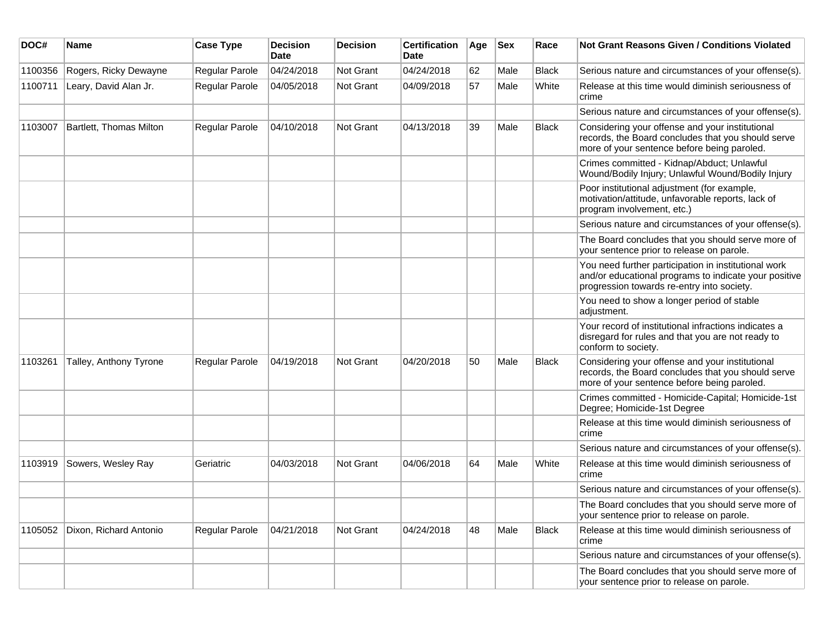| DOC#    | <b>Name</b>             | <b>Case Type</b>      | <b>Decision</b><br><b>Date</b> | <b>Decision</b> | <b>Certification</b><br>Date | Age | <b>Sex</b> | Race         | Not Grant Reasons Given / Conditions Violated                                                                                                               |
|---------|-------------------------|-----------------------|--------------------------------|-----------------|------------------------------|-----|------------|--------------|-------------------------------------------------------------------------------------------------------------------------------------------------------------|
| 1100356 | Rogers, Ricky Dewayne   | Regular Parole        | 04/24/2018                     | Not Grant       | 04/24/2018                   | 62  | Male       | <b>Black</b> | Serious nature and circumstances of your offense(s).                                                                                                        |
| 1100711 | Leary, David Alan Jr.   | Regular Parole        | 04/05/2018                     | Not Grant       | 04/09/2018                   | 57  | Male       | White        | Release at this time would diminish seriousness of<br>crime                                                                                                 |
|         |                         |                       |                                |                 |                              |     |            |              | Serious nature and circumstances of your offense(s).                                                                                                        |
| 1103007 | Bartlett, Thomas Milton | Regular Parole        | 04/10/2018                     | Not Grant       | 04/13/2018                   | 39  | Male       | <b>Black</b> | Considering your offense and your institutional<br>records, the Board concludes that you should serve<br>more of your sentence before being paroled.        |
|         |                         |                       |                                |                 |                              |     |            |              | Crimes committed - Kidnap/Abduct; Unlawful<br>Wound/Bodily Injury; Unlawful Wound/Bodily Injury                                                             |
|         |                         |                       |                                |                 |                              |     |            |              | Poor institutional adjustment (for example,<br>motivation/attitude, unfavorable reports, lack of<br>program involvement, etc.)                              |
|         |                         |                       |                                |                 |                              |     |            |              | Serious nature and circumstances of your offense(s).                                                                                                        |
|         |                         |                       |                                |                 |                              |     |            |              | The Board concludes that you should serve more of<br>your sentence prior to release on parole.                                                              |
|         |                         |                       |                                |                 |                              |     |            |              | You need further participation in institutional work<br>and/or educational programs to indicate your positive<br>progression towards re-entry into society. |
|         |                         |                       |                                |                 |                              |     |            |              | You need to show a longer period of stable<br>adjustment.                                                                                                   |
|         |                         |                       |                                |                 |                              |     |            |              | Your record of institutional infractions indicates a<br>disregard for rules and that you are not ready to<br>conform to society.                            |
| 1103261 | Talley, Anthony Tyrone  | <b>Regular Parole</b> | 04/19/2018                     | Not Grant       | 04/20/2018                   | 50  | Male       | <b>Black</b> | Considering your offense and your institutional<br>records, the Board concludes that you should serve<br>more of your sentence before being paroled.        |
|         |                         |                       |                                |                 |                              |     |            |              | Crimes committed - Homicide-Capital; Homicide-1st<br>Degree; Homicide-1st Degree                                                                            |
|         |                         |                       |                                |                 |                              |     |            |              | Release at this time would diminish seriousness of<br>crime                                                                                                 |
|         |                         |                       |                                |                 |                              |     |            |              | Serious nature and circumstances of your offense(s).                                                                                                        |
| 1103919 | Sowers, Wesley Ray      | Geriatric             | 04/03/2018                     | Not Grant       | 04/06/2018                   | 64  | Male       | White        | Release at this time would diminish seriousness of<br>crime                                                                                                 |
|         |                         |                       |                                |                 |                              |     |            |              | Serious nature and circumstances of your offense(s).                                                                                                        |
|         |                         |                       |                                |                 |                              |     |            |              | The Board concludes that you should serve more of<br>your sentence prior to release on parole.                                                              |
| 1105052 | Dixon, Richard Antonio  | Regular Parole        | 04/21/2018                     | Not Grant       | 04/24/2018                   | 48  | Male       | <b>Black</b> | Release at this time would diminish seriousness of<br>crime                                                                                                 |
|         |                         |                       |                                |                 |                              |     |            |              | Serious nature and circumstances of your offense(s).                                                                                                        |
|         |                         |                       |                                |                 |                              |     |            |              | The Board concludes that you should serve more of<br>your sentence prior to release on parole.                                                              |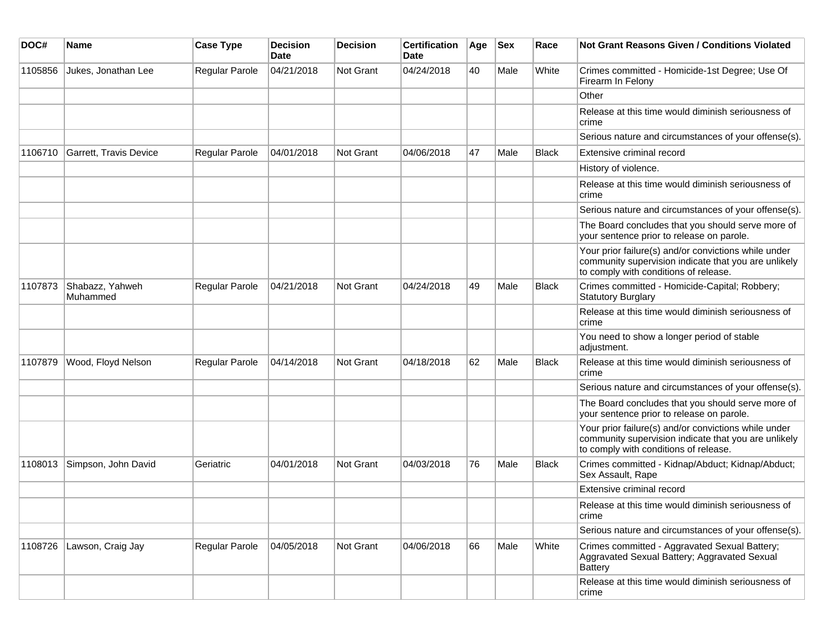| DOC#    | <b>Name</b>                 | <b>Case Type</b>      | <b>Decision</b><br><b>Date</b> | <b>Decision</b>  | <b>Certification</b><br>Date | Age | <b>Sex</b> | Race         | <b>Not Grant Reasons Given / Conditions Violated</b>                                                                                                  |
|---------|-----------------------------|-----------------------|--------------------------------|------------------|------------------------------|-----|------------|--------------|-------------------------------------------------------------------------------------------------------------------------------------------------------|
| 1105856 | Jukes, Jonathan Lee         | Regular Parole        | 04/21/2018                     | <b>Not Grant</b> | 04/24/2018                   | 40  | Male       | White        | Crimes committed - Homicide-1st Degree; Use Of<br>Firearm In Felony                                                                                   |
|         |                             |                       |                                |                  |                              |     |            |              | Other                                                                                                                                                 |
|         |                             |                       |                                |                  |                              |     |            |              | Release at this time would diminish seriousness of<br>crime                                                                                           |
|         |                             |                       |                                |                  |                              |     |            |              | Serious nature and circumstances of your offense(s).                                                                                                  |
| 1106710 | Garrett, Travis Device      | <b>Regular Parole</b> | 04/01/2018                     | <b>Not Grant</b> | 04/06/2018                   | 47  | Male       | Black        | Extensive criminal record                                                                                                                             |
|         |                             |                       |                                |                  |                              |     |            |              | History of violence.                                                                                                                                  |
|         |                             |                       |                                |                  |                              |     |            |              | Release at this time would diminish seriousness of<br>crime                                                                                           |
|         |                             |                       |                                |                  |                              |     |            |              | Serious nature and circumstances of your offense(s).                                                                                                  |
|         |                             |                       |                                |                  |                              |     |            |              | The Board concludes that you should serve more of<br>your sentence prior to release on parole.                                                        |
|         |                             |                       |                                |                  |                              |     |            |              | Your prior failure(s) and/or convictions while under<br>community supervision indicate that you are unlikely<br>to comply with conditions of release. |
| 1107873 | Shabazz, Yahweh<br>Muhammed | Regular Parole        | 04/21/2018                     | Not Grant        | 04/24/2018                   | 49  | Male       | <b>Black</b> | Crimes committed - Homicide-Capital; Robbery;<br><b>Statutory Burglary</b>                                                                            |
|         |                             |                       |                                |                  |                              |     |            |              | Release at this time would diminish seriousness of<br>crime                                                                                           |
|         |                             |                       |                                |                  |                              |     |            |              | You need to show a longer period of stable<br>adjustment.                                                                                             |
| 1107879 | Wood, Floyd Nelson          | <b>Regular Parole</b> | 04/14/2018                     | <b>Not Grant</b> | 04/18/2018                   | 62  | Male       | <b>Black</b> | Release at this time would diminish seriousness of<br>crime                                                                                           |
|         |                             |                       |                                |                  |                              |     |            |              | Serious nature and circumstances of your offense(s).                                                                                                  |
|         |                             |                       |                                |                  |                              |     |            |              | The Board concludes that you should serve more of<br>your sentence prior to release on parole.                                                        |
|         |                             |                       |                                |                  |                              |     |            |              | Your prior failure(s) and/or convictions while under<br>community supervision indicate that you are unlikely<br>to comply with conditions of release. |
| 1108013 | Simpson, John David         | Geriatric             | 04/01/2018                     | <b>Not Grant</b> | 04/03/2018                   | 76  | Male       | <b>Black</b> | Crimes committed - Kidnap/Abduct; Kidnap/Abduct;<br>Sex Assault, Rape                                                                                 |
|         |                             |                       |                                |                  |                              |     |            |              | Extensive criminal record                                                                                                                             |
|         |                             |                       |                                |                  |                              |     |            |              | Release at this time would diminish seriousness of<br>crime                                                                                           |
|         |                             |                       |                                |                  |                              |     |            |              | Serious nature and circumstances of your offense(s).                                                                                                  |
|         | 1108726 Lawson, Craig Jay   | Regular Parole        | 04/05/2018                     | Not Grant        | 04/06/2018                   | 66  | Male       | White        | Crimes committed - Aggravated Sexual Battery;<br>Aggravated Sexual Battery; Aggravated Sexual<br><b>Battery</b>                                       |
|         |                             |                       |                                |                  |                              |     |            |              | Release at this time would diminish seriousness of<br>crime                                                                                           |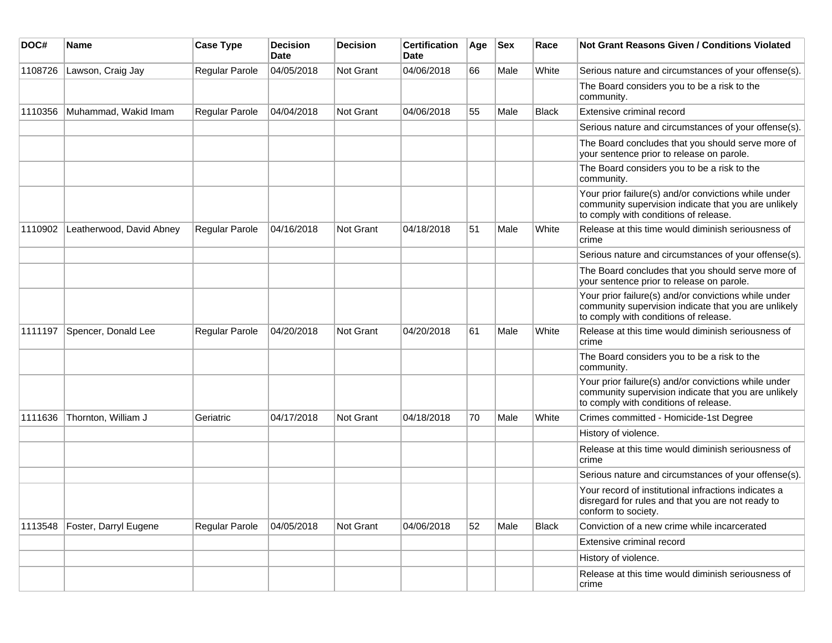| DOC#    | <b>Name</b>              | <b>Case Type</b> | <b>Decision</b><br><b>Date</b> | <b>Decision</b> | <b>Certification</b><br>Date | Age | Sex  | Race         | <b>Not Grant Reasons Given / Conditions Violated</b>                                                                                                  |
|---------|--------------------------|------------------|--------------------------------|-----------------|------------------------------|-----|------|--------------|-------------------------------------------------------------------------------------------------------------------------------------------------------|
| 1108726 | Lawson, Craig Jay        | Regular Parole   | 04/05/2018                     | Not Grant       | 04/06/2018                   | 66  | Male | White        | Serious nature and circumstances of your offense(s).                                                                                                  |
|         |                          |                  |                                |                 |                              |     |      |              | The Board considers you to be a risk to the<br>community.                                                                                             |
| 1110356 | Muhammad, Wakid Imam     | Regular Parole   | 04/04/2018                     | Not Grant       | 04/06/2018                   | 55  | Male | <b>Black</b> | Extensive criminal record                                                                                                                             |
|         |                          |                  |                                |                 |                              |     |      |              | Serious nature and circumstances of your offense(s).                                                                                                  |
|         |                          |                  |                                |                 |                              |     |      |              | The Board concludes that you should serve more of<br>your sentence prior to release on parole.                                                        |
|         |                          |                  |                                |                 |                              |     |      |              | The Board considers you to be a risk to the<br>community.                                                                                             |
|         |                          |                  |                                |                 |                              |     |      |              | Your prior failure(s) and/or convictions while under<br>community supervision indicate that you are unlikely<br>to comply with conditions of release. |
| 1110902 | Leatherwood, David Abney | Regular Parole   | 04/16/2018                     | Not Grant       | 04/18/2018                   | 51  | Male | White        | Release at this time would diminish seriousness of<br>crime                                                                                           |
|         |                          |                  |                                |                 |                              |     |      |              | Serious nature and circumstances of your offense(s).                                                                                                  |
|         |                          |                  |                                |                 |                              |     |      |              | The Board concludes that you should serve more of<br>your sentence prior to release on parole.                                                        |
|         |                          |                  |                                |                 |                              |     |      |              | Your prior failure(s) and/or convictions while under<br>community supervision indicate that you are unlikely<br>to comply with conditions of release. |
| 1111197 | Spencer, Donald Lee      | Regular Parole   | 04/20/2018                     | Not Grant       | 04/20/2018                   | 61  | Male | White        | Release at this time would diminish seriousness of<br>crime                                                                                           |
|         |                          |                  |                                |                 |                              |     |      |              | The Board considers you to be a risk to the<br>community.                                                                                             |
|         |                          |                  |                                |                 |                              |     |      |              | Your prior failure(s) and/or convictions while under<br>community supervision indicate that you are unlikely<br>to comply with conditions of release. |
| 1111636 | Thornton, William J      | Geriatric        | 04/17/2018                     | Not Grant       | 04/18/2018                   | 70  | Male | White        | Crimes committed - Homicide-1st Degree                                                                                                                |
|         |                          |                  |                                |                 |                              |     |      |              | History of violence.                                                                                                                                  |
|         |                          |                  |                                |                 |                              |     |      |              | Release at this time would diminish seriousness of<br>crime                                                                                           |
|         |                          |                  |                                |                 |                              |     |      |              | Serious nature and circumstances of your offense(s).                                                                                                  |
|         |                          |                  |                                |                 |                              |     |      |              | Your record of institutional infractions indicates a<br>disregard for rules and that you are not ready to<br>conform to society.                      |
| 1113548 | Foster, Darryl Eugene    | Regular Parole   | 04/05/2018                     | Not Grant       | 04/06/2018                   | 52  | Male | <b>Black</b> | Conviction of a new crime while incarcerated                                                                                                          |
|         |                          |                  |                                |                 |                              |     |      |              | Extensive criminal record                                                                                                                             |
|         |                          |                  |                                |                 |                              |     |      |              | History of violence.                                                                                                                                  |
|         |                          |                  |                                |                 |                              |     |      |              | Release at this time would diminish seriousness of<br>crime                                                                                           |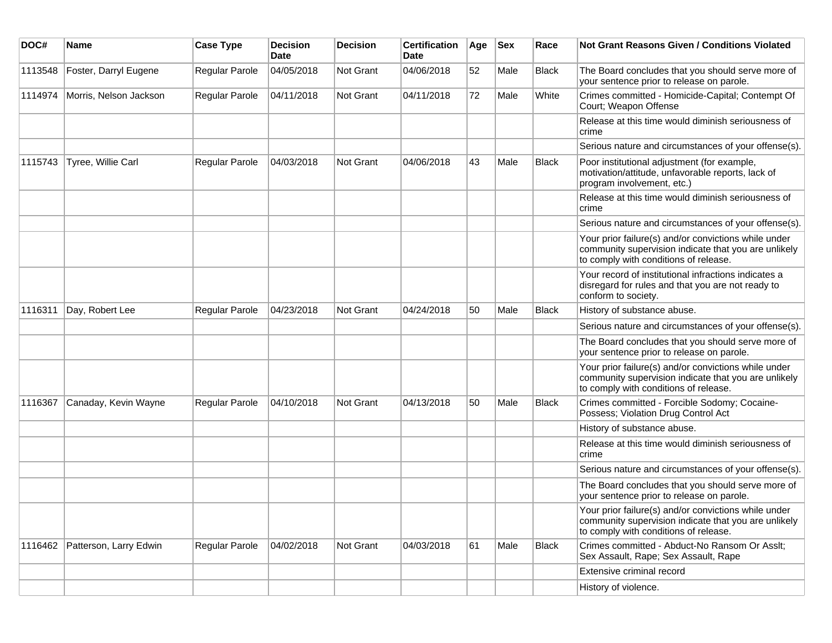| DOC#    | Name                           | <b>Case Type</b>      | <b>Decision</b><br>Date | <b>Decision</b> | <b>Certification</b><br>Date | Age | <b>Sex</b> | Race         | <b>Not Grant Reasons Given / Conditions Violated</b>                                                                                                  |
|---------|--------------------------------|-----------------------|-------------------------|-----------------|------------------------------|-----|------------|--------------|-------------------------------------------------------------------------------------------------------------------------------------------------------|
| 1113548 | Foster, Darryl Eugene          | Regular Parole        | 04/05/2018              | Not Grant       | 04/06/2018                   | 52  | Male       | <b>Black</b> | The Board concludes that you should serve more of<br>your sentence prior to release on parole.                                                        |
| 1114974 | Morris, Nelson Jackson         | Regular Parole        | 04/11/2018              | Not Grant       | 04/11/2018                   | 72  | Male       | White        | Crimes committed - Homicide-Capital; Contempt Of<br>Court; Weapon Offense                                                                             |
|         |                                |                       |                         |                 |                              |     |            |              | Release at this time would diminish seriousness of<br>crime                                                                                           |
|         |                                |                       |                         |                 |                              |     |            |              | Serious nature and circumstances of your offense(s).                                                                                                  |
| 1115743 | Tyree, Willie Carl             | Regular Parole        | 04/03/2018              | Not Grant       | 04/06/2018                   | 43  | Male       | Black        | Poor institutional adjustment (for example,<br>motivation/attitude, unfavorable reports, lack of<br>program involvement, etc.)                        |
|         |                                |                       |                         |                 |                              |     |            |              | Release at this time would diminish seriousness of<br>crime                                                                                           |
|         |                                |                       |                         |                 |                              |     |            |              | Serious nature and circumstances of your offense(s).                                                                                                  |
|         |                                |                       |                         |                 |                              |     |            |              | Your prior failure(s) and/or convictions while under<br>community supervision indicate that you are unlikely<br>to comply with conditions of release. |
|         |                                |                       |                         |                 |                              |     |            |              | Your record of institutional infractions indicates a<br>disregard for rules and that you are not ready to<br>conform to society.                      |
| 1116311 | Day, Robert Lee                | Regular Parole        | 04/23/2018              | Not Grant       | 04/24/2018                   | 50  | Male       | <b>Black</b> | History of substance abuse.                                                                                                                           |
|         |                                |                       |                         |                 |                              |     |            |              | Serious nature and circumstances of your offense(s).                                                                                                  |
|         |                                |                       |                         |                 |                              |     |            |              | The Board concludes that you should serve more of<br>your sentence prior to release on parole.                                                        |
|         |                                |                       |                         |                 |                              |     |            |              | Your prior failure(s) and/or convictions while under<br>community supervision indicate that you are unlikely<br>to comply with conditions of release. |
| 1116367 | Canaday, Kevin Wayne           | <b>Regular Parole</b> | 04/10/2018              | Not Grant       | 04/13/2018                   | 50  | Male       | Black        | Crimes committed - Forcible Sodomy; Cocaine-<br>Possess; Violation Drug Control Act                                                                   |
|         |                                |                       |                         |                 |                              |     |            |              | History of substance abuse.                                                                                                                           |
|         |                                |                       |                         |                 |                              |     |            |              | Release at this time would diminish seriousness of<br>crime                                                                                           |
|         |                                |                       |                         |                 |                              |     |            |              | Serious nature and circumstances of your offense(s).                                                                                                  |
|         |                                |                       |                         |                 |                              |     |            |              | The Board concludes that you should serve more of<br>your sentence prior to release on parole.                                                        |
|         |                                |                       |                         |                 |                              |     |            |              | Your prior failure(s) and/or convictions while under<br>community supervision indicate that you are unlikely<br>to comply with conditions of release. |
|         | 1116462 Patterson, Larry Edwin | Regular Parole        | 04/02/2018              | Not Grant       | 04/03/2018                   | 61  | Male       | <b>Black</b> | Crimes committed - Abduct-No Ransom Or Asslt;<br>Sex Assault, Rape; Sex Assault, Rape                                                                 |
|         |                                |                       |                         |                 |                              |     |            |              | Extensive criminal record                                                                                                                             |
|         |                                |                       |                         |                 |                              |     |            |              | History of violence.                                                                                                                                  |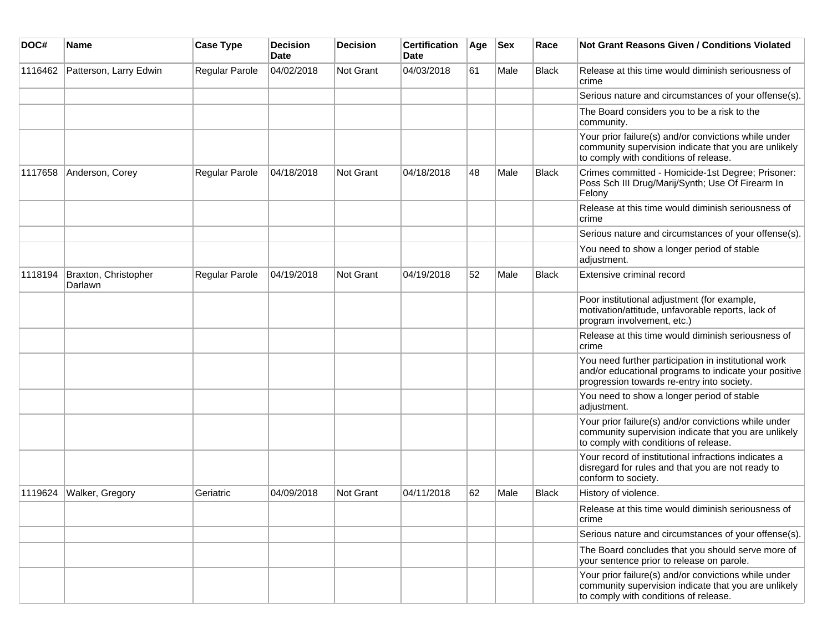| DOC#    | Name                            | <b>Case Type</b> | <b>Decision</b><br>Date | <b>Decision</b>  | <b>Certification</b><br>Date | Age | <b>Sex</b> | Race         | <b>Not Grant Reasons Given / Conditions Violated</b>                                                                                                        |
|---------|---------------------------------|------------------|-------------------------|------------------|------------------------------|-----|------------|--------------|-------------------------------------------------------------------------------------------------------------------------------------------------------------|
| 1116462 | Patterson, Larry Edwin          | Regular Parole   | 04/02/2018              | Not Grant        | 04/03/2018                   | 61  | Male       | Black        | Release at this time would diminish seriousness of<br>crime                                                                                                 |
|         |                                 |                  |                         |                  |                              |     |            |              | Serious nature and circumstances of your offense(s).                                                                                                        |
|         |                                 |                  |                         |                  |                              |     |            |              | The Board considers you to be a risk to the<br>community.                                                                                                   |
|         |                                 |                  |                         |                  |                              |     |            |              | Your prior failure(s) and/or convictions while under<br>community supervision indicate that you are unlikely<br>to comply with conditions of release.       |
| 1117658 | Anderson, Corey                 | Regular Parole   | 04/18/2018              | <b>Not Grant</b> | 04/18/2018                   | 48  | Male       | <b>Black</b> | Crimes committed - Homicide-1st Degree; Prisoner:<br>Poss Sch III Drug/Marij/Synth; Use Of Firearm In<br>Felony                                             |
|         |                                 |                  |                         |                  |                              |     |            |              | Release at this time would diminish seriousness of<br>crime                                                                                                 |
|         |                                 |                  |                         |                  |                              |     |            |              | Serious nature and circumstances of your offense(s).                                                                                                        |
|         |                                 |                  |                         |                  |                              |     |            |              | You need to show a longer period of stable<br>adjustment.                                                                                                   |
| 1118194 | Braxton, Christopher<br>Darlawn | Regular Parole   | 04/19/2018              | <b>Not Grant</b> | 04/19/2018                   | 52  | Male       | Black        | Extensive criminal record                                                                                                                                   |
|         |                                 |                  |                         |                  |                              |     |            |              | Poor institutional adjustment (for example,<br>motivation/attitude, unfavorable reports, lack of<br>program involvement, etc.)                              |
|         |                                 |                  |                         |                  |                              |     |            |              | Release at this time would diminish seriousness of<br>crime                                                                                                 |
|         |                                 |                  |                         |                  |                              |     |            |              | You need further participation in institutional work<br>and/or educational programs to indicate your positive<br>progression towards re-entry into society. |
|         |                                 |                  |                         |                  |                              |     |            |              | You need to show a longer period of stable<br>adjustment.                                                                                                   |
|         |                                 |                  |                         |                  |                              |     |            |              | Your prior failure(s) and/or convictions while under<br>community supervision indicate that you are unlikely<br>to comply with conditions of release.       |
|         |                                 |                  |                         |                  |                              |     |            |              | Your record of institutional infractions indicates a<br>disregard for rules and that you are not ready to<br>conform to society.                            |
| 1119624 | Walker, Gregory                 | Geriatric        | 04/09/2018              | <b>Not Grant</b> | 04/11/2018                   | 62  | Male       | Black        | History of violence.                                                                                                                                        |
|         |                                 |                  |                         |                  |                              |     |            |              | Release at this time would diminish seriousness of<br>crime                                                                                                 |
|         |                                 |                  |                         |                  |                              |     |            |              | Serious nature and circumstances of your offense(s).                                                                                                        |
|         |                                 |                  |                         |                  |                              |     |            |              | The Board concludes that you should serve more of<br>your sentence prior to release on parole.                                                              |
|         |                                 |                  |                         |                  |                              |     |            |              | Your prior failure(s) and/or convictions while under<br>community supervision indicate that you are unlikely<br>to comply with conditions of release.       |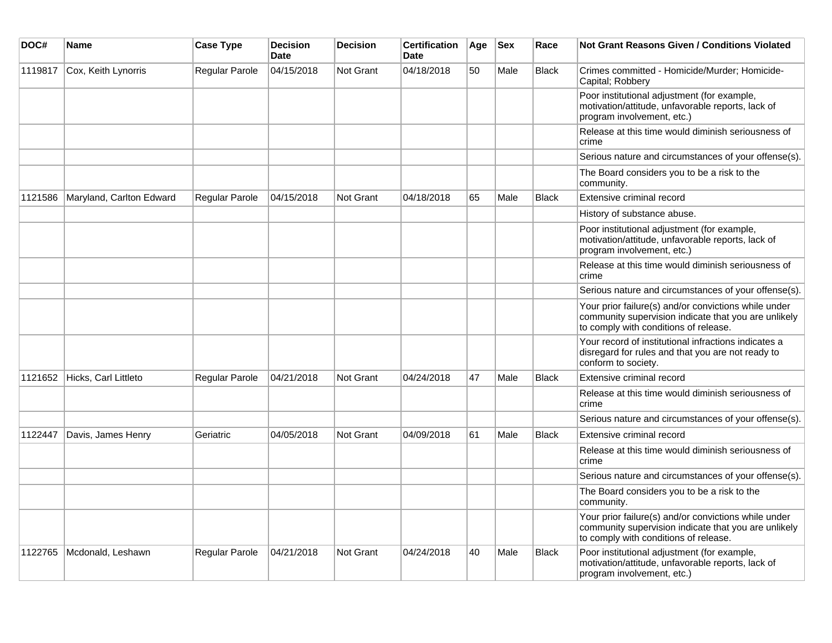| DOC#    | <b>Name</b>              | <b>Case Type</b> | <b>Decision</b><br><b>Date</b> | <b>Decision</b> | <b>Certification</b><br><b>Date</b> | Age | <b>Sex</b> | Race         | <b>Not Grant Reasons Given / Conditions Violated</b>                                                                                                  |
|---------|--------------------------|------------------|--------------------------------|-----------------|-------------------------------------|-----|------------|--------------|-------------------------------------------------------------------------------------------------------------------------------------------------------|
| 1119817 | Cox, Keith Lynorris      | Regular Parole   | 04/15/2018                     | Not Grant       | 04/18/2018                          | 50  | Male       | <b>Black</b> | Crimes committed - Homicide/Murder; Homicide-<br>Capital; Robbery                                                                                     |
|         |                          |                  |                                |                 |                                     |     |            |              | Poor institutional adjustment (for example,<br>motivation/attitude, unfavorable reports, lack of<br>program involvement, etc.)                        |
|         |                          |                  |                                |                 |                                     |     |            |              | Release at this time would diminish seriousness of<br>crime                                                                                           |
|         |                          |                  |                                |                 |                                     |     |            |              | Serious nature and circumstances of your offense(s).                                                                                                  |
|         |                          |                  |                                |                 |                                     |     |            |              | The Board considers you to be a risk to the<br>community.                                                                                             |
| 1121586 | Maryland, Carlton Edward | Regular Parole   | 04/15/2018                     | Not Grant       | 04/18/2018                          | 65  | Male       | <b>Black</b> | Extensive criminal record                                                                                                                             |
|         |                          |                  |                                |                 |                                     |     |            |              | History of substance abuse.                                                                                                                           |
|         |                          |                  |                                |                 |                                     |     |            |              | Poor institutional adjustment (for example,<br>motivation/attitude, unfavorable reports, lack of<br>program involvement, etc.)                        |
|         |                          |                  |                                |                 |                                     |     |            |              | Release at this time would diminish seriousness of<br>crime                                                                                           |
|         |                          |                  |                                |                 |                                     |     |            |              | Serious nature and circumstances of your offense(s).                                                                                                  |
|         |                          |                  |                                |                 |                                     |     |            |              | Your prior failure(s) and/or convictions while under<br>community supervision indicate that you are unlikely<br>to comply with conditions of release. |
|         |                          |                  |                                |                 |                                     |     |            |              | Your record of institutional infractions indicates a<br>disregard for rules and that you are not ready to<br>conform to society.                      |
| 1121652 | Hicks, Carl Littleto     | Regular Parole   | 04/21/2018                     | Not Grant       | 04/24/2018                          | 47  | Male       | <b>Black</b> | Extensive criminal record                                                                                                                             |
|         |                          |                  |                                |                 |                                     |     |            |              | Release at this time would diminish seriousness of<br>crime                                                                                           |
|         |                          |                  |                                |                 |                                     |     |            |              | Serious nature and circumstances of your offense(s).                                                                                                  |
| 1122447 | Davis, James Henry       | Geriatric        | 04/05/2018                     | Not Grant       | 04/09/2018                          | 61  | Male       | <b>Black</b> | Extensive criminal record                                                                                                                             |
|         |                          |                  |                                |                 |                                     |     |            |              | Release at this time would diminish seriousness of<br>crime                                                                                           |
|         |                          |                  |                                |                 |                                     |     |            |              | Serious nature and circumstances of your offense(s).                                                                                                  |
|         |                          |                  |                                |                 |                                     |     |            |              | The Board considers you to be a risk to the<br>community.                                                                                             |
|         |                          |                  |                                |                 |                                     |     |            |              | Your prior failure(s) and/or convictions while under<br>community supervision indicate that you are unlikely<br>to comply with conditions of release. |
| 1122765 | Mcdonald, Leshawn        | Regular Parole   | 04/21/2018                     | Not Grant       | 04/24/2018                          | 40  | Male       | Black        | Poor institutional adjustment (for example,<br>motivation/attitude, unfavorable reports, lack of<br>program involvement, etc.)                        |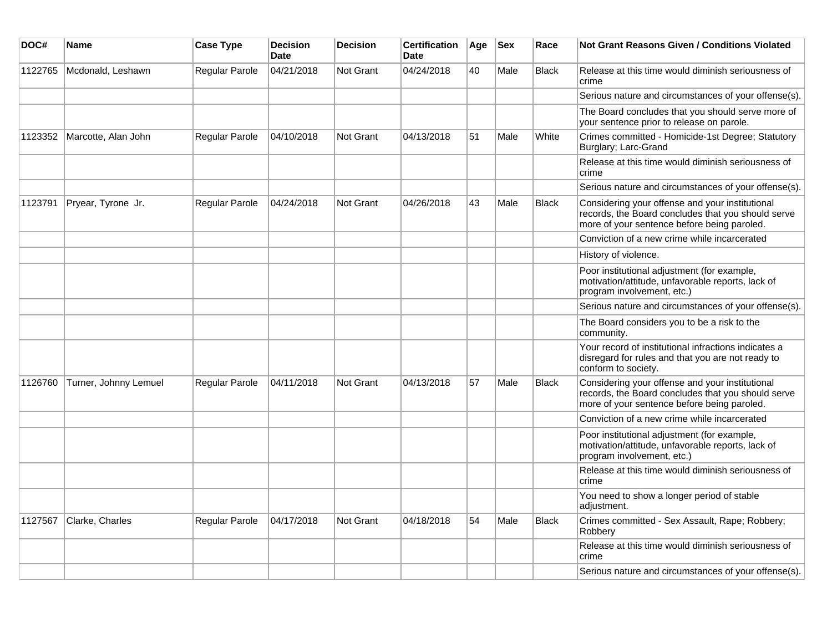| DOC#    | <b>Name</b>           | <b>Case Type</b> | <b>Decision</b><br><b>Date</b> | <b>Decision</b>  | <b>Certification</b><br><b>Date</b> | Age | <b>Sex</b> | Race         | Not Grant Reasons Given / Conditions Violated                                                                                                        |
|---------|-----------------------|------------------|--------------------------------|------------------|-------------------------------------|-----|------------|--------------|------------------------------------------------------------------------------------------------------------------------------------------------------|
| 1122765 | Mcdonald, Leshawn     | Regular Parole   | 04/21/2018                     | Not Grant        | 04/24/2018                          | 40  | Male       | <b>Black</b> | Release at this time would diminish seriousness of<br>crime                                                                                          |
|         |                       |                  |                                |                  |                                     |     |            |              | Serious nature and circumstances of your offense(s).                                                                                                 |
|         |                       |                  |                                |                  |                                     |     |            |              | The Board concludes that you should serve more of<br>your sentence prior to release on parole.                                                       |
| 1123352 | Marcotte, Alan John   | Regular Parole   | 04/10/2018                     | Not Grant        | 04/13/2018                          | 51  | Male       | White        | Crimes committed - Homicide-1st Degree; Statutory<br>Burglary; Larc-Grand                                                                            |
|         |                       |                  |                                |                  |                                     |     |            |              | Release at this time would diminish seriousness of<br>crime                                                                                          |
|         |                       |                  |                                |                  |                                     |     |            |              | Serious nature and circumstances of your offense(s).                                                                                                 |
| 1123791 | Pryear, Tyrone Jr.    | Regular Parole   | 04/24/2018                     | <b>Not Grant</b> | 04/26/2018                          | 43  | Male       | <b>Black</b> | Considering your offense and your institutional<br>records, the Board concludes that you should serve<br>more of your sentence before being paroled. |
|         |                       |                  |                                |                  |                                     |     |            |              | Conviction of a new crime while incarcerated                                                                                                         |
|         |                       |                  |                                |                  |                                     |     |            |              | History of violence.                                                                                                                                 |
|         |                       |                  |                                |                  |                                     |     |            |              | Poor institutional adjustment (for example,<br>motivation/attitude, unfavorable reports, lack of<br>program involvement, etc.)                       |
|         |                       |                  |                                |                  |                                     |     |            |              | Serious nature and circumstances of your offense(s).                                                                                                 |
|         |                       |                  |                                |                  |                                     |     |            |              | The Board considers you to be a risk to the<br>community.                                                                                            |
|         |                       |                  |                                |                  |                                     |     |            |              | Your record of institutional infractions indicates a<br>disregard for rules and that you are not ready to<br>conform to society.                     |
| 1126760 | Turner, Johnny Lemuel | Regular Parole   | 04/11/2018                     | <b>Not Grant</b> | 04/13/2018                          | 57  | Male       | <b>Black</b> | Considering your offense and your institutional<br>records, the Board concludes that you should serve<br>more of your sentence before being paroled. |
|         |                       |                  |                                |                  |                                     |     |            |              | Conviction of a new crime while incarcerated                                                                                                         |
|         |                       |                  |                                |                  |                                     |     |            |              | Poor institutional adjustment (for example,<br>motivation/attitude, unfavorable reports, lack of<br>program involvement, etc.)                       |
|         |                       |                  |                                |                  |                                     |     |            |              | Release at this time would diminish seriousness of<br>crime                                                                                          |
|         |                       |                  |                                |                  |                                     |     |            |              | You need to show a longer period of stable<br>adjustment.                                                                                            |
| 1127567 | Clarke, Charles       | Regular Parole   | 04/17/2018                     | Not Grant        | 04/18/2018                          | 54  | Male       | <b>Black</b> | Crimes committed - Sex Assault, Rape; Robbery;<br>Robbery                                                                                            |
|         |                       |                  |                                |                  |                                     |     |            |              | Release at this time would diminish seriousness of<br>crime                                                                                          |
|         |                       |                  |                                |                  |                                     |     |            |              | Serious nature and circumstances of your offense(s).                                                                                                 |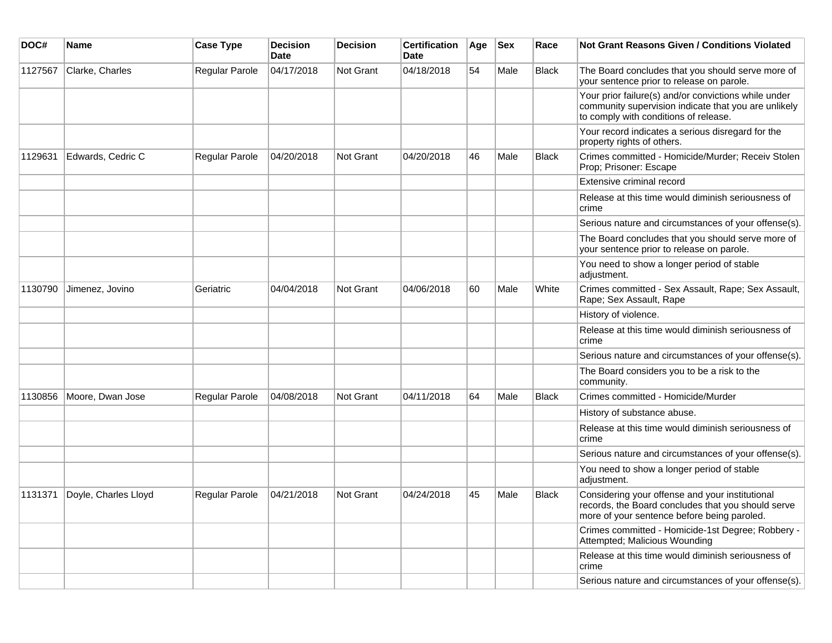| DOC#    | Name                 | <b>Case Type</b> | <b>Decision</b><br>Date | <b>Decision</b>  | <b>Certification</b><br>Date | Age | <b>Sex</b> | Race         | <b>Not Grant Reasons Given / Conditions Violated</b>                                                                                                  |
|---------|----------------------|------------------|-------------------------|------------------|------------------------------|-----|------------|--------------|-------------------------------------------------------------------------------------------------------------------------------------------------------|
| 1127567 | Clarke, Charles      | Regular Parole   | 04/17/2018              | <b>Not Grant</b> | 04/18/2018                   | 54  | Male       | <b>Black</b> | The Board concludes that you should serve more of<br>your sentence prior to release on parole.                                                        |
|         |                      |                  |                         |                  |                              |     |            |              | Your prior failure(s) and/or convictions while under<br>community supervision indicate that you are unlikely<br>to comply with conditions of release. |
|         |                      |                  |                         |                  |                              |     |            |              | Your record indicates a serious disregard for the<br>property rights of others.                                                                       |
| 1129631 | Edwards, Cedric C    | Regular Parole   | 04/20/2018              | <b>Not Grant</b> | 04/20/2018                   | 46  | Male       | Black        | Crimes committed - Homicide/Murder; Receiv Stolen<br>Prop; Prisoner: Escape                                                                           |
|         |                      |                  |                         |                  |                              |     |            |              | Extensive criminal record                                                                                                                             |
|         |                      |                  |                         |                  |                              |     |            |              | Release at this time would diminish seriousness of<br>crime                                                                                           |
|         |                      |                  |                         |                  |                              |     |            |              | Serious nature and circumstances of your offense(s).                                                                                                  |
|         |                      |                  |                         |                  |                              |     |            |              | The Board concludes that you should serve more of<br>your sentence prior to release on parole.                                                        |
|         |                      |                  |                         |                  |                              |     |            |              | You need to show a longer period of stable<br>adjustment.                                                                                             |
| 1130790 | Jimenez, Jovino      | Geriatric        | 04/04/2018              | <b>Not Grant</b> | 04/06/2018                   | 60  | Male       | White        | Crimes committed - Sex Assault, Rape; Sex Assault,<br>Rape; Sex Assault, Rape                                                                         |
|         |                      |                  |                         |                  |                              |     |            |              | History of violence.                                                                                                                                  |
|         |                      |                  |                         |                  |                              |     |            |              | Release at this time would diminish seriousness of<br>crime                                                                                           |
|         |                      |                  |                         |                  |                              |     |            |              | Serious nature and circumstances of your offense(s).                                                                                                  |
|         |                      |                  |                         |                  |                              |     |            |              | The Board considers you to be a risk to the<br>community.                                                                                             |
| 1130856 | Moore, Dwan Jose     | Regular Parole   | 04/08/2018              | Not Grant        | 04/11/2018                   | 64  | Male       | Black        | Crimes committed - Homicide/Murder                                                                                                                    |
|         |                      |                  |                         |                  |                              |     |            |              | History of substance abuse.                                                                                                                           |
|         |                      |                  |                         |                  |                              |     |            |              | Release at this time would diminish seriousness of<br>crime                                                                                           |
|         |                      |                  |                         |                  |                              |     |            |              | Serious nature and circumstances of your offense(s).                                                                                                  |
|         |                      |                  |                         |                  |                              |     |            |              | You need to show a longer period of stable<br>adjustment.                                                                                             |
| 1131371 | Doyle, Charles Lloyd | Regular Parole   | 04/21/2018              | <b>Not Grant</b> | 04/24/2018                   | 45  | Male       | <b>Black</b> | Considering your offense and your institutional<br>records, the Board concludes that you should serve<br>more of your sentence before being paroled.  |
|         |                      |                  |                         |                  |                              |     |            |              | Crimes committed - Homicide-1st Degree; Robbery -<br>Attempted; Malicious Wounding                                                                    |
|         |                      |                  |                         |                  |                              |     |            |              | Release at this time would diminish seriousness of<br>crime                                                                                           |
|         |                      |                  |                         |                  |                              |     |            |              | Serious nature and circumstances of your offense(s).                                                                                                  |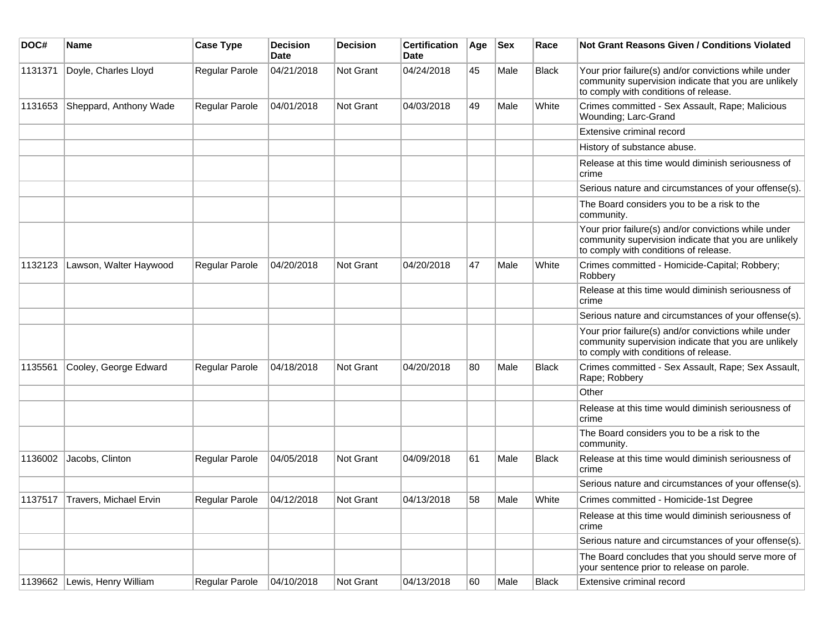| DOC#    | Name                         | <b>Case Type</b>      | <b>Decision</b><br><b>Date</b> | <b>Decision</b> | <b>Certification</b><br>Date | Age | <b>Sex</b> | Race         | Not Grant Reasons Given / Conditions Violated                                                                                                         |
|---------|------------------------------|-----------------------|--------------------------------|-----------------|------------------------------|-----|------------|--------------|-------------------------------------------------------------------------------------------------------------------------------------------------------|
| 1131371 | Doyle, Charles Lloyd         | Regular Parole        | 04/21/2018                     | Not Grant       | 04/24/2018                   | 45  | Male       | <b>Black</b> | Your prior failure(s) and/or convictions while under<br>community supervision indicate that you are unlikely<br>to comply with conditions of release. |
| 1131653 | Sheppard, Anthony Wade       | Regular Parole        | 04/01/2018                     | Not Grant       | 04/03/2018                   | 49  | Male       | White        | Crimes committed - Sex Assault, Rape; Malicious<br>Wounding; Larc-Grand                                                                               |
|         |                              |                       |                                |                 |                              |     |            |              | Extensive criminal record                                                                                                                             |
|         |                              |                       |                                |                 |                              |     |            |              | History of substance abuse.                                                                                                                           |
|         |                              |                       |                                |                 |                              |     |            |              | Release at this time would diminish seriousness of<br>crime                                                                                           |
|         |                              |                       |                                |                 |                              |     |            |              | Serious nature and circumstances of your offense(s).                                                                                                  |
|         |                              |                       |                                |                 |                              |     |            |              | The Board considers you to be a risk to the<br>community.                                                                                             |
|         |                              |                       |                                |                 |                              |     |            |              | Your prior failure(s) and/or convictions while under<br>community supervision indicate that you are unlikely<br>to comply with conditions of release. |
| 1132123 | Lawson, Walter Haywood       | <b>Regular Parole</b> | 04/20/2018                     | Not Grant       | 04/20/2018                   | 47  | Male       | White        | Crimes committed - Homicide-Capital; Robbery;<br>Robbery                                                                                              |
|         |                              |                       |                                |                 |                              |     |            |              | Release at this time would diminish seriousness of<br>crime                                                                                           |
|         |                              |                       |                                |                 |                              |     |            |              | Serious nature and circumstances of your offense(s).                                                                                                  |
|         |                              |                       |                                |                 |                              |     |            |              | Your prior failure(s) and/or convictions while under<br>community supervision indicate that you are unlikely<br>to comply with conditions of release. |
| 1135561 | Cooley, George Edward        | Regular Parole        | 04/18/2018                     | Not Grant       | 04/20/2018                   | 80  | Male       | <b>Black</b> | Crimes committed - Sex Assault, Rape; Sex Assault,<br>Rape; Robbery                                                                                   |
|         |                              |                       |                                |                 |                              |     |            |              | Other                                                                                                                                                 |
|         |                              |                       |                                |                 |                              |     |            |              | Release at this time would diminish seriousness of<br>crime                                                                                           |
|         |                              |                       |                                |                 |                              |     |            |              | The Board considers you to be a risk to the<br>community.                                                                                             |
| 1136002 | Jacobs, Clinton              | Regular Parole        | 04/05/2018                     | Not Grant       | 04/09/2018                   | 61  | Male       | <b>Black</b> | Release at this time would diminish seriousness of<br>crime                                                                                           |
|         |                              |                       |                                |                 |                              |     |            |              | Serious nature and circumstances of your offense(s).                                                                                                  |
| 1137517 | Travers, Michael Ervin       | <b>Regular Parole</b> | 04/12/2018                     | Not Grant       | 04/13/2018                   | 58  | Male       | White        | Crimes committed - Homicide-1st Degree                                                                                                                |
|         |                              |                       |                                |                 |                              |     |            |              | Release at this time would diminish seriousness of<br>crime                                                                                           |
|         |                              |                       |                                |                 |                              |     |            |              | Serious nature and circumstances of your offense(s).                                                                                                  |
|         |                              |                       |                                |                 |                              |     |            |              | The Board concludes that you should serve more of<br>your sentence prior to release on parole.                                                        |
|         | 1139662 Lewis, Henry William | Regular Parole        | 04/10/2018                     | Not Grant       | 04/13/2018                   | 60  | Male       | <b>Black</b> | Extensive criminal record                                                                                                                             |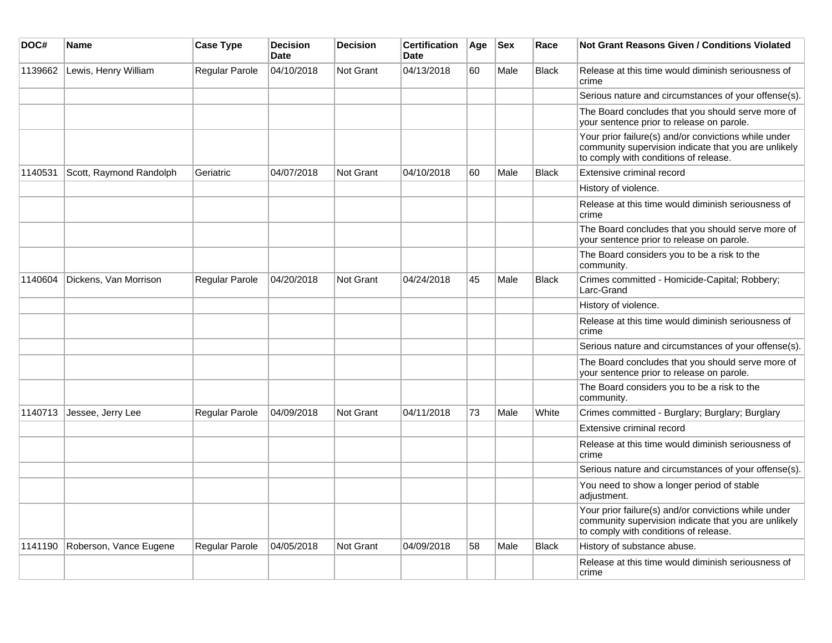| DOC#    | Name                    | <b>Case Type</b>      | <b>Decision</b><br><b>Date</b> | <b>Decision</b> | <b>Certification</b><br>Date | Age | <b>Sex</b> | Race         | Not Grant Reasons Given / Conditions Violated                                                                                                         |
|---------|-------------------------|-----------------------|--------------------------------|-----------------|------------------------------|-----|------------|--------------|-------------------------------------------------------------------------------------------------------------------------------------------------------|
| 1139662 | Lewis, Henry William    | Regular Parole        | 04/10/2018                     | Not Grant       | 04/13/2018                   | 60  | Male       | <b>Black</b> | Release at this time would diminish seriousness of<br>crime                                                                                           |
|         |                         |                       |                                |                 |                              |     |            |              | Serious nature and circumstances of your offense(s).                                                                                                  |
|         |                         |                       |                                |                 |                              |     |            |              | The Board concludes that you should serve more of<br>your sentence prior to release on parole.                                                        |
|         |                         |                       |                                |                 |                              |     |            |              | Your prior failure(s) and/or convictions while under<br>community supervision indicate that you are unlikely<br>to comply with conditions of release. |
| 1140531 | Scott, Raymond Randolph | Geriatric             | 04/07/2018                     | Not Grant       | 04/10/2018                   | 60  | Male       | <b>Black</b> | Extensive criminal record                                                                                                                             |
|         |                         |                       |                                |                 |                              |     |            |              | History of violence.                                                                                                                                  |
|         |                         |                       |                                |                 |                              |     |            |              | Release at this time would diminish seriousness of<br>crime                                                                                           |
|         |                         |                       |                                |                 |                              |     |            |              | The Board concludes that you should serve more of<br>your sentence prior to release on parole.                                                        |
|         |                         |                       |                                |                 |                              |     |            |              | The Board considers you to be a risk to the<br>community.                                                                                             |
| 1140604 | Dickens, Van Morrison   | Regular Parole        | 04/20/2018                     | Not Grant       | 04/24/2018                   | 45  | Male       | <b>Black</b> | Crimes committed - Homicide-Capital; Robbery;<br>Larc-Grand                                                                                           |
|         |                         |                       |                                |                 |                              |     |            |              | History of violence.                                                                                                                                  |
|         |                         |                       |                                |                 |                              |     |            |              | Release at this time would diminish seriousness of<br>crime                                                                                           |
|         |                         |                       |                                |                 |                              |     |            |              | Serious nature and circumstances of your offense(s).                                                                                                  |
|         |                         |                       |                                |                 |                              |     |            |              | The Board concludes that you should serve more of<br>your sentence prior to release on parole.                                                        |
|         |                         |                       |                                |                 |                              |     |            |              | The Board considers you to be a risk to the<br>community.                                                                                             |
| 1140713 | Jessee, Jerry Lee       | <b>Regular Parole</b> | 04/09/2018                     | Not Grant       | 04/11/2018                   | 73  | Male       | White        | Crimes committed - Burglary; Burglary; Burglary                                                                                                       |
|         |                         |                       |                                |                 |                              |     |            |              | Extensive criminal record                                                                                                                             |
|         |                         |                       |                                |                 |                              |     |            |              | Release at this time would diminish seriousness of<br>crime                                                                                           |
|         |                         |                       |                                |                 |                              |     |            |              | Serious nature and circumstances of your offense(s).                                                                                                  |
|         |                         |                       |                                |                 |                              |     |            |              | You need to show a longer period of stable<br>adjustment.                                                                                             |
|         |                         |                       |                                |                 |                              |     |            |              | Your prior failure(s) and/or convictions while under<br>community supervision indicate that you are unlikely<br>to comply with conditions of release. |
| 1141190 | Roberson, Vance Eugene  | <b>Regular Parole</b> | 04/05/2018                     | Not Grant       | 04/09/2018                   | 58  | Male       | <b>Black</b> | History of substance abuse.                                                                                                                           |
|         |                         |                       |                                |                 |                              |     |            |              | Release at this time would diminish seriousness of<br>crime                                                                                           |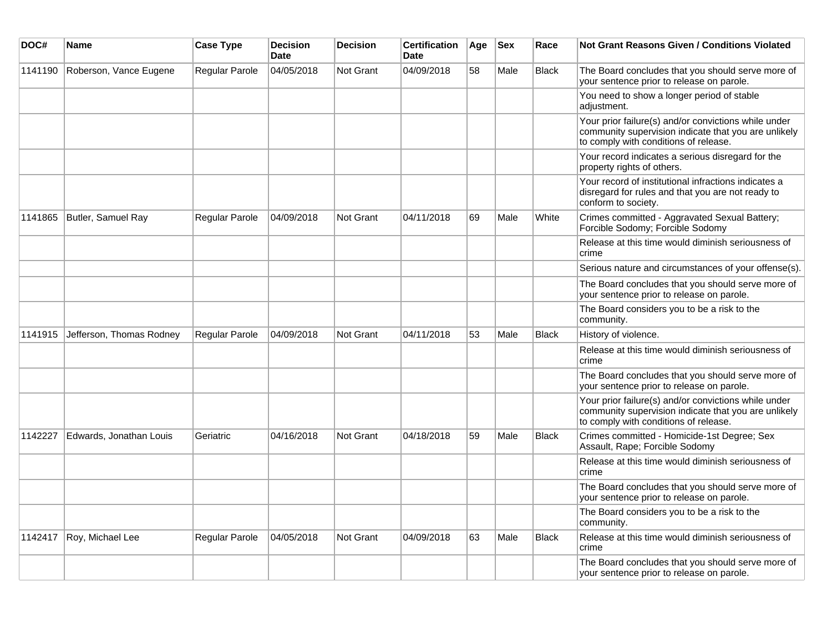| DOC#    | <b>Name</b>              | <b>Case Type</b> | <b>Decision</b><br><b>Date</b> | <b>Decision</b>  | <b>Certification</b><br><b>Date</b> | Age | $ $ Sex | Race         | Not Grant Reasons Given / Conditions Violated                                                                                                         |
|---------|--------------------------|------------------|--------------------------------|------------------|-------------------------------------|-----|---------|--------------|-------------------------------------------------------------------------------------------------------------------------------------------------------|
| 1141190 | Roberson, Vance Eugene   | Regular Parole   | 04/05/2018                     | <b>Not Grant</b> | 04/09/2018                          | 58  | Male    | <b>Black</b> | The Board concludes that you should serve more of<br>your sentence prior to release on parole.                                                        |
|         |                          |                  |                                |                  |                                     |     |         |              | You need to show a longer period of stable<br>adjustment.                                                                                             |
|         |                          |                  |                                |                  |                                     |     |         |              | Your prior failure(s) and/or convictions while under<br>community supervision indicate that you are unlikely<br>to comply with conditions of release. |
|         |                          |                  |                                |                  |                                     |     |         |              | Your record indicates a serious disregard for the<br>property rights of others.                                                                       |
|         |                          |                  |                                |                  |                                     |     |         |              | Your record of institutional infractions indicates a<br>disregard for rules and that you are not ready to<br>conform to society.                      |
| 1141865 | Butler, Samuel Ray       | Regular Parole   | 04/09/2018                     | Not Grant        | 04/11/2018                          | 69  | Male    | White        | Crimes committed - Aggravated Sexual Battery;<br>Forcible Sodomy; Forcible Sodomy                                                                     |
|         |                          |                  |                                |                  |                                     |     |         |              | Release at this time would diminish seriousness of<br>crime                                                                                           |
|         |                          |                  |                                |                  |                                     |     |         |              | Serious nature and circumstances of your offense(s).                                                                                                  |
|         |                          |                  |                                |                  |                                     |     |         |              | The Board concludes that you should serve more of<br>your sentence prior to release on parole.                                                        |
|         |                          |                  |                                |                  |                                     |     |         |              | The Board considers you to be a risk to the<br>community.                                                                                             |
| 1141915 | Jefferson, Thomas Rodney | Regular Parole   | 04/09/2018                     | Not Grant        | 04/11/2018                          | 53  | Male    | <b>Black</b> | History of violence.                                                                                                                                  |
|         |                          |                  |                                |                  |                                     |     |         |              | Release at this time would diminish seriousness of<br>crime                                                                                           |
|         |                          |                  |                                |                  |                                     |     |         |              | The Board concludes that you should serve more of<br>your sentence prior to release on parole.                                                        |
|         |                          |                  |                                |                  |                                     |     |         |              | Your prior failure(s) and/or convictions while under<br>community supervision indicate that you are unlikely<br>to comply with conditions of release. |
| 1142227 | Edwards, Jonathan Louis  | Geriatric        | 04/16/2018                     | Not Grant        | 04/18/2018                          | 59  | Male    | <b>Black</b> | Crimes committed - Homicide-1st Degree; Sex<br>Assault, Rape; Forcible Sodomy                                                                         |
|         |                          |                  |                                |                  |                                     |     |         |              | Release at this time would diminish seriousness of<br>crime                                                                                           |
|         |                          |                  |                                |                  |                                     |     |         |              | The Board concludes that you should serve more of<br>your sentence prior to release on parole.                                                        |
|         |                          |                  |                                |                  |                                     |     |         |              | The Board considers you to be a risk to the<br>community.                                                                                             |
| 1142417 | Roy, Michael Lee         | Regular Parole   | 04/05/2018                     | Not Grant        | 04/09/2018                          | 63  | Male    | <b>Black</b> | Release at this time would diminish seriousness of<br>crime                                                                                           |
|         |                          |                  |                                |                  |                                     |     |         |              | The Board concludes that you should serve more of<br>your sentence prior to release on parole.                                                        |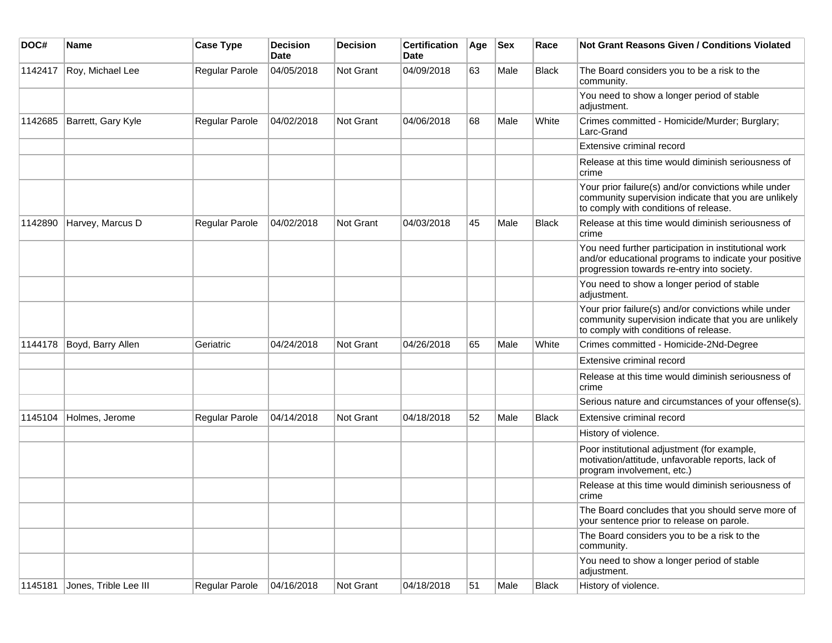| DOC#    | <b>Name</b>           | <b>Case Type</b> | <b>Decision</b><br>Date | <b>Decision</b> | <b>Certification</b><br><b>Date</b> | Age | <b>Sex</b> | Race         | <b>Not Grant Reasons Given / Conditions Violated</b>                                                                                                        |
|---------|-----------------------|------------------|-------------------------|-----------------|-------------------------------------|-----|------------|--------------|-------------------------------------------------------------------------------------------------------------------------------------------------------------|
| 1142417 | Roy, Michael Lee      | Regular Parole   | 04/05/2018              | Not Grant       | 04/09/2018                          | 63  | Male       | <b>Black</b> | The Board considers you to be a risk to the<br>community.                                                                                                   |
|         |                       |                  |                         |                 |                                     |     |            |              | You need to show a longer period of stable<br>adjustment.                                                                                                   |
| 1142685 | Barrett, Gary Kyle    | Regular Parole   | 04/02/2018              | Not Grant       | 04/06/2018                          | 68  | Male       | White        | Crimes committed - Homicide/Murder; Burglary;<br>Larc-Grand                                                                                                 |
|         |                       |                  |                         |                 |                                     |     |            |              | Extensive criminal record                                                                                                                                   |
|         |                       |                  |                         |                 |                                     |     |            |              | Release at this time would diminish seriousness of<br>crime                                                                                                 |
|         |                       |                  |                         |                 |                                     |     |            |              | Your prior failure(s) and/or convictions while under<br>community supervision indicate that you are unlikely<br>to comply with conditions of release.       |
| 1142890 | Harvey, Marcus D      | Regular Parole   | 04/02/2018              | Not Grant       | 04/03/2018                          | 45  | Male       | <b>Black</b> | Release at this time would diminish seriousness of<br>crime                                                                                                 |
|         |                       |                  |                         |                 |                                     |     |            |              | You need further participation in institutional work<br>and/or educational programs to indicate your positive<br>progression towards re-entry into society. |
|         |                       |                  |                         |                 |                                     |     |            |              | You need to show a longer period of stable<br>adjustment.                                                                                                   |
|         |                       |                  |                         |                 |                                     |     |            |              | Your prior failure(s) and/or convictions while under<br>community supervision indicate that you are unlikely<br>to comply with conditions of release.       |
| 1144178 | Boyd, Barry Allen     | Geriatric        | 04/24/2018              | Not Grant       | 04/26/2018                          | 65  | Male       | White        | Crimes committed - Homicide-2Nd-Degree                                                                                                                      |
|         |                       |                  |                         |                 |                                     |     |            |              | Extensive criminal record                                                                                                                                   |
|         |                       |                  |                         |                 |                                     |     |            |              | Release at this time would diminish seriousness of<br>crime                                                                                                 |
|         |                       |                  |                         |                 |                                     |     |            |              | Serious nature and circumstances of your offense(s).                                                                                                        |
| 1145104 | Holmes, Jerome        | Regular Parole   | 04/14/2018              | Not Grant       | 04/18/2018                          | 52  | Male       | <b>Black</b> | Extensive criminal record                                                                                                                                   |
|         |                       |                  |                         |                 |                                     |     |            |              | History of violence.                                                                                                                                        |
|         |                       |                  |                         |                 |                                     |     |            |              | Poor institutional adjustment (for example,<br>motivation/attitude, unfavorable reports, lack of<br>program involvement, etc.)                              |
|         |                       |                  |                         |                 |                                     |     |            |              | Release at this time would diminish seriousness of<br>crime                                                                                                 |
|         |                       |                  |                         |                 |                                     |     |            |              | The Board concludes that you should serve more of<br>your sentence prior to release on parole.                                                              |
|         |                       |                  |                         |                 |                                     |     |            |              | The Board considers you to be a risk to the<br>community.                                                                                                   |
|         |                       |                  |                         |                 |                                     |     |            |              | You need to show a longer period of stable<br>adjustment.                                                                                                   |
| 1145181 | Jones, Trible Lee III | Regular Parole   | 04/16/2018              | Not Grant       | 04/18/2018                          | 51  | Male       | Black        | History of violence.                                                                                                                                        |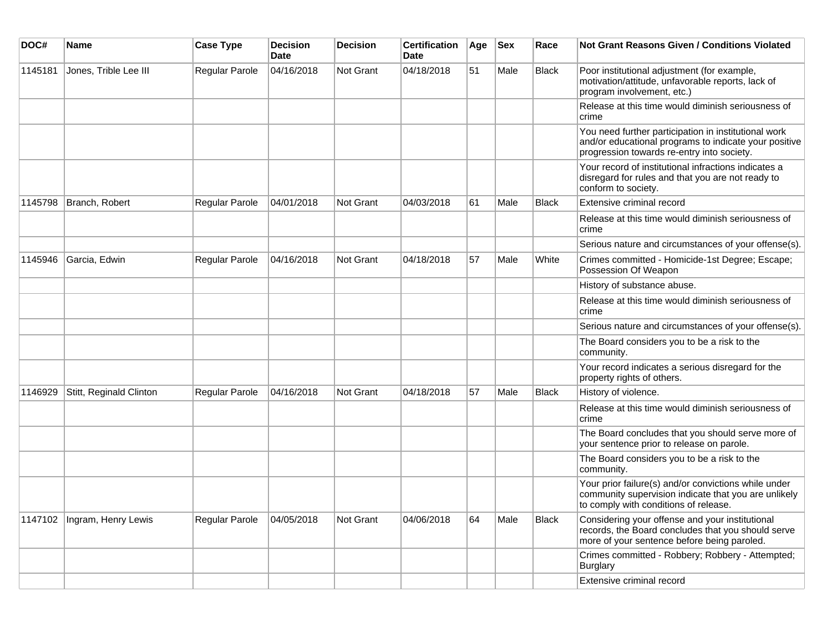| DOC#    | <b>Name</b>                   | <b>Case Type</b>      | <b>Decision</b><br>Date | <b>Decision</b> | <b>Certification</b><br>Date | Age | <b>Sex</b> | Race         | Not Grant Reasons Given / Conditions Violated                                                                                                               |
|---------|-------------------------------|-----------------------|-------------------------|-----------------|------------------------------|-----|------------|--------------|-------------------------------------------------------------------------------------------------------------------------------------------------------------|
| 1145181 | Jones, Trible Lee III         | Regular Parole        | 04/16/2018              | Not Grant       | 04/18/2018                   | 51  | Male       | <b>Black</b> | Poor institutional adjustment (for example,<br>motivation/attitude, unfavorable reports, lack of<br>program involvement, etc.)                              |
|         |                               |                       |                         |                 |                              |     |            |              | Release at this time would diminish seriousness of<br>crime                                                                                                 |
|         |                               |                       |                         |                 |                              |     |            |              | You need further participation in institutional work<br>and/or educational programs to indicate your positive<br>progression towards re-entry into society. |
|         |                               |                       |                         |                 |                              |     |            |              | Your record of institutional infractions indicates a<br>disregard for rules and that you are not ready to<br>conform to society.                            |
| 1145798 | Branch, Robert                | <b>Regular Parole</b> | 04/01/2018              | Not Grant       | 04/03/2018                   | 61  | Male       | <b>Black</b> | Extensive criminal record                                                                                                                                   |
|         |                               |                       |                         |                 |                              |     |            |              | Release at this time would diminish seriousness of<br>crime                                                                                                 |
|         |                               |                       |                         |                 |                              |     |            |              | Serious nature and circumstances of your offense(s).                                                                                                        |
| 1145946 | Garcia, Edwin                 | Regular Parole        | 04/16/2018              | Not Grant       | 04/18/2018                   | 57  | Male       | White        | Crimes committed - Homicide-1st Degree; Escape;<br>Possession Of Weapon                                                                                     |
|         |                               |                       |                         |                 |                              |     |            |              | History of substance abuse.                                                                                                                                 |
|         |                               |                       |                         |                 |                              |     |            |              | Release at this time would diminish seriousness of<br>crime                                                                                                 |
|         |                               |                       |                         |                 |                              |     |            |              | Serious nature and circumstances of your offense(s).                                                                                                        |
|         |                               |                       |                         |                 |                              |     |            |              | The Board considers you to be a risk to the<br>community.                                                                                                   |
|         |                               |                       |                         |                 |                              |     |            |              | Your record indicates a serious disregard for the<br>property rights of others.                                                                             |
| 1146929 | Stitt, Reginald Clinton       | <b>Regular Parole</b> | 04/16/2018              | Not Grant       | 04/18/2018                   | 57  | Male       | <b>Black</b> | History of violence.                                                                                                                                        |
|         |                               |                       |                         |                 |                              |     |            |              | Release at this time would diminish seriousness of<br>crime                                                                                                 |
|         |                               |                       |                         |                 |                              |     |            |              | The Board concludes that you should serve more of<br>your sentence prior to release on parole.                                                              |
|         |                               |                       |                         |                 |                              |     |            |              | The Board considers you to be a risk to the<br>community.                                                                                                   |
|         |                               |                       |                         |                 |                              |     |            |              | Your prior failure(s) and/or convictions while under<br>community supervision indicate that you are unlikely<br>to comply with conditions of release.       |
|         | 1147102   Ingram, Henry Lewis | Regular Parole        | 04/05/2018              | Not Grant       | 04/06/2018                   | 64  | Male       | Black        | Considering your offense and your institutional<br>records, the Board concludes that you should serve<br>more of your sentence before being paroled.        |
|         |                               |                       |                         |                 |                              |     |            |              | Crimes committed - Robbery; Robbery - Attempted;<br>Burglary                                                                                                |
|         |                               |                       |                         |                 |                              |     |            |              | Extensive criminal record                                                                                                                                   |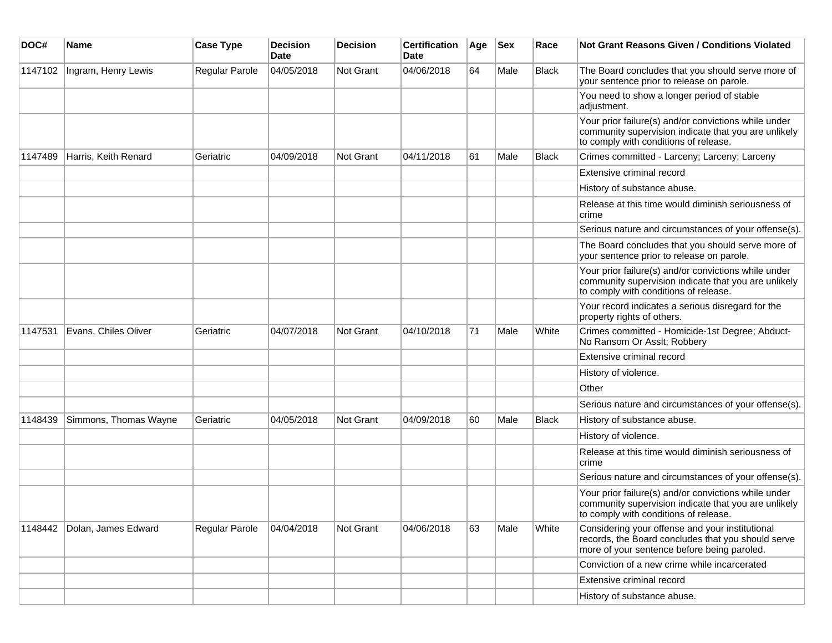| DOC#    | <b>Name</b>           | <b>Case Type</b> | <b>Decision</b><br><b>Date</b> | <b>Decision</b> | <b>Certification</b><br>Date | Age | <b>Sex</b> | Race         | Not Grant Reasons Given / Conditions Violated                                                                                                         |
|---------|-----------------------|------------------|--------------------------------|-----------------|------------------------------|-----|------------|--------------|-------------------------------------------------------------------------------------------------------------------------------------------------------|
| 1147102 | Ingram, Henry Lewis   | Regular Parole   | 04/05/2018                     | Not Grant       | 04/06/2018                   | 64  | Male       | <b>Black</b> | The Board concludes that you should serve more of<br>your sentence prior to release on parole.                                                        |
|         |                       |                  |                                |                 |                              |     |            |              | You need to show a longer period of stable<br>adjustment.                                                                                             |
|         |                       |                  |                                |                 |                              |     |            |              | Your prior failure(s) and/or convictions while under<br>community supervision indicate that you are unlikely<br>to comply with conditions of release. |
| 1147489 | Harris, Keith Renard  | Geriatric        | 04/09/2018                     | Not Grant       | 04/11/2018                   | 61  | Male       | <b>Black</b> | Crimes committed - Larceny; Larceny; Larceny                                                                                                          |
|         |                       |                  |                                |                 |                              |     |            |              | Extensive criminal record                                                                                                                             |
|         |                       |                  |                                |                 |                              |     |            |              | History of substance abuse.                                                                                                                           |
|         |                       |                  |                                |                 |                              |     |            |              | Release at this time would diminish seriousness of<br>crime                                                                                           |
|         |                       |                  |                                |                 |                              |     |            |              | Serious nature and circumstances of your offense(s).                                                                                                  |
|         |                       |                  |                                |                 |                              |     |            |              | The Board concludes that you should serve more of<br>your sentence prior to release on parole.                                                        |
|         |                       |                  |                                |                 |                              |     |            |              | Your prior failure(s) and/or convictions while under<br>community supervision indicate that you are unlikely<br>to comply with conditions of release. |
|         |                       |                  |                                |                 |                              |     |            |              | Your record indicates a serious disregard for the<br>property rights of others.                                                                       |
| 1147531 | Evans, Chiles Oliver  | Geriatric        | 04/07/2018                     | Not Grant       | 04/10/2018                   | 71  | Male       | White        | Crimes committed - Homicide-1st Degree; Abduct-<br>No Ransom Or Asslt; Robbery                                                                        |
|         |                       |                  |                                |                 |                              |     |            |              | Extensive criminal record                                                                                                                             |
|         |                       |                  |                                |                 |                              |     |            |              | History of violence.                                                                                                                                  |
|         |                       |                  |                                |                 |                              |     |            |              | Other                                                                                                                                                 |
|         |                       |                  |                                |                 |                              |     |            |              | Serious nature and circumstances of your offense(s).                                                                                                  |
| 1148439 | Simmons, Thomas Wayne | Geriatric        | 04/05/2018                     | Not Grant       | 04/09/2018                   | 60  | Male       | <b>Black</b> | History of substance abuse.                                                                                                                           |
|         |                       |                  |                                |                 |                              |     |            |              | History of violence.                                                                                                                                  |
|         |                       |                  |                                |                 |                              |     |            |              | Release at this time would diminish seriousness of<br>crime                                                                                           |
|         |                       |                  |                                |                 |                              |     |            |              | Serious nature and circumstances of your offense(s).                                                                                                  |
|         |                       |                  |                                |                 |                              |     |            |              | Your prior failure(s) and/or convictions while under<br>community supervision indicate that you are unlikely<br>to comply with conditions of release. |
| 1148442 | Dolan, James Edward   | Regular Parole   | 04/04/2018                     | Not Grant       | 04/06/2018                   | 63  | Male       | White        | Considering your offense and your institutional<br>records, the Board concludes that you should serve<br>more of your sentence before being paroled.  |
|         |                       |                  |                                |                 |                              |     |            |              | Conviction of a new crime while incarcerated                                                                                                          |
|         |                       |                  |                                |                 |                              |     |            |              | Extensive criminal record                                                                                                                             |
|         |                       |                  |                                |                 |                              |     |            |              | History of substance abuse.                                                                                                                           |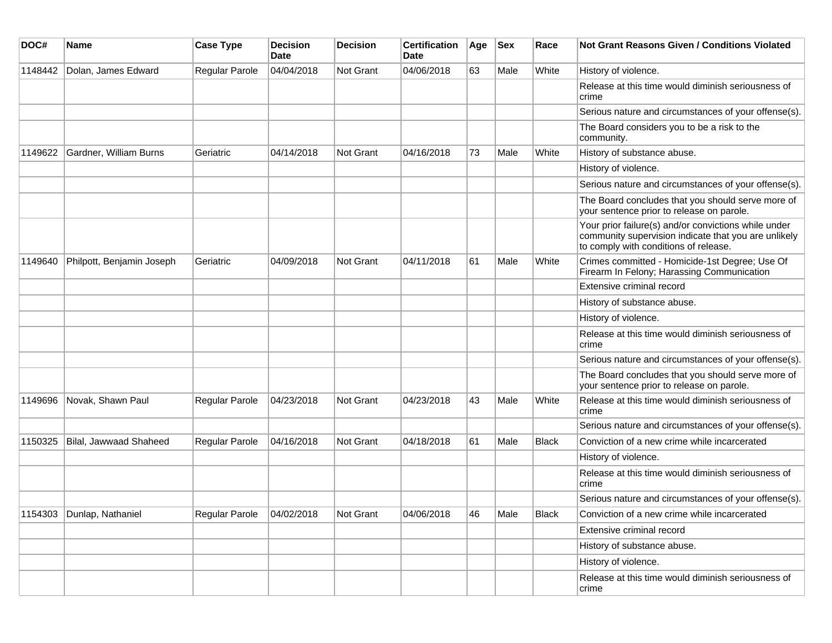| DOC#    | Name                      | <b>Case Type</b> | <b>Decision</b><br>Date | <b>Decision</b> | <b>Certification</b><br>Date | Age | <b>Sex</b> | Race         | <b>Not Grant Reasons Given / Conditions Violated</b>                                                                                                  |
|---------|---------------------------|------------------|-------------------------|-----------------|------------------------------|-----|------------|--------------|-------------------------------------------------------------------------------------------------------------------------------------------------------|
| 1148442 | Dolan, James Edward       | Regular Parole   | 04/04/2018              | Not Grant       | 04/06/2018                   | 63  | Male       | White        | History of violence.                                                                                                                                  |
|         |                           |                  |                         |                 |                              |     |            |              | Release at this time would diminish seriousness of<br>crime                                                                                           |
|         |                           |                  |                         |                 |                              |     |            |              | Serious nature and circumstances of your offense(s).                                                                                                  |
|         |                           |                  |                         |                 |                              |     |            |              | The Board considers you to be a risk to the<br>community.                                                                                             |
| 1149622 | Gardner, William Burns    | Geriatric        | 04/14/2018              | Not Grant       | 04/16/2018                   | 73  | Male       | White        | History of substance abuse.                                                                                                                           |
|         |                           |                  |                         |                 |                              |     |            |              | History of violence.                                                                                                                                  |
|         |                           |                  |                         |                 |                              |     |            |              | Serious nature and circumstances of your offense(s).                                                                                                  |
|         |                           |                  |                         |                 |                              |     |            |              | The Board concludes that you should serve more of<br>your sentence prior to release on parole.                                                        |
|         |                           |                  |                         |                 |                              |     |            |              | Your prior failure(s) and/or convictions while under<br>community supervision indicate that you are unlikely<br>to comply with conditions of release. |
| 1149640 | Philpott, Benjamin Joseph | Geriatric        | 04/09/2018              | Not Grant       | 04/11/2018                   | 61  | Male       | White        | Crimes committed - Homicide-1st Degree; Use Of<br>Firearm In Felony; Harassing Communication                                                          |
|         |                           |                  |                         |                 |                              |     |            |              | Extensive criminal record                                                                                                                             |
|         |                           |                  |                         |                 |                              |     |            |              | History of substance abuse.                                                                                                                           |
|         |                           |                  |                         |                 |                              |     |            |              | History of violence.                                                                                                                                  |
|         |                           |                  |                         |                 |                              |     |            |              | Release at this time would diminish seriousness of<br>crime                                                                                           |
|         |                           |                  |                         |                 |                              |     |            |              | Serious nature and circumstances of your offense(s).                                                                                                  |
|         |                           |                  |                         |                 |                              |     |            |              | The Board concludes that you should serve more of<br>your sentence prior to release on parole.                                                        |
| 1149696 | Novak, Shawn Paul         | Regular Parole   | 04/23/2018              | Not Grant       | 04/23/2018                   | 43  | Male       | White        | Release at this time would diminish seriousness of<br>crime                                                                                           |
|         |                           |                  |                         |                 |                              |     |            |              | Serious nature and circumstances of your offense(s).                                                                                                  |
| 1150325 | Bilal, Jawwaad Shaheed    | Regular Parole   | 04/16/2018              | Not Grant       | 04/18/2018                   | 61  | Male       | <b>Black</b> | Conviction of a new crime while incarcerated                                                                                                          |
|         |                           |                  |                         |                 |                              |     |            |              | History of violence.                                                                                                                                  |
|         |                           |                  |                         |                 |                              |     |            |              | Release at this time would diminish seriousness of<br>crime                                                                                           |
|         |                           |                  |                         |                 |                              |     |            |              | Serious nature and circumstances of your offense(s).                                                                                                  |
|         | 1154303 Dunlap, Nathaniel | Regular Parole   | 04/02/2018              | Not Grant       | 04/06/2018                   | 46  | Male       | Black        | Conviction of a new crime while incarcerated                                                                                                          |
|         |                           |                  |                         |                 |                              |     |            |              | Extensive criminal record                                                                                                                             |
|         |                           |                  |                         |                 |                              |     |            |              | History of substance abuse.                                                                                                                           |
|         |                           |                  |                         |                 |                              |     |            |              | History of violence.                                                                                                                                  |
|         |                           |                  |                         |                 |                              |     |            |              | Release at this time would diminish seriousness of<br>crime                                                                                           |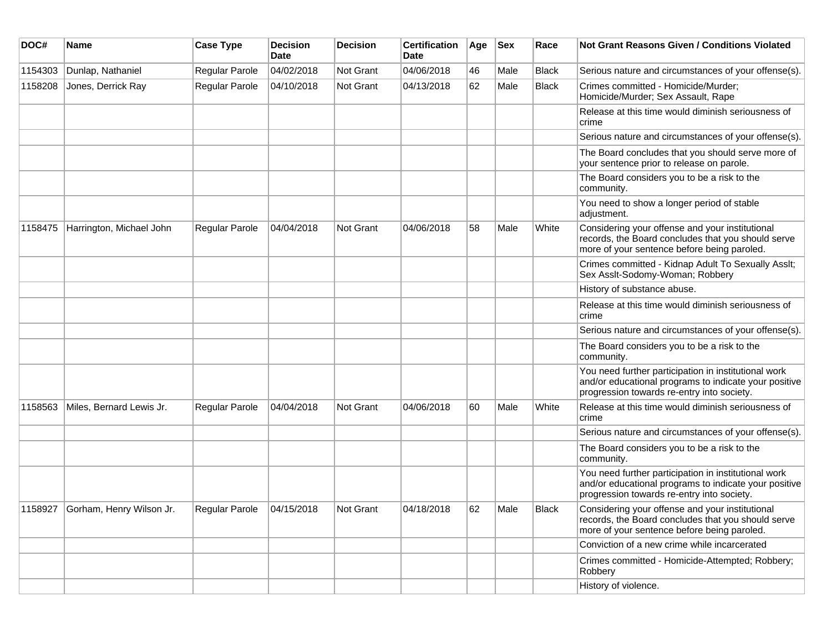| DOC#    | <b>Name</b>                      | <b>Case Type</b>          | Decision<br><b>Date</b> | <b>Decision</b>  | <b>Certification</b><br>Date | Age | <b>Sex</b> | Race         | <b>Not Grant Reasons Given / Conditions Violated</b>                                                                                                        |
|---------|----------------------------------|---------------------------|-------------------------|------------------|------------------------------|-----|------------|--------------|-------------------------------------------------------------------------------------------------------------------------------------------------------------|
| 1154303 | Dunlap, Nathaniel                | Regular Parole            | 04/02/2018              | <b>Not Grant</b> | 04/06/2018                   | 46  | Male       | <b>Black</b> | Serious nature and circumstances of your offense(s).                                                                                                        |
| 1158208 | Jones, Derrick Ray               | Regular Parole            | 04/10/2018              | <b>Not Grant</b> | 04/13/2018                   | 62  | Male       | <b>Black</b> | Crimes committed - Homicide/Murder;<br>Homicide/Murder; Sex Assault, Rape                                                                                   |
|         |                                  |                           |                         |                  |                              |     |            |              | Release at this time would diminish seriousness of<br>crime                                                                                                 |
|         |                                  |                           |                         |                  |                              |     |            |              | Serious nature and circumstances of your offense(s).                                                                                                        |
|         |                                  |                           |                         |                  |                              |     |            |              | The Board concludes that you should serve more of<br>your sentence prior to release on parole.                                                              |
|         |                                  |                           |                         |                  |                              |     |            |              | The Board considers you to be a risk to the<br>community.                                                                                                   |
|         |                                  |                           |                         |                  |                              |     |            |              | You need to show a longer period of stable<br>adjustment.                                                                                                   |
| 1158475 | Harrington, Michael John         | Regular Parole            | 04/04/2018              | <b>Not Grant</b> | 04/06/2018                   | 58  | Male       | White        | Considering your offense and your institutional<br>records, the Board concludes that you should serve<br>more of your sentence before being paroled.        |
|         |                                  |                           |                         |                  |                              |     |            |              | Crimes committed - Kidnap Adult To Sexually Asslt;<br>Sex Asslt-Sodomy-Woman; Robbery                                                                       |
|         |                                  |                           |                         |                  |                              |     |            |              | History of substance abuse.                                                                                                                                 |
|         |                                  |                           |                         |                  |                              |     |            |              | Release at this time would diminish seriousness of<br>crime                                                                                                 |
|         |                                  |                           |                         |                  |                              |     |            |              | Serious nature and circumstances of your offense(s).                                                                                                        |
|         |                                  |                           |                         |                  |                              |     |            |              | The Board considers you to be a risk to the<br>community.                                                                                                   |
|         |                                  |                           |                         |                  |                              |     |            |              | You need further participation in institutional work<br>and/or educational programs to indicate your positive<br>progression towards re-entry into society. |
| 1158563 | Miles, Bernard Lewis Jr.         | Regular Parole            | 04/04/2018              | <b>Not Grant</b> | 04/06/2018                   | 60  | Male       | White        | Release at this time would diminish seriousness of<br>crime                                                                                                 |
|         |                                  |                           |                         |                  |                              |     |            |              | Serious nature and circumstances of your offense(s).                                                                                                        |
|         |                                  |                           |                         |                  |                              |     |            |              | The Board considers you to be a risk to the<br>community.                                                                                                   |
|         |                                  |                           |                         |                  |                              |     |            |              | You need further participation in institutional work<br>and/or educational programs to indicate your positive<br>progression towards re-entry into society. |
|         | 1158927 Gorham, Henry Wilson Jr. | Regular Parole 04/15/2018 |                         | Not Grant        | 04/18/2018                   | 62  | Male       | Black        | Considering your offense and your institutional<br>records, the Board concludes that you should serve<br>more of your sentence before being paroled.        |
|         |                                  |                           |                         |                  |                              |     |            |              | Conviction of a new crime while incarcerated                                                                                                                |
|         |                                  |                           |                         |                  |                              |     |            |              | Crimes committed - Homicide-Attempted; Robbery;<br>Robbery                                                                                                  |
|         |                                  |                           |                         |                  |                              |     |            |              | History of violence.                                                                                                                                        |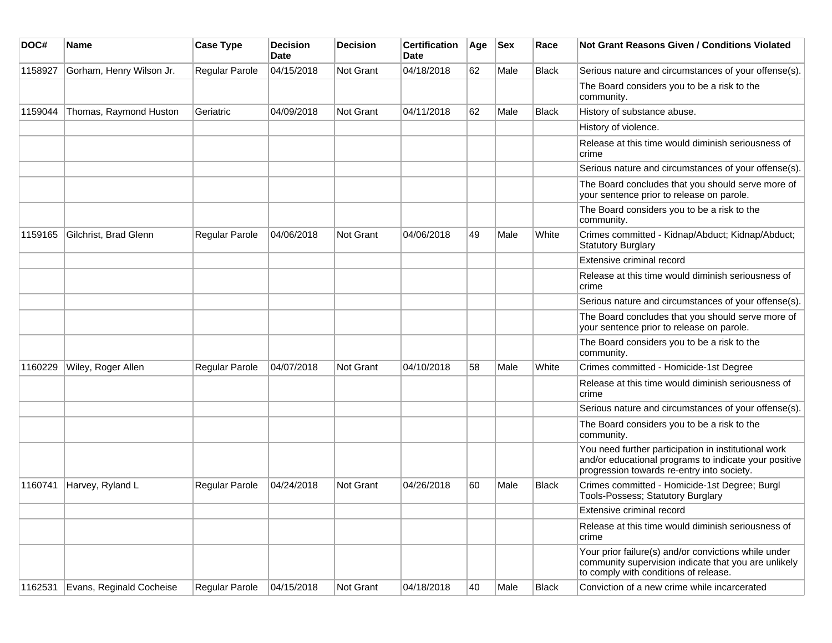| DOC#    | Name                     | <b>Case Type</b> | <b>Decision</b><br><b>Date</b> | <b>Decision</b>  | <b>Certification</b><br>Date | Age | <b>Sex</b> | Race         | <b>Not Grant Reasons Given / Conditions Violated</b>                                                                                                        |
|---------|--------------------------|------------------|--------------------------------|------------------|------------------------------|-----|------------|--------------|-------------------------------------------------------------------------------------------------------------------------------------------------------------|
| 1158927 | Gorham, Henry Wilson Jr. | Regular Parole   | 04/15/2018                     | Not Grant        | 04/18/2018                   | 62  | Male       | Black        | Serious nature and circumstances of your offense(s).                                                                                                        |
|         |                          |                  |                                |                  |                              |     |            |              | The Board considers you to be a risk to the<br>community.                                                                                                   |
| 1159044 | Thomas, Raymond Huston   | Geriatric        | 04/09/2018                     | <b>Not Grant</b> | 04/11/2018                   | 62  | Male       | <b>Black</b> | History of substance abuse.                                                                                                                                 |
|         |                          |                  |                                |                  |                              |     |            |              | History of violence.                                                                                                                                        |
|         |                          |                  |                                |                  |                              |     |            |              | Release at this time would diminish seriousness of<br>crime                                                                                                 |
|         |                          |                  |                                |                  |                              |     |            |              | Serious nature and circumstances of your offense(s).                                                                                                        |
|         |                          |                  |                                |                  |                              |     |            |              | The Board concludes that you should serve more of<br>your sentence prior to release on parole.                                                              |
|         |                          |                  |                                |                  |                              |     |            |              | The Board considers you to be a risk to the<br>community.                                                                                                   |
| 1159165 | Gilchrist, Brad Glenn    | Regular Parole   | 04/06/2018                     | Not Grant        | 04/06/2018                   | 49  | Male       | White        | Crimes committed - Kidnap/Abduct; Kidnap/Abduct;<br><b>Statutory Burglary</b>                                                                               |
|         |                          |                  |                                |                  |                              |     |            |              | Extensive criminal record                                                                                                                                   |
|         |                          |                  |                                |                  |                              |     |            |              | Release at this time would diminish seriousness of<br>crime                                                                                                 |
|         |                          |                  |                                |                  |                              |     |            |              | Serious nature and circumstances of your offense(s).                                                                                                        |
|         |                          |                  |                                |                  |                              |     |            |              | The Board concludes that you should serve more of<br>your sentence prior to release on parole.                                                              |
|         |                          |                  |                                |                  |                              |     |            |              | The Board considers you to be a risk to the<br>community.                                                                                                   |
| 1160229 | Wiley, Roger Allen       | Regular Parole   | 04/07/2018                     | <b>Not Grant</b> | 04/10/2018                   | 58  | Male       | White        | Crimes committed - Homicide-1st Degree                                                                                                                      |
|         |                          |                  |                                |                  |                              |     |            |              | Release at this time would diminish seriousness of<br>crime                                                                                                 |
|         |                          |                  |                                |                  |                              |     |            |              | Serious nature and circumstances of your offense(s).                                                                                                        |
|         |                          |                  |                                |                  |                              |     |            |              | The Board considers you to be a risk to the<br>community.                                                                                                   |
|         |                          |                  |                                |                  |                              |     |            |              | You need further participation in institutional work<br>and/or educational programs to indicate your positive<br>progression towards re-entry into society. |
| 1160741 | Harvey, Ryland L         | Regular Parole   | 04/24/2018                     | Not Grant        | 04/26/2018                   | 60  | Male       | <b>Black</b> | Crimes committed - Homicide-1st Degree; Burgl<br>Tools-Possess; Statutory Burglary                                                                          |
|         |                          |                  |                                |                  |                              |     |            |              | Extensive criminal record                                                                                                                                   |
|         |                          |                  |                                |                  |                              |     |            |              | Release at this time would diminish seriousness of<br>crime                                                                                                 |
|         |                          |                  |                                |                  |                              |     |            |              | Your prior failure(s) and/or convictions while under<br>community supervision indicate that you are unlikely<br>to comply with conditions of release.       |
| 1162531 | Evans, Reginald Cocheise | Regular Parole   | 04/15/2018                     | Not Grant        | 04/18/2018                   | 40  | Male       | Black        | Conviction of a new crime while incarcerated                                                                                                                |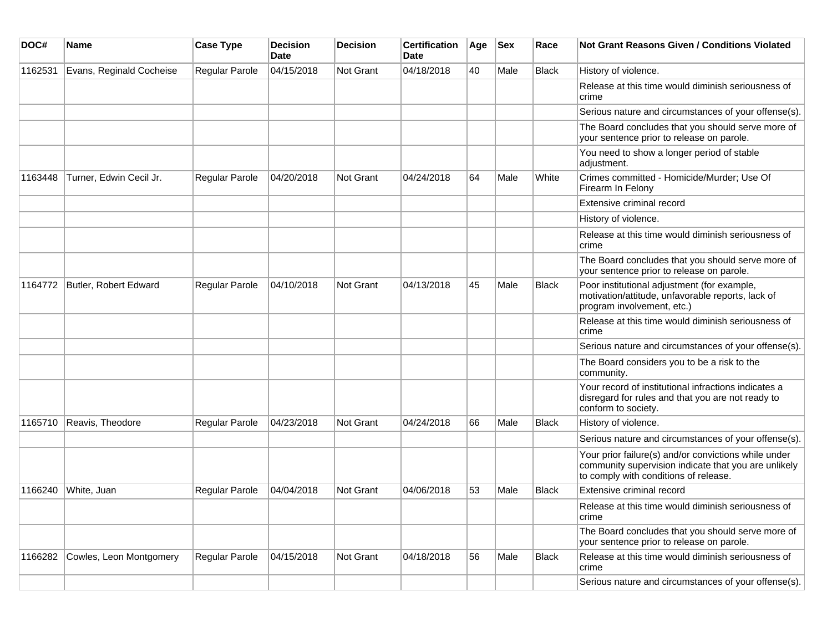| DOC#    | Name                     | <b>Case Type</b> | <b>Decision</b><br>Date | <b>Decision</b>  | <b>Certification</b><br>Date | Age | <b>Sex</b> | Race         | Not Grant Reasons Given / Conditions Violated                                                                                                         |
|---------|--------------------------|------------------|-------------------------|------------------|------------------------------|-----|------------|--------------|-------------------------------------------------------------------------------------------------------------------------------------------------------|
| 1162531 | Evans, Reginald Cocheise | Regular Parole   | 04/15/2018              | <b>Not Grant</b> | 04/18/2018                   | 40  | Male       | <b>Black</b> | History of violence.                                                                                                                                  |
|         |                          |                  |                         |                  |                              |     |            |              | Release at this time would diminish seriousness of<br>crime                                                                                           |
|         |                          |                  |                         |                  |                              |     |            |              | Serious nature and circumstances of your offense(s).                                                                                                  |
|         |                          |                  |                         |                  |                              |     |            |              | The Board concludes that you should serve more of<br>your sentence prior to release on parole.                                                        |
|         |                          |                  |                         |                  |                              |     |            |              | You need to show a longer period of stable<br>adjustment.                                                                                             |
| 1163448 | Turner, Edwin Cecil Jr.  | Regular Parole   | 04/20/2018              | <b>Not Grant</b> | 04/24/2018                   | 64  | Male       | White        | Crimes committed - Homicide/Murder; Use Of<br>Firearm In Felony                                                                                       |
|         |                          |                  |                         |                  |                              |     |            |              | Extensive criminal record                                                                                                                             |
|         |                          |                  |                         |                  |                              |     |            |              | History of violence.                                                                                                                                  |
|         |                          |                  |                         |                  |                              |     |            |              | Release at this time would diminish seriousness of<br>crime                                                                                           |
|         |                          |                  |                         |                  |                              |     |            |              | The Board concludes that you should serve more of<br>your sentence prior to release on parole.                                                        |
| 1164772 | Butler, Robert Edward    | Regular Parole   | 04/10/2018              | <b>Not Grant</b> | 04/13/2018                   | 45  | Male       | <b>Black</b> | Poor institutional adjustment (for example,<br>motivation/attitude, unfavorable reports, lack of<br>program involvement, etc.)                        |
|         |                          |                  |                         |                  |                              |     |            |              | Release at this time would diminish seriousness of<br>crime                                                                                           |
|         |                          |                  |                         |                  |                              |     |            |              | Serious nature and circumstances of your offense(s).                                                                                                  |
|         |                          |                  |                         |                  |                              |     |            |              | The Board considers you to be a risk to the<br>community.                                                                                             |
|         |                          |                  |                         |                  |                              |     |            |              | Your record of institutional infractions indicates a<br>disregard for rules and that you are not ready to<br>conform to society.                      |
| 1165710 | Reavis, Theodore         | Regular Parole   | 04/23/2018              | <b>Not Grant</b> | 04/24/2018                   | 66  | Male       | <b>Black</b> | History of violence.                                                                                                                                  |
|         |                          |                  |                         |                  |                              |     |            |              | Serious nature and circumstances of your offense(s).                                                                                                  |
|         |                          |                  |                         |                  |                              |     |            |              | Your prior failure(s) and/or convictions while under<br>community supervision indicate that you are unlikely<br>to comply with conditions of release. |
| 1166240 | White, Juan              | Regular Parole   | 04/04/2018              | <b>Not Grant</b> | 04/06/2018                   | 53  | Male       | Black        | Extensive criminal record                                                                                                                             |
|         |                          |                  |                         |                  |                              |     |            |              | Release at this time would diminish seriousness of<br>crime                                                                                           |
|         |                          |                  |                         |                  |                              |     |            |              | The Board concludes that you should serve more of<br>your sentence prior to release on parole.                                                        |
| 1166282 | Cowles, Leon Montgomery  | Regular Parole   | 04/15/2018              | Not Grant        | 04/18/2018                   | 56  | Male       | <b>Black</b> | Release at this time would diminish seriousness of<br>crime                                                                                           |
|         |                          |                  |                         |                  |                              |     |            |              | Serious nature and circumstances of your offense(s).                                                                                                  |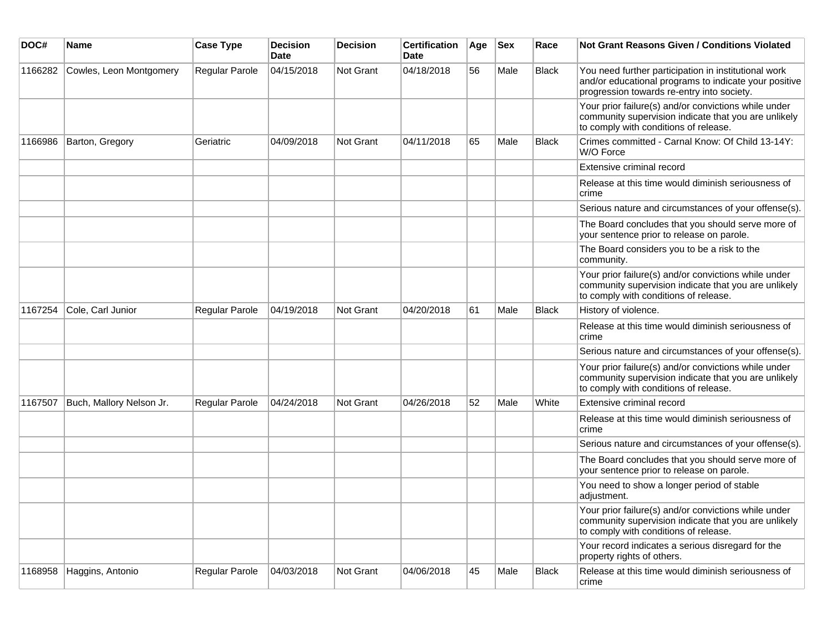| DOC#    | Name                     | <b>Case Type</b> | <b>Decision</b><br>Date | <b>Decision</b> | <b>Certification</b><br>Date | Age | <b>Sex</b> | Race         | Not Grant Reasons Given / Conditions Violated                                                                                                               |
|---------|--------------------------|------------------|-------------------------|-----------------|------------------------------|-----|------------|--------------|-------------------------------------------------------------------------------------------------------------------------------------------------------------|
| 1166282 | Cowles, Leon Montgomery  | Regular Parole   | 04/15/2018              | Not Grant       | 04/18/2018                   | 56  | Male       | <b>Black</b> | You need further participation in institutional work<br>and/or educational programs to indicate your positive<br>progression towards re-entry into society. |
|         |                          |                  |                         |                 |                              |     |            |              | Your prior failure(s) and/or convictions while under<br>community supervision indicate that you are unlikely<br>to comply with conditions of release.       |
| 1166986 | Barton, Gregory          | Geriatric        | 04/09/2018              | Not Grant       | 04/11/2018                   | 65  | Male       | <b>Black</b> | Crimes committed - Carnal Know: Of Child 13-14Y:<br>W/O Force                                                                                               |
|         |                          |                  |                         |                 |                              |     |            |              | Extensive criminal record                                                                                                                                   |
|         |                          |                  |                         |                 |                              |     |            |              | Release at this time would diminish seriousness of<br>crime                                                                                                 |
|         |                          |                  |                         |                 |                              |     |            |              | Serious nature and circumstances of your offense(s).                                                                                                        |
|         |                          |                  |                         |                 |                              |     |            |              | The Board concludes that you should serve more of<br>your sentence prior to release on parole.                                                              |
|         |                          |                  |                         |                 |                              |     |            |              | The Board considers you to be a risk to the<br>community.                                                                                                   |
|         |                          |                  |                         |                 |                              |     |            |              | Your prior failure(s) and/or convictions while under<br>community supervision indicate that you are unlikely<br>to comply with conditions of release.       |
| 1167254 | Cole, Carl Junior        | Regular Parole   | 04/19/2018              | Not Grant       | 04/20/2018                   | 61  | Male       | <b>Black</b> | History of violence.                                                                                                                                        |
|         |                          |                  |                         |                 |                              |     |            |              | Release at this time would diminish seriousness of<br>crime                                                                                                 |
|         |                          |                  |                         |                 |                              |     |            |              | Serious nature and circumstances of your offense(s).                                                                                                        |
|         |                          |                  |                         |                 |                              |     |            |              | Your prior failure(s) and/or convictions while under<br>community supervision indicate that you are unlikely<br>to comply with conditions of release.       |
| 1167507 | Buch, Mallory Nelson Jr. | Regular Parole   | 04/24/2018              | Not Grant       | 04/26/2018                   | 52  | Male       | White        | Extensive criminal record                                                                                                                                   |
|         |                          |                  |                         |                 |                              |     |            |              | Release at this time would diminish seriousness of<br>crime                                                                                                 |
|         |                          |                  |                         |                 |                              |     |            |              | Serious nature and circumstances of your offense(s).                                                                                                        |
|         |                          |                  |                         |                 |                              |     |            |              | The Board concludes that you should serve more of<br>your sentence prior to release on parole.                                                              |
|         |                          |                  |                         |                 |                              |     |            |              | You need to show a longer period of stable<br>adjustment.                                                                                                   |
|         |                          |                  |                         |                 |                              |     |            |              | Your prior failure(s) and/or convictions while under<br>community supervision indicate that you are unlikely<br>to comply with conditions of release.       |
|         |                          |                  |                         |                 |                              |     |            |              | Your record indicates a serious disregard for the<br>property rights of others.                                                                             |
| 1168958 | Haggins, Antonio         | Regular Parole   | 04/03/2018              | Not Grant       | 04/06/2018                   | 45  | Male       | <b>Black</b> | Release at this time would diminish seriousness of<br>crime                                                                                                 |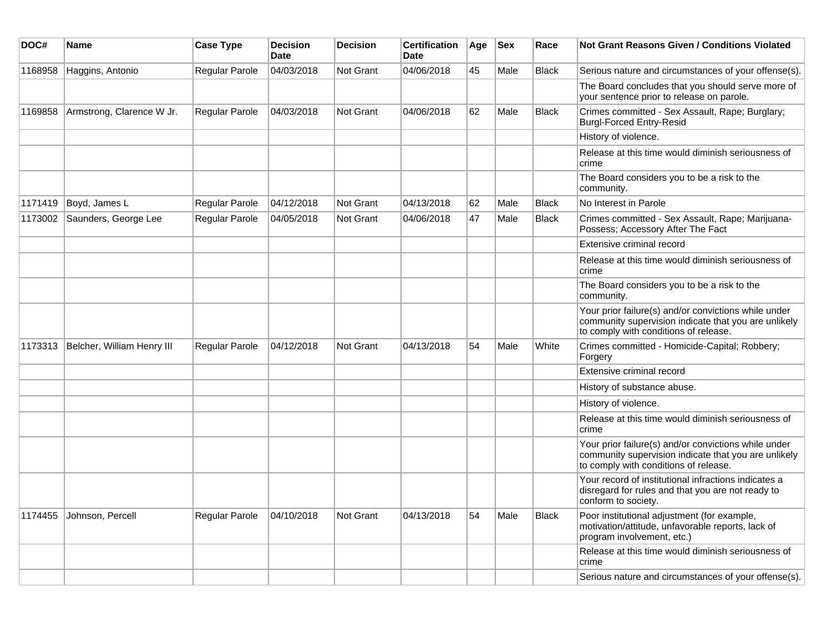| DOC#    | Name                       | <b>Case Type</b> | <b>Decision</b><br><b>Date</b> | <b>Decision</b>  | <b>Certification</b><br>Date | Age | <b>Sex</b> | Race         | Not Grant Reasons Given / Conditions Violated                                                                                                         |
|---------|----------------------------|------------------|--------------------------------|------------------|------------------------------|-----|------------|--------------|-------------------------------------------------------------------------------------------------------------------------------------------------------|
| 1168958 | Haggins, Antonio           | Regular Parole   | 04/03/2018                     | <b>Not Grant</b> | 04/06/2018                   | 45  | Male       | <b>Black</b> | Serious nature and circumstances of your offense(s).                                                                                                  |
|         |                            |                  |                                |                  |                              |     |            |              | The Board concludes that you should serve more of<br>your sentence prior to release on parole.                                                        |
| 1169858 | Armstrong, Clarence W Jr.  | Regular Parole   | 04/03/2018                     | <b>Not Grant</b> | 04/06/2018                   | 62  | Male       | <b>Black</b> | Crimes committed - Sex Assault, Rape; Burglary;<br><b>Burgl-Forced Entry-Resid</b>                                                                    |
|         |                            |                  |                                |                  |                              |     |            |              | History of violence.                                                                                                                                  |
|         |                            |                  |                                |                  |                              |     |            |              | Release at this time would diminish seriousness of<br>crime                                                                                           |
|         |                            |                  |                                |                  |                              |     |            |              | The Board considers you to be a risk to the<br>community.                                                                                             |
| 1171419 | Boyd, James L              | Regular Parole   | 04/12/2018                     | Not Grant        | 04/13/2018                   | 62  | Male       | <b>Black</b> | No Interest in Parole                                                                                                                                 |
| 1173002 | Saunders, George Lee       | Regular Parole   | 04/05/2018                     | Not Grant        | 04/06/2018                   | 47  | Male       | <b>Black</b> | Crimes committed - Sex Assault, Rape; Marijuana-<br>Possess; Accessory After The Fact                                                                 |
|         |                            |                  |                                |                  |                              |     |            |              | Extensive criminal record                                                                                                                             |
|         |                            |                  |                                |                  |                              |     |            |              | Release at this time would diminish seriousness of<br>crime                                                                                           |
|         |                            |                  |                                |                  |                              |     |            |              | The Board considers you to be a risk to the<br>community.                                                                                             |
|         |                            |                  |                                |                  |                              |     |            |              | Your prior failure(s) and/or convictions while under<br>community supervision indicate that you are unlikely<br>to comply with conditions of release. |
| 1173313 | Belcher, William Henry III | Regular Parole   | 04/12/2018                     | <b>Not Grant</b> | 04/13/2018                   | 54  | Male       | White        | Crimes committed - Homicide-Capital; Robbery;<br>Forgery                                                                                              |
|         |                            |                  |                                |                  |                              |     |            |              | Extensive criminal record                                                                                                                             |
|         |                            |                  |                                |                  |                              |     |            |              | History of substance abuse.                                                                                                                           |
|         |                            |                  |                                |                  |                              |     |            |              | History of violence.                                                                                                                                  |
|         |                            |                  |                                |                  |                              |     |            |              | Release at this time would diminish seriousness of<br>crime                                                                                           |
|         |                            |                  |                                |                  |                              |     |            |              | Your prior failure(s) and/or convictions while under<br>community supervision indicate that you are unlikely<br>to comply with conditions of release. |
|         |                            |                  |                                |                  |                              |     |            |              | Your record of institutional infractions indicates a<br>disregard for rules and that you are not ready to<br>conform to society.                      |
| 1174455 | Johnson, Percell           | Regular Parole   | 04/10/2018                     | <b>Not Grant</b> | 04/13/2018                   | 54  | Male       | <b>Black</b> | Poor institutional adjustment (for example,<br>motivation/attitude, unfavorable reports, lack of<br>program involvement, etc.)                        |
|         |                            |                  |                                |                  |                              |     |            |              | Release at this time would diminish seriousness of<br>crime                                                                                           |
|         |                            |                  |                                |                  |                              |     |            |              | Serious nature and circumstances of your offense(s).                                                                                                  |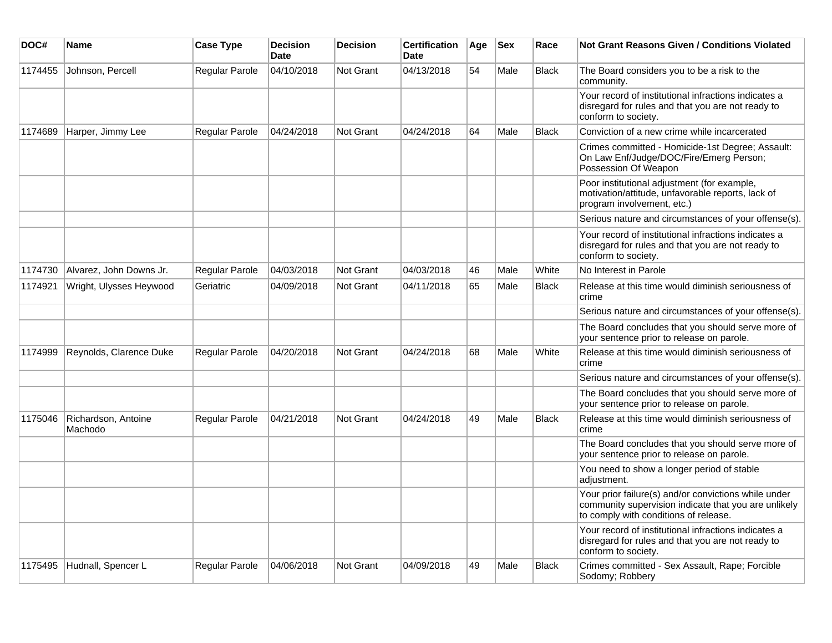| DOC#    | <b>Name</b>                    | <b>Case Type</b>      | <b>Decision</b><br><b>Date</b> | <b>Decision</b>  | <b>Certification</b><br><b>Date</b> | Age | <b>Sex</b> | Race         | <b>Not Grant Reasons Given / Conditions Violated</b>                                                                                                  |
|---------|--------------------------------|-----------------------|--------------------------------|------------------|-------------------------------------|-----|------------|--------------|-------------------------------------------------------------------------------------------------------------------------------------------------------|
| 1174455 | Johnson, Percell               | Regular Parole        | 04/10/2018                     | Not Grant        | 04/13/2018                          | 54  | Male       | <b>Black</b> | The Board considers you to be a risk to the<br>community.                                                                                             |
|         |                                |                       |                                |                  |                                     |     |            |              | Your record of institutional infractions indicates a<br>disregard for rules and that you are not ready to<br>conform to society.                      |
| 1174689 | Harper, Jimmy Lee              | Regular Parole        | 04/24/2018                     | Not Grant        | 04/24/2018                          | 64  | Male       | <b>Black</b> | Conviction of a new crime while incarcerated                                                                                                          |
|         |                                |                       |                                |                  |                                     |     |            |              | Crimes committed - Homicide-1st Degree; Assault:<br>On Law Enf/Judge/DOC/Fire/Emerg Person;<br>Possession Of Weapon                                   |
|         |                                |                       |                                |                  |                                     |     |            |              | Poor institutional adjustment (for example,<br>motivation/attitude, unfavorable reports, lack of<br>program involvement, etc.)                        |
|         |                                |                       |                                |                  |                                     |     |            |              | Serious nature and circumstances of your offense(s).                                                                                                  |
|         |                                |                       |                                |                  |                                     |     |            |              | Your record of institutional infractions indicates a<br>disregard for rules and that you are not ready to<br>conform to society.                      |
| 1174730 | Alvarez, John Downs Jr.        | <b>Regular Parole</b> | 04/03/2018                     | Not Grant        | 04/03/2018                          | 46  | Male       | White        | No Interest in Parole                                                                                                                                 |
| 1174921 | Wright, Ulysses Heywood        | Geriatric             | 04/09/2018                     | <b>Not Grant</b> | 04/11/2018                          | 65  | Male       | <b>Black</b> | Release at this time would diminish seriousness of<br>crime                                                                                           |
|         |                                |                       |                                |                  |                                     |     |            |              | Serious nature and circumstances of your offense(s).                                                                                                  |
|         |                                |                       |                                |                  |                                     |     |            |              | The Board concludes that you should serve more of<br>your sentence prior to release on parole.                                                        |
| 1174999 | Reynolds, Clarence Duke        | Regular Parole        | 04/20/2018                     | <b>Not Grant</b> | 04/24/2018                          | 68  | Male       | White        | Release at this time would diminish seriousness of<br>crime                                                                                           |
|         |                                |                       |                                |                  |                                     |     |            |              | Serious nature and circumstances of your offense(s).                                                                                                  |
|         |                                |                       |                                |                  |                                     |     |            |              | The Board concludes that you should serve more of<br>your sentence prior to release on parole.                                                        |
| 1175046 | Richardson, Antoine<br>Machodo | <b>Regular Parole</b> | 04/21/2018                     | Not Grant        | 04/24/2018                          | 49  | Male       | <b>Black</b> | Release at this time would diminish seriousness of<br>crime                                                                                           |
|         |                                |                       |                                |                  |                                     |     |            |              | The Board concludes that you should serve more of<br>your sentence prior to release on parole.                                                        |
|         |                                |                       |                                |                  |                                     |     |            |              | You need to show a longer period of stable<br>adjustment.                                                                                             |
|         |                                |                       |                                |                  |                                     |     |            |              | Your prior failure(s) and/or convictions while under<br>community supervision indicate that you are unlikely<br>to comply with conditions of release. |
|         |                                |                       |                                |                  |                                     |     |            |              | Your record of institutional infractions indicates a<br>disregard for rules and that you are not ready to<br>conform to society.                      |
| 1175495 | Hudnall, Spencer L             | Regular Parole        | 04/06/2018                     | <b>Not Grant</b> | 04/09/2018                          | 49  | Male       | <b>Black</b> | Crimes committed - Sex Assault, Rape; Forcible<br>Sodomy; Robbery                                                                                     |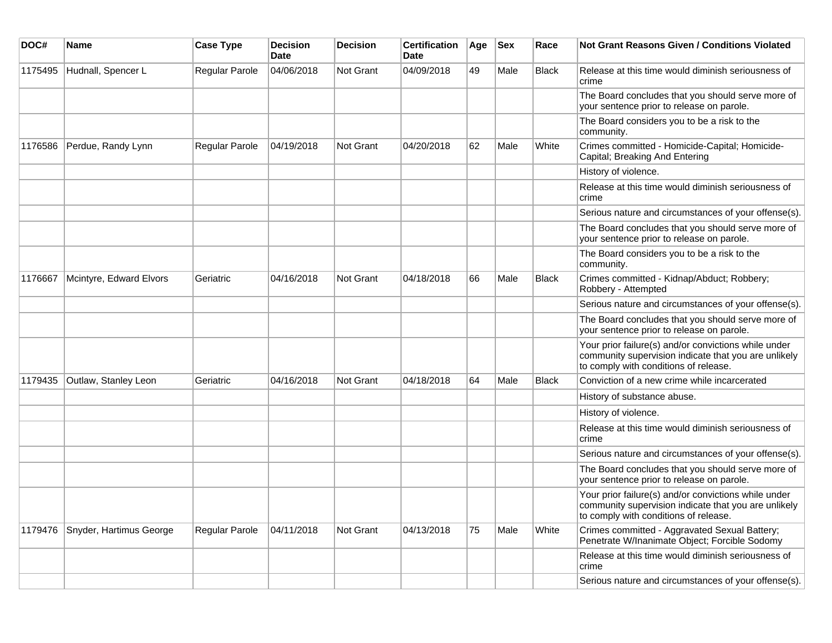| DOC#    | <b>Name</b>             | <b>Case Type</b> | <b>Decision</b><br><b>Date</b> | <b>Decision</b>  | <b>Certification</b><br>Date | Age | <b>Sex</b> | Race         | <b>Not Grant Reasons Given / Conditions Violated</b>                                                                                                  |
|---------|-------------------------|------------------|--------------------------------|------------------|------------------------------|-----|------------|--------------|-------------------------------------------------------------------------------------------------------------------------------------------------------|
| 1175495 | Hudnall, Spencer L      | Regular Parole   | 04/06/2018                     | <b>Not Grant</b> | 04/09/2018                   | 49  | Male       | Black        | Release at this time would diminish seriousness of<br>crime                                                                                           |
|         |                         |                  |                                |                  |                              |     |            |              | The Board concludes that you should serve more of<br>your sentence prior to release on parole.                                                        |
|         |                         |                  |                                |                  |                              |     |            |              | The Board considers you to be a risk to the<br>community.                                                                                             |
| 1176586 | Perdue, Randy Lynn      | Regular Parole   | 04/19/2018                     | <b>Not Grant</b> | 04/20/2018                   | 62  | Male       | White        | Crimes committed - Homicide-Capital; Homicide-<br>Capital; Breaking And Entering                                                                      |
|         |                         |                  |                                |                  |                              |     |            |              | History of violence.                                                                                                                                  |
|         |                         |                  |                                |                  |                              |     |            |              | Release at this time would diminish seriousness of<br>crime                                                                                           |
|         |                         |                  |                                |                  |                              |     |            |              | Serious nature and circumstances of your offense(s).                                                                                                  |
|         |                         |                  |                                |                  |                              |     |            |              | The Board concludes that you should serve more of<br>your sentence prior to release on parole.                                                        |
|         |                         |                  |                                |                  |                              |     |            |              | The Board considers you to be a risk to the<br>community.                                                                                             |
| 1176667 | Mcintyre, Edward Elvors | Geriatric        | 04/16/2018                     | Not Grant        | 04/18/2018                   | 66  | Male       | <b>Black</b> | Crimes committed - Kidnap/Abduct; Robbery;<br>Robbery - Attempted                                                                                     |
|         |                         |                  |                                |                  |                              |     |            |              | Serious nature and circumstances of your offense(s).                                                                                                  |
|         |                         |                  |                                |                  |                              |     |            |              | The Board concludes that you should serve more of<br>your sentence prior to release on parole.                                                        |
|         |                         |                  |                                |                  |                              |     |            |              | Your prior failure(s) and/or convictions while under<br>community supervision indicate that you are unlikely<br>to comply with conditions of release. |
| 1179435 | Outlaw, Stanley Leon    | Geriatric        | 04/16/2018                     | <b>Not Grant</b> | 04/18/2018                   | 64  | Male       | <b>Black</b> | Conviction of a new crime while incarcerated                                                                                                          |
|         |                         |                  |                                |                  |                              |     |            |              | History of substance abuse.                                                                                                                           |
|         |                         |                  |                                |                  |                              |     |            |              | History of violence.                                                                                                                                  |
|         |                         |                  |                                |                  |                              |     |            |              | Release at this time would diminish seriousness of<br>crime                                                                                           |
|         |                         |                  |                                |                  |                              |     |            |              | Serious nature and circumstances of your offense(s).                                                                                                  |
|         |                         |                  |                                |                  |                              |     |            |              | The Board concludes that you should serve more of<br>your sentence prior to release on parole.                                                        |
|         |                         |                  |                                |                  |                              |     |            |              | Your prior failure(s) and/or convictions while under<br>community supervision indicate that you are unlikely<br>to comply with conditions of release. |
| 1179476 | Snyder, Hartimus George | Regular Parole   | 04/11/2018                     | <b>Not Grant</b> | 04/13/2018                   | 75  | Male       | White        | Crimes committed - Aggravated Sexual Battery;<br>Penetrate W/Inanimate Object; Forcible Sodomy                                                        |
|         |                         |                  |                                |                  |                              |     |            |              | Release at this time would diminish seriousness of<br>crime                                                                                           |
|         |                         |                  |                                |                  |                              |     |            |              | Serious nature and circumstances of your offense(s).                                                                                                  |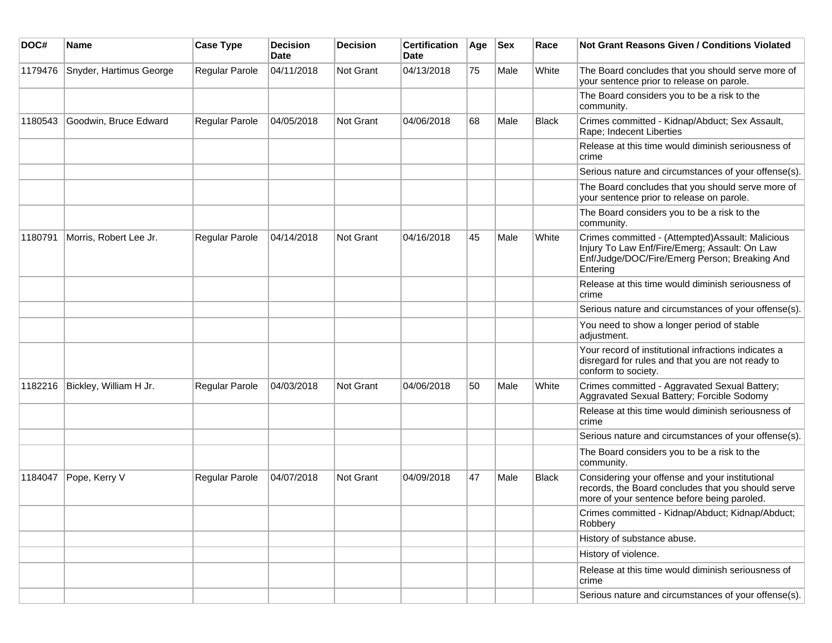| DOC#    | <b>Name</b>             | <b>Case Type</b> | <b>Decision</b><br><b>Date</b> | <b>Decision</b> | <b>Certification</b><br>Date | Age | <b>Sex</b> | Race  | <b>Not Grant Reasons Given / Conditions Violated</b>                                                                                                            |
|---------|-------------------------|------------------|--------------------------------|-----------------|------------------------------|-----|------------|-------|-----------------------------------------------------------------------------------------------------------------------------------------------------------------|
| 1179476 | Snyder, Hartimus George | Regular Parole   | 04/11/2018                     | Not Grant       | 04/13/2018                   | 75  | Male       | White | The Board concludes that you should serve more of<br>your sentence prior to release on parole.                                                                  |
|         |                         |                  |                                |                 |                              |     |            |       | The Board considers you to be a risk to the<br>community.                                                                                                       |
| 1180543 | Goodwin, Bruce Edward   | Regular Parole   | 04/05/2018                     | Not Grant       | 04/06/2018                   | 68  | Male       | Black | Crimes committed - Kidnap/Abduct; Sex Assault,<br>Rape; Indecent Liberties                                                                                      |
|         |                         |                  |                                |                 |                              |     |            |       | Release at this time would diminish seriousness of<br>crime                                                                                                     |
|         |                         |                  |                                |                 |                              |     |            |       | Serious nature and circumstances of your offense(s).                                                                                                            |
|         |                         |                  |                                |                 |                              |     |            |       | The Board concludes that you should serve more of<br>your sentence prior to release on parole.                                                                  |
|         |                         |                  |                                |                 |                              |     |            |       | The Board considers you to be a risk to the<br>community.                                                                                                       |
| 1180791 | Morris, Robert Lee Jr.  | Regular Parole   | 04/14/2018                     | Not Grant       | 04/16/2018                   | 45  | Male       | White | Crimes committed - (Attempted) Assault: Malicious<br>Injury To Law Enf/Fire/Emerg; Assault: On Law<br>Enf/Judge/DOC/Fire/Emerg Person; Breaking And<br>Entering |
|         |                         |                  |                                |                 |                              |     |            |       | Release at this time would diminish seriousness of<br>crime                                                                                                     |
|         |                         |                  |                                |                 |                              |     |            |       | Serious nature and circumstances of your offense(s).                                                                                                            |
|         |                         |                  |                                |                 |                              |     |            |       | You need to show a longer period of stable<br>adjustment.                                                                                                       |
|         |                         |                  |                                |                 |                              |     |            |       | Your record of institutional infractions indicates a<br>disregard for rules and that you are not ready to<br>conform to society.                                |
| 1182216 | Bickley, William H Jr.  | Regular Parole   | 04/03/2018                     | Not Grant       | 04/06/2018                   | 50  | Male       | White | Crimes committed - Aggravated Sexual Battery;<br>Aggravated Sexual Battery; Forcible Sodomy                                                                     |
|         |                         |                  |                                |                 |                              |     |            |       | Release at this time would diminish seriousness of<br>crime                                                                                                     |
|         |                         |                  |                                |                 |                              |     |            |       | Serious nature and circumstances of your offense(s).                                                                                                            |
|         |                         |                  |                                |                 |                              |     |            |       | The Board considers you to be a risk to the<br>community.                                                                                                       |
| 1184047 | Pope, Kerry V           | Regular Parole   | 04/07/2018                     | Not Grant       | 04/09/2018                   | 47  | Male       | Black | Considering your offense and your institutional<br>records, the Board concludes that you should serve<br>more of your sentence before being paroled.            |
|         |                         |                  |                                |                 |                              |     |            |       | Crimes committed - Kidnap/Abduct; Kidnap/Abduct;<br>Robbery                                                                                                     |
|         |                         |                  |                                |                 |                              |     |            |       | History of substance abuse.                                                                                                                                     |
|         |                         |                  |                                |                 |                              |     |            |       | History of violence.                                                                                                                                            |
|         |                         |                  |                                |                 |                              |     |            |       | Release at this time would diminish seriousness of<br>crime                                                                                                     |
|         |                         |                  |                                |                 |                              |     |            |       | Serious nature and circumstances of your offense(s).                                                                                                            |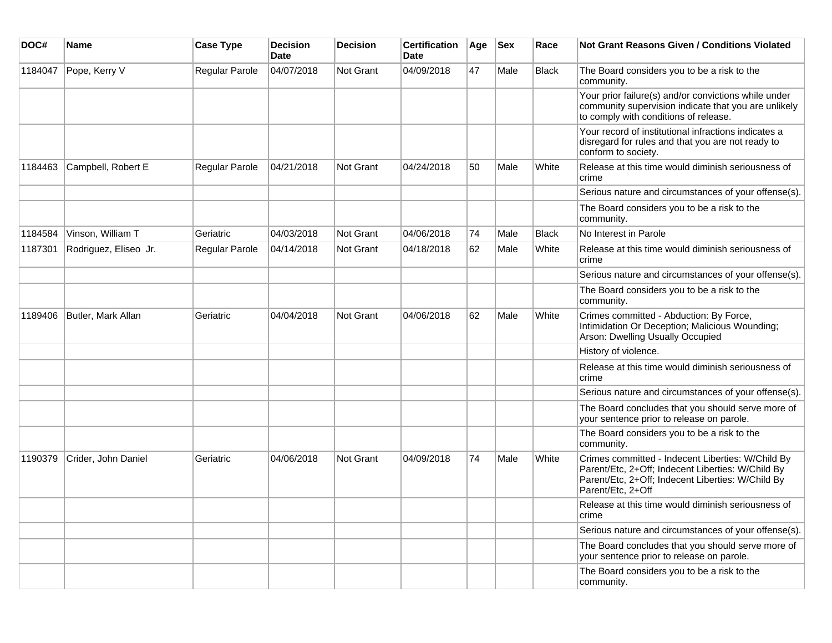| DOC#    | <b>Name</b>           | <b>Case Type</b>      | <b>Decision</b><br><b>Date</b> | <b>Decision</b> | <b>Certification</b><br><b>Date</b> | Age | <b>Sex</b> | Race         | <b>Not Grant Reasons Given / Conditions Violated</b>                                                                                                                             |
|---------|-----------------------|-----------------------|--------------------------------|-----------------|-------------------------------------|-----|------------|--------------|----------------------------------------------------------------------------------------------------------------------------------------------------------------------------------|
| 1184047 | Pope, Kerry V         | Regular Parole        | 04/07/2018                     | Not Grant       | 04/09/2018                          | 47  | Male       | <b>Black</b> | The Board considers you to be a risk to the<br>community.                                                                                                                        |
|         |                       |                       |                                |                 |                                     |     |            |              | Your prior failure(s) and/or convictions while under<br>community supervision indicate that you are unlikely<br>to comply with conditions of release.                            |
|         |                       |                       |                                |                 |                                     |     |            |              | Your record of institutional infractions indicates a<br>disregard for rules and that you are not ready to<br>conform to society.                                                 |
| 1184463 | Campbell, Robert E    | Regular Parole        | 04/21/2018                     | Not Grant       | 04/24/2018                          | 50  | Male       | White        | Release at this time would diminish seriousness of<br>crime                                                                                                                      |
|         |                       |                       |                                |                 |                                     |     |            |              | Serious nature and circumstances of your offense(s).                                                                                                                             |
|         |                       |                       |                                |                 |                                     |     |            |              | The Board considers you to be a risk to the<br>community.                                                                                                                        |
| 1184584 | Vinson, William T     | Geriatric             | 04/03/2018                     | Not Grant       | 04/06/2018                          | 74  | Male       | <b>Black</b> | No Interest in Parole                                                                                                                                                            |
| 1187301 | Rodriguez, Eliseo Jr. | <b>Regular Parole</b> | 04/14/2018                     | Not Grant       | 04/18/2018                          | 62  | Male       | White        | Release at this time would diminish seriousness of<br>crime                                                                                                                      |
|         |                       |                       |                                |                 |                                     |     |            |              | Serious nature and circumstances of your offense(s).                                                                                                                             |
|         |                       |                       |                                |                 |                                     |     |            |              | The Board considers you to be a risk to the<br>community.                                                                                                                        |
| 1189406 | Butler, Mark Allan    | Geriatric             | 04/04/2018                     | Not Grant       | 04/06/2018                          | 62  | Male       | White        | Crimes committed - Abduction: By Force,<br>Intimidation Or Deception; Malicious Wounding;<br>Arson: Dwelling Usually Occupied                                                    |
|         |                       |                       |                                |                 |                                     |     |            |              | History of violence.                                                                                                                                                             |
|         |                       |                       |                                |                 |                                     |     |            |              | Release at this time would diminish seriousness of<br>crime                                                                                                                      |
|         |                       |                       |                                |                 |                                     |     |            |              | Serious nature and circumstances of your offense(s).                                                                                                                             |
|         |                       |                       |                                |                 |                                     |     |            |              | The Board concludes that you should serve more of<br>your sentence prior to release on parole.                                                                                   |
|         |                       |                       |                                |                 |                                     |     |            |              | The Board considers you to be a risk to the<br>community.                                                                                                                        |
| 1190379 | Crider, John Daniel   | Geriatric             | 04/06/2018                     | Not Grant       | 04/09/2018                          | 74  | Male       | White        | Crimes committed - Indecent Liberties: W/Child By<br>Parent/Etc, 2+Off; Indecent Liberties: W/Child By<br>Parent/Etc, 2+Off; Indecent Liberties: W/Child By<br>Parent/Etc, 2+Off |
|         |                       |                       |                                |                 |                                     |     |            |              | Release at this time would diminish seriousness of<br>crime                                                                                                                      |
|         |                       |                       |                                |                 |                                     |     |            |              | Serious nature and circumstances of your offense(s).                                                                                                                             |
|         |                       |                       |                                |                 |                                     |     |            |              | The Board concludes that you should serve more of<br>your sentence prior to release on parole.                                                                                   |
|         |                       |                       |                                |                 |                                     |     |            |              | The Board considers you to be a risk to the<br>community.                                                                                                                        |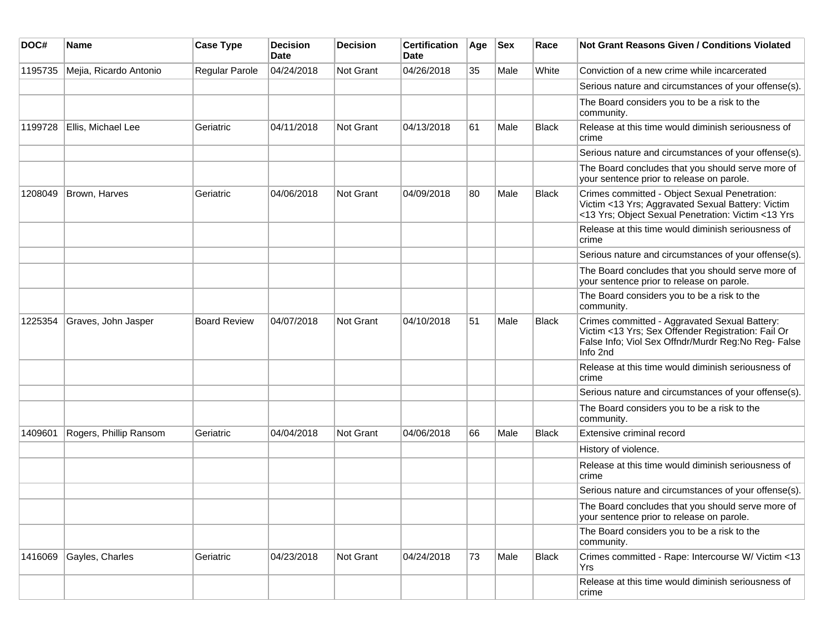| DOC#    | Name                   | <b>Case Type</b>    | <b>Decision</b><br>Date | <b>Decision</b>  | <b>Certification</b><br>Date | Age | <b>Sex</b> | Race         | <b>Not Grant Reasons Given / Conditions Violated</b>                                                                                                                   |
|---------|------------------------|---------------------|-------------------------|------------------|------------------------------|-----|------------|--------------|------------------------------------------------------------------------------------------------------------------------------------------------------------------------|
| 1195735 | Mejia, Ricardo Antonio | Regular Parole      | 04/24/2018              | Not Grant        | 04/26/2018                   | 35  | Male       | White        | Conviction of a new crime while incarcerated                                                                                                                           |
|         |                        |                     |                         |                  |                              |     |            |              | Serious nature and circumstances of your offense(s).                                                                                                                   |
|         |                        |                     |                         |                  |                              |     |            |              | The Board considers you to be a risk to the<br>community.                                                                                                              |
| 1199728 | Ellis, Michael Lee     | Geriatric           | 04/11/2018              | Not Grant        | 04/13/2018                   | 61  | Male       | <b>Black</b> | Release at this time would diminish seriousness of<br>crime                                                                                                            |
|         |                        |                     |                         |                  |                              |     |            |              | Serious nature and circumstances of your offense(s).                                                                                                                   |
|         |                        |                     |                         |                  |                              |     |            |              | The Board concludes that you should serve more of<br>your sentence prior to release on parole.                                                                         |
| 1208049 | Brown, Harves          | Geriatric           | 04/06/2018              | Not Grant        | 04/09/2018                   | 80  | Male       | <b>Black</b> | Crimes committed - Object Sexual Penetration:<br>Victim <13 Yrs; Aggravated Sexual Battery: Victim<br><13 Yrs; Object Sexual Penetration: Victim <13 Yrs               |
|         |                        |                     |                         |                  |                              |     |            |              | Release at this time would diminish seriousness of<br>crime                                                                                                            |
|         |                        |                     |                         |                  |                              |     |            |              | Serious nature and circumstances of your offense(s).                                                                                                                   |
|         |                        |                     |                         |                  |                              |     |            |              | The Board concludes that you should serve more of<br>your sentence prior to release on parole.                                                                         |
|         |                        |                     |                         |                  |                              |     |            |              | The Board considers you to be a risk to the<br>community.                                                                                                              |
| 1225354 | Graves, John Jasper    | <b>Board Review</b> | 04/07/2018              | Not Grant        | 04/10/2018                   | 51  | Male       | <b>Black</b> | Crimes committed - Aggravated Sexual Battery:<br>Victim <13 Yrs; Sex Offender Registration: Fail Or<br>False Info; Viol Sex Offndr/Murdr Reg:No Reg- False<br>Info 2nd |
|         |                        |                     |                         |                  |                              |     |            |              | Release at this time would diminish seriousness of<br>crime                                                                                                            |
|         |                        |                     |                         |                  |                              |     |            |              | Serious nature and circumstances of your offense(s).                                                                                                                   |
|         |                        |                     |                         |                  |                              |     |            |              | The Board considers you to be a risk to the<br>community.                                                                                                              |
| 1409601 | Rogers, Phillip Ransom | Geriatric           | 04/04/2018              | <b>Not Grant</b> | 04/06/2018                   | 66  | Male       | Black        | Extensive criminal record                                                                                                                                              |
|         |                        |                     |                         |                  |                              |     |            |              | History of violence.                                                                                                                                                   |
|         |                        |                     |                         |                  |                              |     |            |              | Release at this time would diminish seriousness of<br>crime                                                                                                            |
|         |                        |                     |                         |                  |                              |     |            |              | Serious nature and circumstances of your offense(s).                                                                                                                   |
|         |                        |                     |                         |                  |                              |     |            |              | The Board concludes that you should serve more of<br>your sentence prior to release on parole.                                                                         |
|         |                        |                     |                         |                  |                              |     |            |              | The Board considers you to be a risk to the<br>community.                                                                                                              |
| 1416069 | Gayles, Charles        | Geriatric           | 04/23/2018              | Not Grant        | 04/24/2018                   | 73  | Male       | <b>Black</b> | Crimes committed - Rape: Intercourse W/ Victim <13<br>Yrs                                                                                                              |
|         |                        |                     |                         |                  |                              |     |            |              | Release at this time would diminish seriousness of<br>crime                                                                                                            |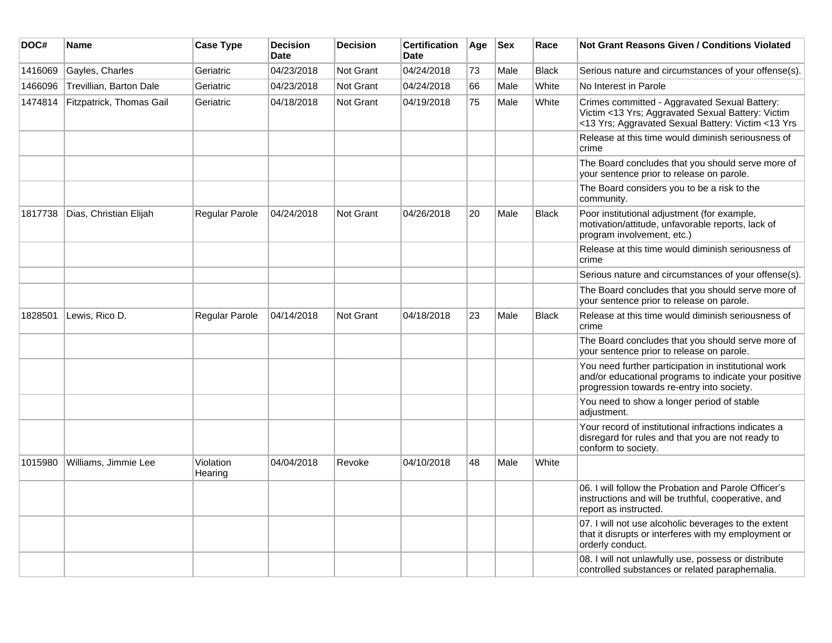| DOC#    | Name                     | <b>Case Type</b>     | <b>Decision</b><br>Date | <b>Decision</b> | <b>Certification</b><br><b>Date</b> | Age | <b>Sex</b> | Race         | Not Grant Reasons Given / Conditions Violated                                                                                                               |
|---------|--------------------------|----------------------|-------------------------|-----------------|-------------------------------------|-----|------------|--------------|-------------------------------------------------------------------------------------------------------------------------------------------------------------|
| 1416069 | Gayles, Charles          | Geriatric            | 04/23/2018              | Not Grant       | 04/24/2018                          | 73  | Male       | <b>Black</b> | Serious nature and circumstances of your offense(s).                                                                                                        |
| 1466096 | Trevillian, Barton Dale  | Geriatric            | 04/23/2018              | Not Grant       | 04/24/2018                          | 66  | Male       | White        | No Interest in Parole                                                                                                                                       |
| 1474814 | Fitzpatrick, Thomas Gail | Geriatric            | 04/18/2018              | Not Grant       | 04/19/2018                          | 75  | Male       | White        | Crimes committed - Aggravated Sexual Battery:<br>Victim <13 Yrs; Aggravated Sexual Battery: Victim<br><13 Yrs; Aggravated Sexual Battery: Victim <13 Yrs    |
|         |                          |                      |                         |                 |                                     |     |            |              | Release at this time would diminish seriousness of<br>crime                                                                                                 |
|         |                          |                      |                         |                 |                                     |     |            |              | The Board concludes that you should serve more of<br>your sentence prior to release on parole.                                                              |
|         |                          |                      |                         |                 |                                     |     |            |              | The Board considers you to be a risk to the<br>community.                                                                                                   |
| 1817738 | Dias, Christian Elijah   | Regular Parole       | 04/24/2018              | Not Grant       | 04/26/2018                          | 20  | Male       | <b>Black</b> | Poor institutional adjustment (for example,<br>motivation/attitude, unfavorable reports, lack of<br>program involvement, etc.)                              |
|         |                          |                      |                         |                 |                                     |     |            |              | Release at this time would diminish seriousness of<br>crime                                                                                                 |
|         |                          |                      |                         |                 |                                     |     |            |              | Serious nature and circumstances of your offense(s).                                                                                                        |
|         |                          |                      |                         |                 |                                     |     |            |              | The Board concludes that you should serve more of<br>your sentence prior to release on parole.                                                              |
| 1828501 | Lewis, Rico D.           | Regular Parole       | 04/14/2018              | Not Grant       | 04/18/2018                          | 23  | Male       | <b>Black</b> | Release at this time would diminish seriousness of<br>crime                                                                                                 |
|         |                          |                      |                         |                 |                                     |     |            |              | The Board concludes that you should serve more of<br>your sentence prior to release on parole.                                                              |
|         |                          |                      |                         |                 |                                     |     |            |              | You need further participation in institutional work<br>and/or educational programs to indicate your positive<br>progression towards re-entry into society. |
|         |                          |                      |                         |                 |                                     |     |            |              | You need to show a longer period of stable<br>adjustment.                                                                                                   |
|         |                          |                      |                         |                 |                                     |     |            |              | Your record of institutional infractions indicates a<br>disregard for rules and that you are not ready to<br>conform to society.                            |
| 1015980 | Williams, Jimmie Lee     | Violation<br>Hearing | 04/04/2018              | Revoke          | 04/10/2018                          | 48  | Male       | White        |                                                                                                                                                             |
|         |                          |                      |                         |                 |                                     |     |            |              | 06. I will follow the Probation and Parole Officer's<br>instructions and will be truthful, cooperative, and<br>report as instructed.                        |
|         |                          |                      |                         |                 |                                     |     |            |              | 07. I will not use alcoholic beverages to the extent<br>that it disrupts or interferes with my employment or<br>orderly conduct.                            |
|         |                          |                      |                         |                 |                                     |     |            |              | 08. I will not unlawfully use, possess or distribute<br>controlled substances or related paraphernalia.                                                     |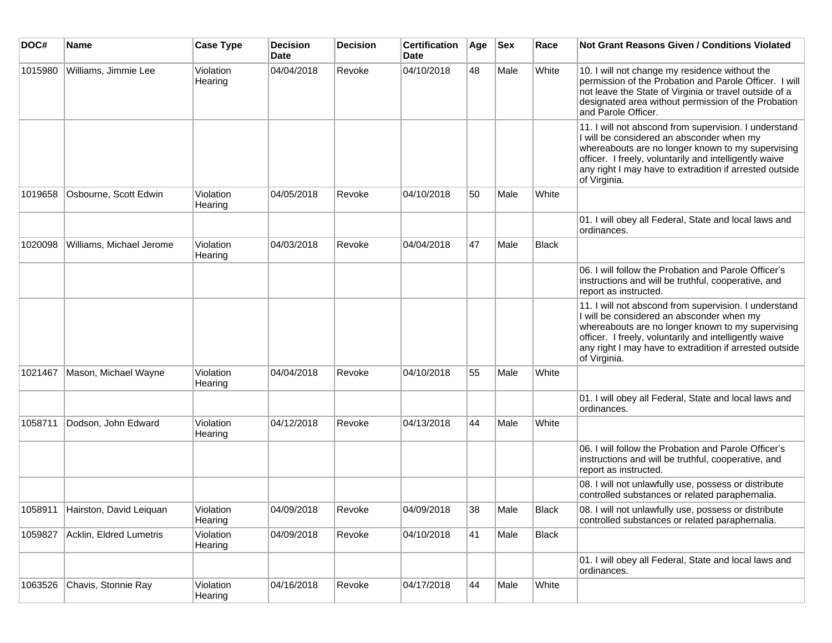| DOC#    | <b>Name</b>                     | <b>Case Type</b>     | <b>Decision</b><br>Date | <b>Decision</b> | <b>Certification</b><br><b>Date</b> | Age | <b>Sex</b> | Race         | Not Grant Reasons Given / Conditions Violated                                                                                                                                                                                                                                                |
|---------|---------------------------------|----------------------|-------------------------|-----------------|-------------------------------------|-----|------------|--------------|----------------------------------------------------------------------------------------------------------------------------------------------------------------------------------------------------------------------------------------------------------------------------------------------|
| 1015980 | Williams, Jimmie Lee            | Violation<br>Hearing | 04/04/2018              | Revoke          | 04/10/2018                          | 48  | Male       | White        | 10. I will not change my residence without the<br>permission of the Probation and Parole Officer. I will<br>not leave the State of Virginia or travel outside of a<br>designated area without permission of the Probation<br>and Parole Officer.                                             |
|         |                                 |                      |                         |                 |                                     |     |            |              | 11. I will not abscond from supervision. I understand<br>I will be considered an absconder when my<br>whereabouts are no longer known to my supervising<br>officer. I freely, voluntarily and intelligently waive<br>any right I may have to extradition if arrested outside<br>of Virginia. |
| 1019658 | Osbourne, Scott Edwin           | Violation<br>Hearing | 04/05/2018              | Revoke          | 04/10/2018                          | 50  | Male       | White        |                                                                                                                                                                                                                                                                                              |
|         |                                 |                      |                         |                 |                                     |     |            |              | 01. I will obey all Federal, State and local laws and<br>ordinances.                                                                                                                                                                                                                         |
| 1020098 | Williams, Michael Jerome        | Violation<br>Hearing | 04/03/2018              | Revoke          | 04/04/2018                          | 47  | Male       | <b>Black</b> |                                                                                                                                                                                                                                                                                              |
|         |                                 |                      |                         |                 |                                     |     |            |              | 06. I will follow the Probation and Parole Officer's<br>instructions and will be truthful, cooperative, and<br>report as instructed.                                                                                                                                                         |
|         |                                 |                      |                         |                 |                                     |     |            |              | 11. I will not abscond from supervision. I understand<br>I will be considered an absconder when my<br>whereabouts are no longer known to my supervising<br>officer. I freely, voluntarily and intelligently waive<br>any right I may have to extradition if arrested outside<br>of Virginia. |
| 1021467 | Mason, Michael Wayne            | Violation<br>Hearing | 04/04/2018              | Revoke          | 04/10/2018                          | 55  | Male       | White        |                                                                                                                                                                                                                                                                                              |
|         |                                 |                      |                         |                 |                                     |     |            |              | 01. I will obey all Federal, State and local laws and<br>ordinances.                                                                                                                                                                                                                         |
| 1058711 | Dodson, John Edward             | Violation<br>Hearing | 04/12/2018              | Revoke          | 04/13/2018                          | 44  | Male       | White        |                                                                                                                                                                                                                                                                                              |
|         |                                 |                      |                         |                 |                                     |     |            |              | 06. I will follow the Probation and Parole Officer's<br>instructions and will be truthful, cooperative, and<br>report as instructed.                                                                                                                                                         |
|         |                                 |                      |                         |                 |                                     |     |            |              | 08. I will not unlawfully use, possess or distribute<br>controlled substances or related paraphernalia.                                                                                                                                                                                      |
|         | 1058911 Hairston, David Leiquan | Violation<br>Hearing | 04/09/2018              | Revoke          | 04/09/2018                          | 38  | Male       | <b>Black</b> | 08. I will not unlawfully use, possess or distribute<br>controlled substances or related paraphernalia.                                                                                                                                                                                      |
| 1059827 | Acklin, Eldred Lumetris         | Violation<br>Hearing | 04/09/2018              | Revoke          | 04/10/2018                          | 41  | Male       | <b>Black</b> |                                                                                                                                                                                                                                                                                              |
|         |                                 |                      |                         |                 |                                     |     |            |              | 01. I will obey all Federal, State and local laws and<br>ordinances.                                                                                                                                                                                                                         |
| 1063526 | Chavis, Stonnie Ray             | Violation<br>Hearing | 04/16/2018              | Revoke          | 04/17/2018                          | 44  | Male       | White        |                                                                                                                                                                                                                                                                                              |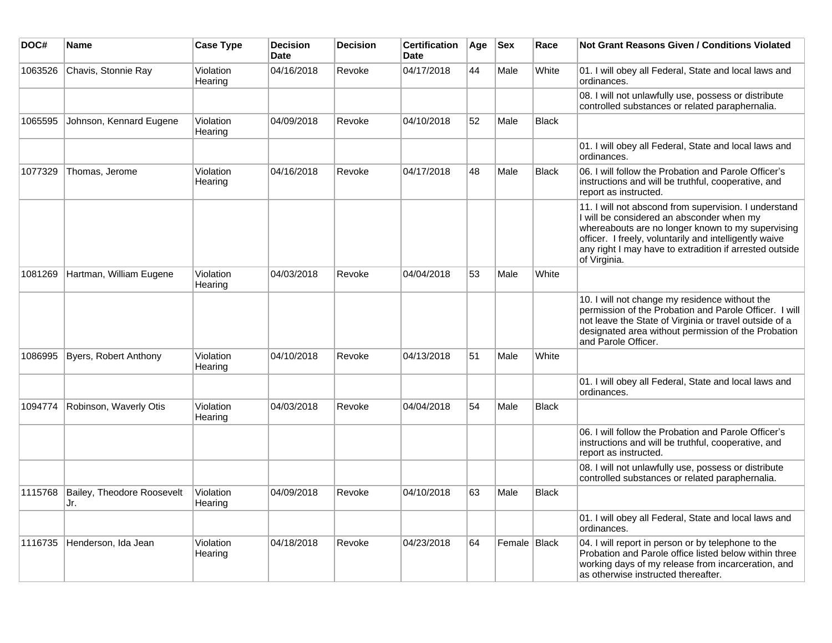| DOC#    | Name                              | <b>Case Type</b>     | <b>Decision</b><br><b>Date</b> | <b>Decision</b> | <b>Certification</b><br><b>Date</b> | Age | $ $ Sex      | Race         | <b>Not Grant Reasons Given / Conditions Violated</b>                                                                                                                                                                                                                                         |
|---------|-----------------------------------|----------------------|--------------------------------|-----------------|-------------------------------------|-----|--------------|--------------|----------------------------------------------------------------------------------------------------------------------------------------------------------------------------------------------------------------------------------------------------------------------------------------------|
| 1063526 | Chavis, Stonnie Ray               | Violation<br>Hearing | 04/16/2018                     | Revoke          | 04/17/2018                          | 44  | Male         | White        | 01. I will obey all Federal, State and local laws and<br>ordinances.                                                                                                                                                                                                                         |
|         |                                   |                      |                                |                 |                                     |     |              |              | 08. I will not unlawfully use, possess or distribute<br>controlled substances or related paraphernalia.                                                                                                                                                                                      |
| 1065595 | Johnson, Kennard Eugene           | Violation<br>Hearing | 04/09/2018                     | Revoke          | 04/10/2018                          | 52  | Male         | <b>Black</b> |                                                                                                                                                                                                                                                                                              |
|         |                                   |                      |                                |                 |                                     |     |              |              | 01. I will obey all Federal, State and local laws and<br>ordinances.                                                                                                                                                                                                                         |
| 1077329 | Thomas, Jerome                    | Violation<br>Hearing | 04/16/2018                     | Revoke          | 04/17/2018                          | 48  | Male         | <b>Black</b> | 06. I will follow the Probation and Parole Officer's<br>instructions and will be truthful, cooperative, and<br>report as instructed.                                                                                                                                                         |
|         |                                   |                      |                                |                 |                                     |     |              |              | 11. I will not abscond from supervision. I understand<br>I will be considered an absconder when my<br>whereabouts are no longer known to my supervising<br>officer. I freely, voluntarily and intelligently waive<br>any right I may have to extradition if arrested outside<br>of Virginia. |
| 1081269 | Hartman, William Eugene           | Violation<br>Hearing | 04/03/2018                     | Revoke          | 04/04/2018                          | 53  | Male         | White        |                                                                                                                                                                                                                                                                                              |
|         |                                   |                      |                                |                 |                                     |     |              |              | 10. I will not change my residence without the<br>permission of the Probation and Parole Officer. I will<br>not leave the State of Virginia or travel outside of a<br>designated area without permission of the Probation<br>and Parole Officer.                                             |
| 1086995 | Byers, Robert Anthony             | Violation<br>Hearing | 04/10/2018                     | Revoke          | 04/13/2018                          | 51  | Male         | White        |                                                                                                                                                                                                                                                                                              |
|         |                                   |                      |                                |                 |                                     |     |              |              | 01. I will obey all Federal, State and local laws and<br>ordinances.                                                                                                                                                                                                                         |
| 1094774 | Robinson, Waverly Otis            | Violation<br>Hearing | 04/03/2018                     | Revoke          | 04/04/2018                          | 54  | Male         | <b>Black</b> |                                                                                                                                                                                                                                                                                              |
|         |                                   |                      |                                |                 |                                     |     |              |              | 06. I will follow the Probation and Parole Officer's<br>instructions and will be truthful, cooperative, and<br>report as instructed.                                                                                                                                                         |
|         |                                   |                      |                                |                 |                                     |     |              |              | 08. I will not unlawfully use, possess or distribute<br>controlled substances or related paraphernalia.                                                                                                                                                                                      |
| 1115768 | Bailey, Theodore Roosevelt<br>Jr. | Violation<br>Hearing | 04/09/2018                     | Revoke          | 04/10/2018                          | 63  | Male         | <b>Black</b> |                                                                                                                                                                                                                                                                                              |
|         |                                   |                      |                                |                 |                                     |     |              |              | 01. I will obey all Federal, State and local laws and<br>ordinances.                                                                                                                                                                                                                         |
| 1116735 | Henderson, Ida Jean               | Violation<br>Hearing | 04/18/2018                     | Revoke          | 04/23/2018                          | 64  | Female Black |              | 04. I will report in person or by telephone to the<br>Probation and Parole office listed below within three<br>working days of my release from incarceration, and<br>as otherwise instructed thereafter.                                                                                     |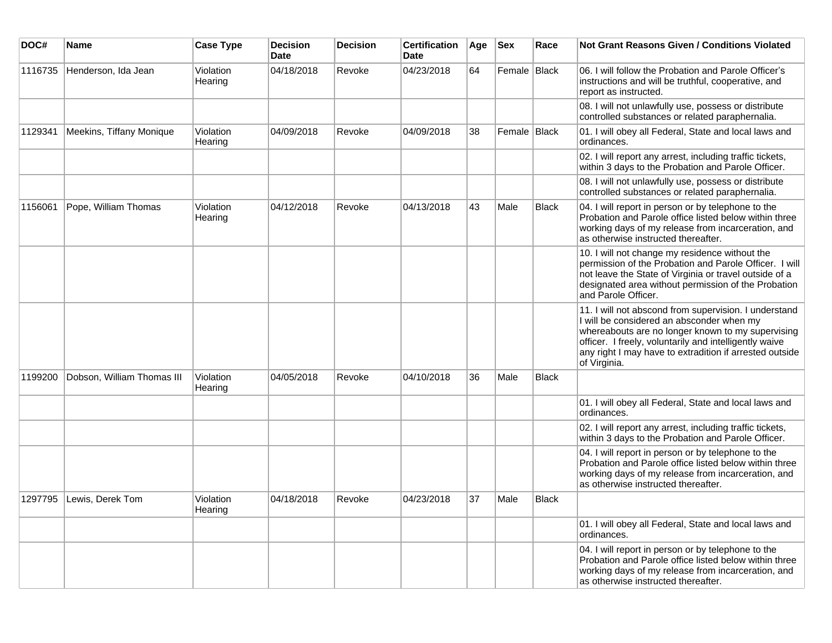| DOC#    | Name                       | <b>Case Type</b>     | <b>Decision</b><br><b>Date</b> | <b>Decision</b> | <b>Certification</b><br><b>Date</b> | Age | <b>Sex</b>     | Race         | <b>Not Grant Reasons Given / Conditions Violated</b>                                                                                                                                                                                                                                         |
|---------|----------------------------|----------------------|--------------------------------|-----------------|-------------------------------------|-----|----------------|--------------|----------------------------------------------------------------------------------------------------------------------------------------------------------------------------------------------------------------------------------------------------------------------------------------------|
| 1116735 | Henderson, Ida Jean        | Violation<br>Hearing | 04/18/2018                     | Revoke          | 04/23/2018                          | 64  | Female   Black |              | 06. I will follow the Probation and Parole Officer's<br>instructions and will be truthful, cooperative, and<br>report as instructed.                                                                                                                                                         |
|         |                            |                      |                                |                 |                                     |     |                |              | 08. I will not unlawfully use, possess or distribute<br>controlled substances or related paraphernalia.                                                                                                                                                                                      |
| 1129341 | Meekins, Tiffany Monique   | Violation<br>Hearing | 04/09/2018                     | Revoke          | 04/09/2018                          | 38  | Female Black   |              | 01. I will obey all Federal, State and local laws and<br>ordinances.                                                                                                                                                                                                                         |
|         |                            |                      |                                |                 |                                     |     |                |              | 02. I will report any arrest, including traffic tickets,<br>within 3 days to the Probation and Parole Officer.                                                                                                                                                                               |
|         |                            |                      |                                |                 |                                     |     |                |              | 08. I will not unlawfully use, possess or distribute<br>controlled substances or related paraphernalia.                                                                                                                                                                                      |
| 1156061 | Pope, William Thomas       | Violation<br>Hearing | 04/12/2018                     | Revoke          | 04/13/2018                          | 43  | Male           | <b>Black</b> | 04. I will report in person or by telephone to the<br>Probation and Parole office listed below within three<br>working days of my release from incarceration, and<br>as otherwise instructed thereafter.                                                                                     |
|         |                            |                      |                                |                 |                                     |     |                |              | 10. I will not change my residence without the<br>permission of the Probation and Parole Officer. I will<br>not leave the State of Virginia or travel outside of a<br>designated area without permission of the Probation<br>and Parole Officer.                                             |
|         |                            |                      |                                |                 |                                     |     |                |              | 11. I will not abscond from supervision. I understand<br>I will be considered an absconder when my<br>whereabouts are no longer known to my supervising<br>officer. I freely, voluntarily and intelligently waive<br>any right I may have to extradition if arrested outside<br>of Virginia. |
| 1199200 | Dobson, William Thomas III | Violation<br>Hearing | 04/05/2018                     | Revoke          | 04/10/2018                          | 36  | Male           | <b>Black</b> |                                                                                                                                                                                                                                                                                              |
|         |                            |                      |                                |                 |                                     |     |                |              | 01. I will obey all Federal, State and local laws and<br>ordinances.                                                                                                                                                                                                                         |
|         |                            |                      |                                |                 |                                     |     |                |              | 02. I will report any arrest, including traffic tickets,<br>within 3 days to the Probation and Parole Officer.                                                                                                                                                                               |
|         |                            |                      |                                |                 |                                     |     |                |              | 04. I will report in person or by telephone to the<br>Probation and Parole office listed below within three<br>working days of my release from incarceration, and<br>as otherwise instructed thereafter.                                                                                     |
| 1297795 | Lewis, Derek Tom           | Violation<br>Hearing | 04/18/2018                     | Revoke          | 04/23/2018                          | 37  | Male           | <b>Black</b> |                                                                                                                                                                                                                                                                                              |
|         |                            |                      |                                |                 |                                     |     |                |              | 01. I will obey all Federal, State and local laws and<br>ordinances.                                                                                                                                                                                                                         |
|         |                            |                      |                                |                 |                                     |     |                |              | 04. I will report in person or by telephone to the<br>Probation and Parole office listed below within three<br>working days of my release from incarceration, and<br>as otherwise instructed thereafter.                                                                                     |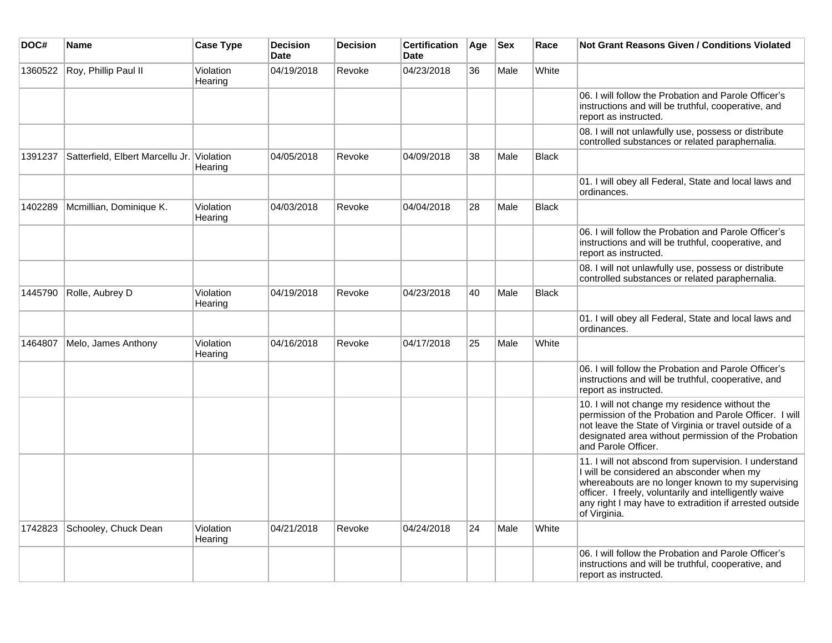| DOC#    | <b>Name</b>                                | <b>Case Type</b>     | <b>Decision</b><br><b>Date</b> | <b>Decision</b> | <b>Certification</b><br><b>Date</b> | Age | <b>Sex</b> | Race         | Not Grant Reasons Given / Conditions Violated                                                                                                                                                                                                                                                |
|---------|--------------------------------------------|----------------------|--------------------------------|-----------------|-------------------------------------|-----|------------|--------------|----------------------------------------------------------------------------------------------------------------------------------------------------------------------------------------------------------------------------------------------------------------------------------------------|
| 1360522 | Roy, Phillip Paul II                       | Violation<br>Hearing | 04/19/2018                     | Revoke          | 04/23/2018                          | 36  | Male       | White        |                                                                                                                                                                                                                                                                                              |
|         |                                            |                      |                                |                 |                                     |     |            |              | 06. I will follow the Probation and Parole Officer's<br>instructions and will be truthful, cooperative, and<br>report as instructed.                                                                                                                                                         |
|         |                                            |                      |                                |                 |                                     |     |            |              | 08. I will not unlawfully use, possess or distribute<br>controlled substances or related paraphernalia.                                                                                                                                                                                      |
| 1391237 | Satterfield, Elbert Marcellu Jr. Violation | Hearing              | 04/05/2018                     | Revoke          | 04/09/2018                          | 38  | Male       | <b>Black</b> |                                                                                                                                                                                                                                                                                              |
|         |                                            |                      |                                |                 |                                     |     |            |              | 01. I will obey all Federal, State and local laws and<br>ordinances.                                                                                                                                                                                                                         |
| 1402289 | Mcmillian, Dominique K.                    | Violation<br>Hearing | 04/03/2018                     | Revoke          | 04/04/2018                          | 28  | Male       | Black        |                                                                                                                                                                                                                                                                                              |
|         |                                            |                      |                                |                 |                                     |     |            |              | 06. I will follow the Probation and Parole Officer's<br>instructions and will be truthful, cooperative, and<br>report as instructed.                                                                                                                                                         |
|         |                                            |                      |                                |                 |                                     |     |            |              | 08. I will not unlawfully use, possess or distribute<br>controlled substances or related paraphernalia.                                                                                                                                                                                      |
| 1445790 | Rolle, Aubrey D                            | Violation<br>Hearing | 04/19/2018                     | Revoke          | 04/23/2018                          | 40  | Male       | Black        |                                                                                                                                                                                                                                                                                              |
|         |                                            |                      |                                |                 |                                     |     |            |              | 01. I will obey all Federal, State and local laws and<br>ordinances.                                                                                                                                                                                                                         |
| 1464807 | Melo, James Anthony                        | Violation<br>Hearing | 04/16/2018                     | Revoke          | 04/17/2018                          | 25  | Male       | White        |                                                                                                                                                                                                                                                                                              |
|         |                                            |                      |                                |                 |                                     |     |            |              | 06. I will follow the Probation and Parole Officer's<br>instructions and will be truthful, cooperative, and<br>report as instructed.                                                                                                                                                         |
|         |                                            |                      |                                |                 |                                     |     |            |              | 10. I will not change my residence without the<br>permission of the Probation and Parole Officer. I will<br>not leave the State of Virginia or travel outside of a<br>designated area without permission of the Probation<br>and Parole Officer.                                             |
|         |                                            |                      |                                |                 |                                     |     |            |              | 11. I will not abscond from supervision. I understand<br>I will be considered an absconder when my<br>whereabouts are no longer known to my supervising<br>officer. I freely, voluntarily and intelligently waive<br>any right I may have to extradition if arrested outside<br>of Virginia. |
| 1742823 | Schooley, Chuck Dean                       | Violation<br>Hearing | 04/21/2018                     | Revoke          | 04/24/2018                          | 24  | Male       | White        |                                                                                                                                                                                                                                                                                              |
|         |                                            |                      |                                |                 |                                     |     |            |              | 06. I will follow the Probation and Parole Officer's<br>instructions and will be truthful, cooperative, and<br>report as instructed.                                                                                                                                                         |